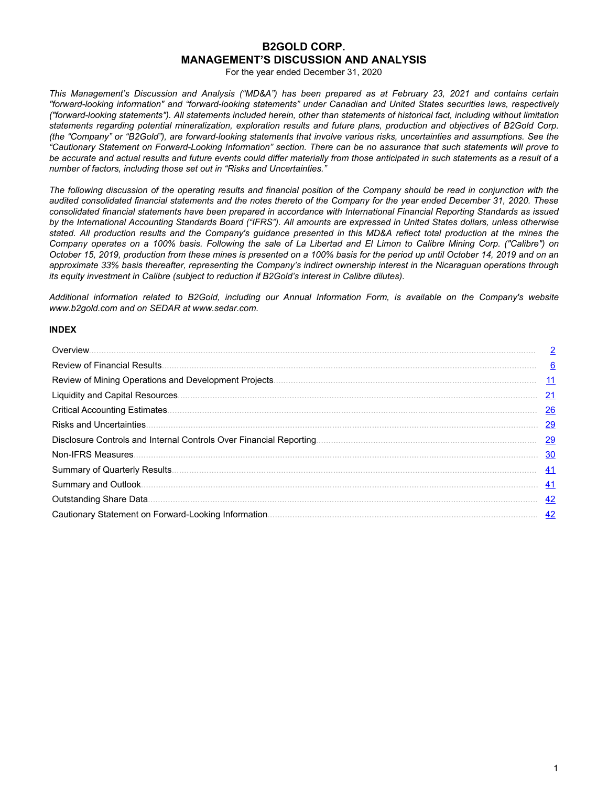# **B2GOLD CORP. MANAGEMENT'S DISCUSSION AND ANALYSIS**

For the year ended December 31, 2020

*This Management's Discussion and Analysis ("MD&A") has been prepared as at February 23, 2021 and contains certain "forward-looking information" and "forward-looking statements" under Canadian and United States securities laws, respectively ("forward-looking statements"). All statements included herein, other than statements of historical fact, including without limitation statements regarding potential mineralization, exploration results and future plans, production and objectives of B2Gold Corp. (the "Company" or "B2Gold"), are forward-looking statements that involve various risks, uncertainties and assumptions. See the "Cautionary Statement on Forward-Looking Information" section. There can be no assurance that such statements will prove to be accurate and actual results and future events could differ materially from those anticipated in such statements as a result of a number of factors, including those set out in "Risks and Uncertainties."*

*The following discussion of the operating results and financial position of the Company should be read in conjunction with the audited consolidated financial statements and the notes thereto of the Company for the year ended December 31, 2020. These consolidated financial statements have been prepared in accordance with International Financial Reporting Standards as issued by the International Accounting Standards Board ("IFRS"). All amounts are expressed in United States dollars, unless otherwise stated. All production results and the Company's guidance presented in this MD&A reflect total production at the mines the Company operates on a 100% basis. Following the sale of La Libertad and El Limon to Calibre Mining Corp. ("Calibre") on October 15, 2019, production from these mines is presented on a 100% basis for the period up until October 14, 2019 and on an approximate 33% basis thereafter, representing the Company's indirect ownership interest in the Nicaraguan operations through its equity investment in Calibre (subject to reduction if B2Gold's interest in Calibre dilutes).*

*Additional information related to B2Gold, including our Annual Information Form, is available on the Company's website www.b2gold.com and on SEDAR at www.sedar.com.*

# **INDEX**

| Overview.                       | 2         |
|---------------------------------|-----------|
|                                 | 6         |
|                                 | 11        |
|                                 | 21        |
|                                 | 26        |
| <b>Risks and Uncertainties.</b> | 29        |
|                                 | <u>29</u> |
|                                 | 30        |
|                                 | 41        |
|                                 | 41        |
|                                 | <u>42</u> |
|                                 | 42        |
|                                 |           |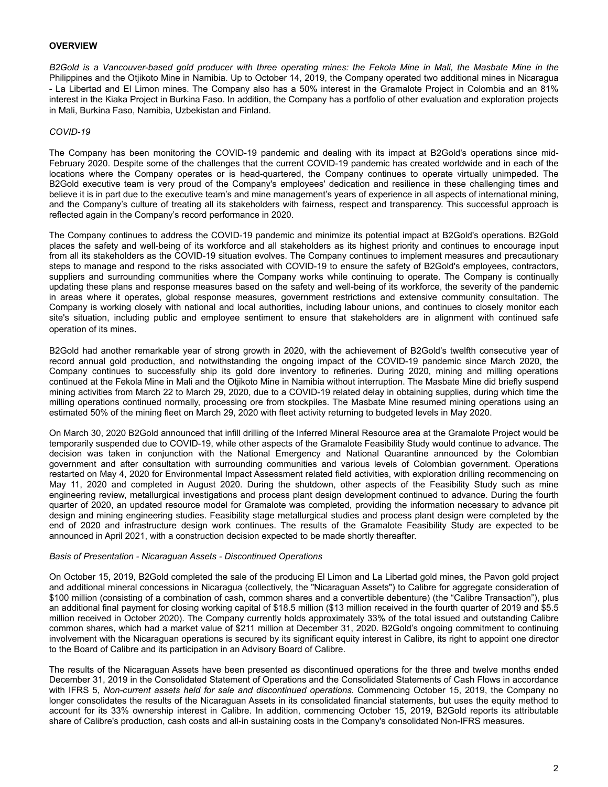## <span id="page-1-0"></span>**OVERVIEW**

*B2Gold is a Vancouver-based gold producer with three operating mines: the Fekola Mine in Mali, the Masbate Mine in the*  Philippines and the Otjikoto Mine in Namibia. Up to October 14, 2019, the Company operated two additional mines in Nicaragua - La Libertad and El Limon mines. The Company also has a 50% interest in the Gramalote Project in Colombia and an 81% interest in the Kiaka Project in Burkina Faso. In addition, the Company has a portfolio of other evaluation and exploration projects in Mali, Burkina Faso, Namibia, Uzbekistan and Finland.

## *COVID-19*

The Company has been monitoring the COVID-19 pandemic and dealing with its impact at B2Gold's operations since mid-February 2020. Despite some of the challenges that the current COVID-19 pandemic has created worldwide and in each of the locations where the Company operates or is head-quartered, the Company continues to operate virtually unimpeded. The B2Gold executive team is very proud of the Company's employees' dedication and resilience in these challenging times and believe it is in part due to the executive team's and mine management's years of experience in all aspects of international mining, and the Company's culture of treating all its stakeholders with fairness, respect and transparency. This successful approach is reflected again in the Company's record performance in 2020.

The Company continues to address the COVID-19 pandemic and minimize its potential impact at B2Gold's operations. B2Gold places the safety and well-being of its workforce and all stakeholders as its highest priority and continues to encourage input from all its stakeholders as the COVID-19 situation evolves. The Company continues to implement measures and precautionary steps to manage and respond to the risks associated with COVID-19 to ensure the safety of B2Gold's employees, contractors, suppliers and surrounding communities where the Company works while continuing to operate. The Company is continually updating these plans and response measures based on the safety and well-being of its workforce, the severity of the pandemic in areas where it operates, global response measures, government restrictions and extensive community consultation. The Company is working closely with national and local authorities, including labour unions, and continues to closely monitor each site's situation, including public and employee sentiment to ensure that stakeholders are in alignment with continued safe operation of its mines.

B2Gold had another remarkable year of strong growth in 2020, with the achievement of B2Gold's twelfth consecutive year of record annual gold production, and notwithstanding the ongoing impact of the COVID-19 pandemic since March 2020, the Company continues to successfully ship its gold dore inventory to refineries. During 2020, mining and milling operations continued at the Fekola Mine in Mali and the Otjikoto Mine in Namibia without interruption. The Masbate Mine did briefly suspend mining activities from March 22 to March 29, 2020, due to a COVID-19 related delay in obtaining supplies, during which time the milling operations continued normally, processing ore from stockpiles. The Masbate Mine resumed mining operations using an estimated 50% of the mining fleet on March 29, 2020 with fleet activity returning to budgeted levels in May 2020.

On March 30, 2020 B2Gold announced that infill drilling of the Inferred Mineral Resource area at the Gramalote Project would be temporarily suspended due to COVID-19, while other aspects of the Gramalote Feasibility Study would continue to advance. The decision was taken in conjunction with the National Emergency and National Quarantine announced by the Colombian government and after consultation with surrounding communities and various levels of Colombian government. Operations restarted on May 4, 2020 for Environmental Impact Assessment related field activities, with exploration drilling recommencing on May 11, 2020 and completed in August 2020. During the shutdown, other aspects of the Feasibility Study such as mine engineering review, metallurgical investigations and process plant design development continued to advance. During the fourth quarter of 2020, an updated resource model for Gramalote was completed, providing the information necessary to advance pit design and mining engineering studies. Feasibility stage metallurgical studies and process plant design were completed by the end of 2020 and infrastructure design work continues. The results of the Gramalote Feasibility Study are expected to be announced in April 2021, with a construction decision expected to be made shortly thereafter.

#### *Basis of Presentation - Nicaraguan Assets - Discontinued Operations*

On October 15, 2019, B2Gold completed the sale of the producing El Limon and La Libertad gold mines, the Pavon gold project and additional mineral concessions in Nicaragua (collectively, the "Nicaraguan Assets") to Calibre for aggregate consideration of \$100 million (consisting of a combination of cash, common shares and a convertible debenture) (the "Calibre Transaction"), plus an additional final payment for closing working capital of \$18.5 million (\$13 million received in the fourth quarter of 2019 and \$5.5 million received in October 2020). The Company currently holds approximately 33% of the total issued and outstanding Calibre common shares, which had a market value of \$211 million at December 31, 2020. B2Gold's ongoing commitment to continuing involvement with the Nicaraguan operations is secured by its significant equity interest in Calibre, its right to appoint one director to the Board of Calibre and its participation in an Advisory Board of Calibre.

The results of the Nicaraguan Assets have been presented as discontinued operations for the three and twelve months ended December 31, 2019 in the Consolidated Statement of Operations and the Consolidated Statements of Cash Flows in accordance with IFRS 5, *Non-current assets held for sale and discontinued operations*. Commencing October 15, 2019, the Company no longer consolidates the results of the Nicaraguan Assets in its consolidated financial statements, but uses the equity method to account for its 33% ownership interest in Calibre. In addition, commencing October 15, 2019, B2Gold reports its attributable share of Calibre's production, cash costs and all-in sustaining costs in the Company's consolidated Non-IFRS measures.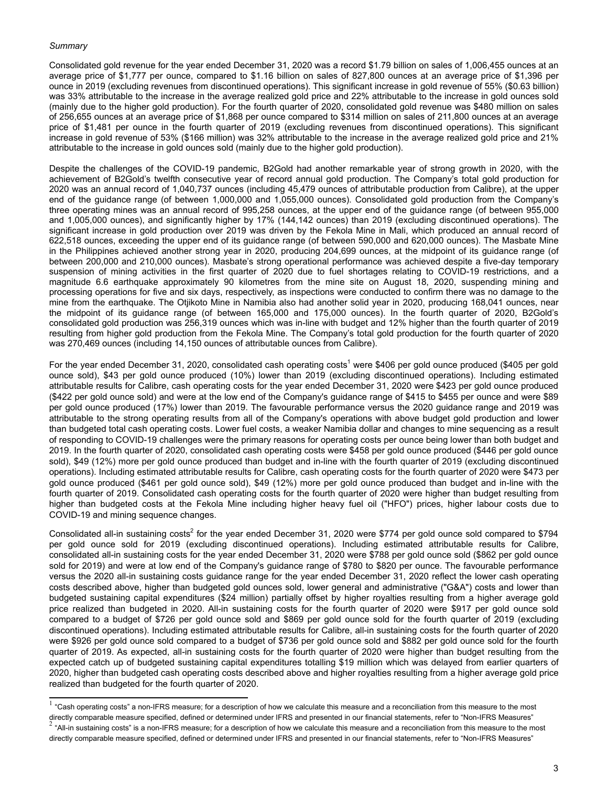#### *Summary*

Consolidated gold revenue for the year ended December 31, 2020 was a record \$1.79 billion on sales of 1,006,455 ounces at an average price of \$1,777 per ounce, compared to \$1.16 billion on sales of 827,800 ounces at an average price of \$1,396 per ounce in 2019 (excluding revenues from discontinued operations). This significant increase in gold revenue of 55% (\$0.63 billion) was 33% attributable to the increase in the average realized gold price and 22% attributable to the increase in gold ounces sold (mainly due to the higher gold production). For the fourth quarter of 2020, consolidated gold revenue was \$480 million on sales of 256,655 ounces at an average price of \$1,868 per ounce compared to \$314 million on sales of 211,800 ounces at an average price of \$1,481 per ounce in the fourth quarter of 2019 (excluding revenues from discontinued operations). This significant increase in gold revenue of 53% (\$166 million) was 32% attributable to the increase in the average realized gold price and 21% attributable to the increase in gold ounces sold (mainly due to the higher gold production).

Despite the challenges of the COVID-19 pandemic, B2Gold had another remarkable year of strong growth in 2020, with the achievement of B2Gold's twelfth consecutive year of record annual gold production. The Company's total gold production for 2020 was an annual record of 1,040,737 ounces (including 45,479 ounces of attributable production from Calibre), at the upper end of the guidance range (of between 1,000,000 and 1,055,000 ounces). Consolidated gold production from the Company's three operating mines was an annual record of 995,258 ounces, at the upper end of the guidance range (of between 955,000 and 1,005,000 ounces), and significantly higher by 17% (144,142 ounces) than 2019 (excluding discontinued operations). The significant increase in gold production over 2019 was driven by the Fekola Mine in Mali, which produced an annual record of 622,518 ounces, exceeding the upper end of its guidance range (of between 590,000 and 620,000 ounces). The Masbate Mine in the Philippines achieved another strong year in 2020, producing 204,699 ounces, at the midpoint of its guidance range (of between 200,000 and 210,000 ounces). Masbate's strong operational performance was achieved despite a five-day temporary suspension of mining activities in the first quarter of 2020 due to fuel shortages relating to COVID-19 restrictions, and a magnitude 6.6 earthquake approximately 90 kilometres from the mine site on August 18, 2020, suspending mining and processing operations for five and six days, respectively, as inspections were conducted to confirm there was no damage to the mine from the earthquake. The Otjikoto Mine in Namibia also had another solid year in 2020, producing 168,041 ounces, near the midpoint of its guidance range (of between 165,000 and 175,000 ounces). In the fourth quarter of 2020, B2Gold's consolidated gold production was 256,319 ounces which was in-line with budget and 12% higher than the fourth quarter of 2019 resulting from higher gold production from the Fekola Mine. The Company's total gold production for the fourth quarter of 2020 was 270,469 ounces (including 14,150 ounces of attributable ounces from Calibre).

For the year ended December 31, 2020, consolidated cash operating costs<sup>1</sup> were \$406 per gold ounce produced (\$405 per gold ounce sold), \$43 per gold ounce produced (10%) lower than 2019 (excluding discontinued operations). Including estimated attributable results for Calibre, cash operating costs for the year ended December 31, 2020 were \$423 per gold ounce produced (\$422 per gold ounce sold) and were at the low end of the Company's guidance range of \$415 to \$455 per ounce and were \$89 per gold ounce produced (17%) lower than 2019. The favourable performance versus the 2020 guidance range and 2019 was attributable to the strong operating results from all of the Company's operations with above budget gold production and lower than budgeted total cash operating costs. Lower fuel costs, a weaker Namibia dollar and changes to mine sequencing as a result of responding to COVID-19 challenges were the primary reasons for operating costs per ounce being lower than both budget and 2019. In the fourth quarter of 2020, consolidated cash operating costs were \$458 per gold ounce produced (\$446 per gold ounce sold), \$49 (12%) more per gold ounce produced than budget and in-line with the fourth quarter of 2019 (excluding discontinued operations). Including estimated attributable results for Calibre, cash operating costs for the fourth quarter of 2020 were \$473 per gold ounce produced (\$461 per gold ounce sold), \$49 (12%) more per gold ounce produced than budget and in-line with the fourth quarter of 2019. Consolidated cash operating costs for the fourth quarter of 2020 were higher than budget resulting from higher than budgeted costs at the Fekola Mine including higher heavy fuel oil ("HFO") prices, higher labour costs due to COVID-19 and mining sequence changes.

Consolidated all-in sustaining costs<sup>2</sup> for the year ended December 31, 2020 were \$774 per gold ounce sold compared to \$794 per gold ounce sold for 2019 (excluding discontinued operations). Including estimated attributable results for Calibre, consolidated all-in sustaining costs for the year ended December 31, 2020 were \$788 per gold ounce sold (\$862 per gold ounce sold for 2019) and were at low end of the Company's guidance range of \$780 to \$820 per ounce. The favourable performance versus the 2020 all-in sustaining costs guidance range for the year ended December 31, 2020 reflect the lower cash operating costs described above, higher than budgeted gold ounces sold, lower general and administrative ("G&A") costs and lower than budgeted sustaining capital expenditures (\$24 million) partially offset by higher royalties resulting from a higher average gold price realized than budgeted in 2020. All-in sustaining costs for the fourth quarter of 2020 were \$917 per gold ounce sold compared to a budget of \$726 per gold ounce sold and \$869 per gold ounce sold for the fourth quarter of 2019 (excluding discontinued operations). Including estimated attributable results for Calibre, all-in sustaining costs for the fourth quarter of 2020 were \$926 per gold ounce sold compared to a budget of \$736 per gold ounce sold and \$882 per gold ounce sold for the fourth quarter of 2019. As expected, all-in sustaining costs for the fourth quarter of 2020 were higher than budget resulting from the expected catch up of budgeted sustaining capital expenditures totalling \$19 million which was delayed from earlier quarters of 2020, higher than budgeted cash operating costs described above and higher royalties resulting from a higher average gold price realized than budgeted for the fourth quarter of 2020.

 $^1$  "Cash operating costs" a non-IFRS measure; for a description of how we calculate this measure and a reconciliation from this measure to the most directly comparable measure specified, defined or determined under IFRS and presented in our financial statements, refer to "Non-IFRS Measures" 2 "All-in sustaining costs" is a non-IFRS measure; for a description of how we calculate this measure and a reconciliation from this measure to the most directly comparable measure specified, defined or determined under IFRS and presented in our financial statements, refer to "Non-IFRS Measures"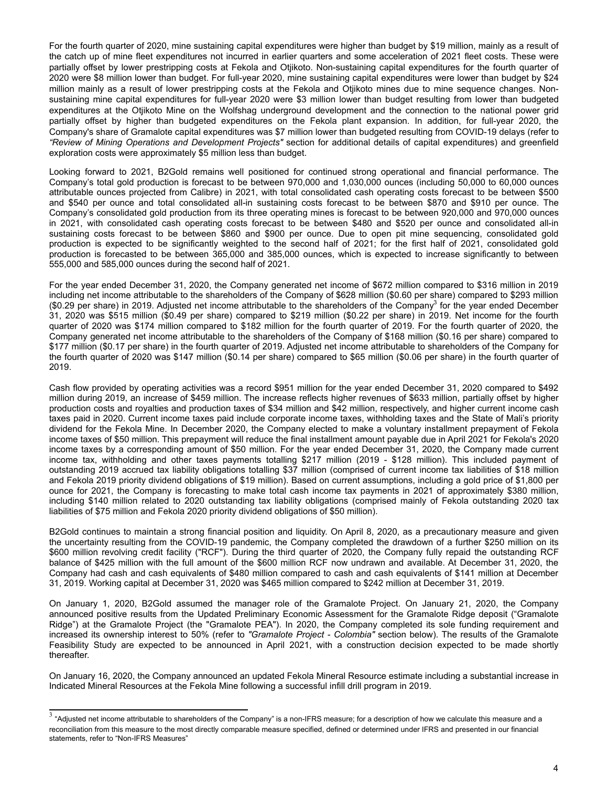For the fourth quarter of 2020, mine sustaining capital expenditures were higher than budget by \$19 million, mainly as a result of the catch up of mine fleet expenditures not incurred in earlier quarters and some acceleration of 2021 fleet costs. These were partially offset by lower prestripping costs at Fekola and Otjikoto. Non-sustaining capital expenditures for the fourth quarter of 2020 were \$8 million lower than budget. For full-year 2020, mine sustaining capital expenditures were lower than budget by \$24 million mainly as a result of lower prestripping costs at the Fekola and Otjikoto mines due to mine sequence changes. Nonsustaining mine capital expenditures for full-year 2020 were \$3 million lower than budget resulting from lower than budgeted expenditures at the Otjikoto Mine on the Wolfshag underground development and the connection to the national power grid partially offset by higher than budgeted expenditures on the Fekola plant expansion. In addition, for full-year 2020, the Company's share of Gramalote capital expenditures was \$7 million lower than budgeted resulting from COVID-19 delays (refer to *"Review of Mining Operations and Development Projects"* section for additional details of capital expenditures) and greenfield exploration costs were approximately \$5 million less than budget.

Looking forward to 2021, B2Gold remains well positioned for continued strong operational and financial performance. The Company's total gold production is forecast to be between 970,000 and 1,030,000 ounces (including 50,000 to 60,000 ounces attributable ounces projected from Calibre) in 2021, with total consolidated cash operating costs forecast to be between \$500 and \$540 per ounce and total consolidated all-in sustaining costs forecast to be between \$870 and \$910 per ounce. The Company's consolidated gold production from its three operating mines is forecast to be between 920,000 and 970,000 ounces in 2021, with consolidated cash operating costs forecast to be between \$480 and \$520 per ounce and consolidated all-in sustaining costs forecast to be between \$860 and \$900 per ounce. Due to open pit mine sequencing, consolidated gold production is expected to be significantly weighted to the second half of 2021; for the first half of 2021, consolidated gold production is forecasted to be between 365,000 and 385,000 ounces, which is expected to increase significantly to between 555,000 and 585,000 ounces during the second half of 2021.

For the year ended December 31, 2020, the Company generated net income of \$672 million compared to \$316 million in 2019 including net income attributable to the shareholders of the Company of \$628 million (\$0.60 per share) compared to \$293 million (\$0.29 per share) in 2019. Adjusted net income attributable to the shareholders of the Company<sup>3</sup> for the year ended December 31, 2020 was \$515 million (\$0.49 per share) compared to \$219 million (\$0.22 per share) in 2019. Net income for the fourth quarter of 2020 was \$174 million compared to \$182 million for the fourth quarter of 2019. For the fourth quarter of 2020, the Company generated net income attributable to the shareholders of the Company of \$168 million (\$0.16 per share) compared to \$177 million (\$0.17 per share) in the fourth quarter of 2019. Adjusted net income attributable to shareholders of the Company for the fourth quarter of 2020 was \$147 million (\$0.14 per share) compared to \$65 million (\$0.06 per share) in the fourth quarter of 2019.

Cash flow provided by operating activities was a record \$951 million for the year ended December 31, 2020 compared to \$492 million during 2019, an increase of \$459 million. The increase reflects higher revenues of \$633 million, partially offset by higher production costs and royalties and production taxes of \$34 million and \$42 million, respectively, and higher current income cash taxes paid in 2020. Current income taxes paid include corporate income taxes, withholding taxes and the State of Mali's priority dividend for the Fekola Mine. In December 2020, the Company elected to make a voluntary installment prepayment of Fekola income taxes of \$50 million. This prepayment will reduce the final installment amount payable due in April 2021 for Fekola's 2020 income taxes by a corresponding amount of \$50 million. For the year ended December 31, 2020, the Company made current income tax, withholding and other taxes payments totalling \$217 million (2019 - \$128 million). This included payment of outstanding 2019 accrued tax liability obligations totalling \$37 million (comprised of current income tax liabilities of \$18 million and Fekola 2019 priority dividend obligations of \$19 million). Based on current assumptions, including a gold price of \$1,800 per ounce for 2021, the Company is forecasting to make total cash income tax payments in 2021 of approximately \$380 million, including \$140 million related to 2020 outstanding tax liability obligations (comprised mainly of Fekola outstanding 2020 tax liabilities of \$75 million and Fekola 2020 priority dividend obligations of \$50 million).

B2Gold continues to maintain a strong financial position and liquidity. On April 8, 2020, as a precautionary measure and given the uncertainty resulting from the COVID-19 pandemic, the Company completed the drawdown of a further \$250 million on its \$600 million revolving credit facility ("RCF"). During the third quarter of 2020, the Company fully repaid the outstanding RCF balance of \$425 million with the full amount of the \$600 million RCF now undrawn and available. At December 31, 2020, the Company had cash and cash equivalents of \$480 million compared to cash and cash equivalents of \$141 million at December 31, 2019. Working capital at December 31, 2020 was \$465 million compared to \$242 million at December 31, 2019.

On January 1, 2020, B2Gold assumed the manager role of the Gramalote Project. On January 21, 2020, the Company announced positive results from the Updated Preliminary Economic Assessment for the Gramalote Ridge deposit ("Gramalote Ridge") at the Gramalote Project (the "Gramalote PEA"). In 2020, the Company completed its sole funding requirement and increased its ownership interest to 50% (refer to *"Gramalote Project - Colombia"* section below). The results of the Gramalote Feasibility Study are expected to be announced in April 2021, with a construction decision expected to be made shortly thereafter.

On January 16, 2020, the Company announced an updated Fekola Mineral Resource estimate including a substantial increase in Indicated Mineral Resources at the Fekola Mine following a successful infill drill program in 2019.

 $^3$  "Adjusted net income attributable to shareholders of the Company" is a non-IFRS measure; for a description of how we calculate this measure and a reconciliation from this measure to the most directly comparable measure specified, defined or determined under IFRS and presented in our financial statements, refer to "Non-IFRS Measures"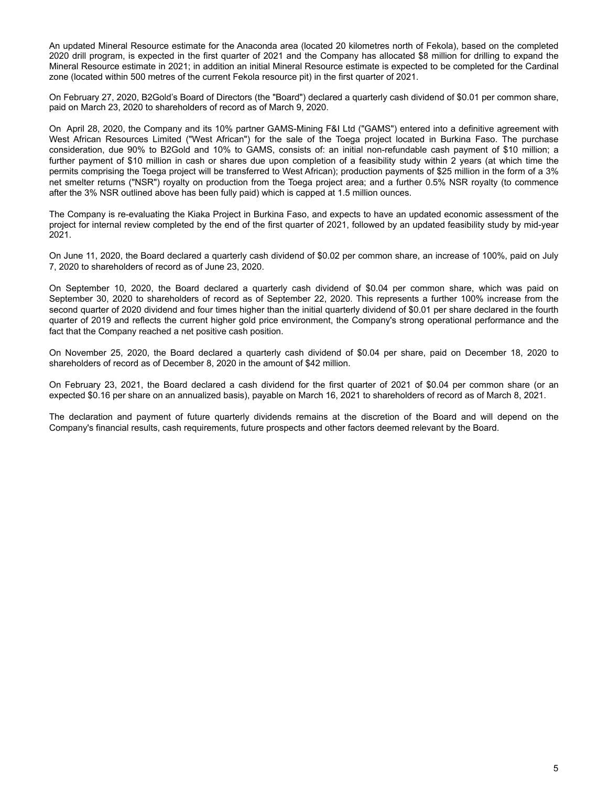An updated Mineral Resource estimate for the Anaconda area (located 20 kilometres north of Fekola), based on the completed 2020 drill program, is expected in the first quarter of 2021 and the Company has allocated \$8 million for drilling to expand the Mineral Resource estimate in 2021; in addition an initial Mineral Resource estimate is expected to be completed for the Cardinal zone (located within 500 metres of the current Fekola resource pit) in the first quarter of 2021.

On February 27, 2020, B2Gold's Board of Directors (the "Board") declared a quarterly cash dividend of \$0.01 per common share, paid on March 23, 2020 to shareholders of record as of March 9, 2020.

On April 28, 2020, the Company and its 10% partner GAMS-Mining F&I Ltd ("GAMS") entered into a definitive agreement with West African Resources Limited ("West African") for the sale of the Toega project located in Burkina Faso. The purchase consideration, due 90% to B2Gold and 10% to GAMS, consists of: an initial non-refundable cash payment of \$10 million; a further payment of \$10 million in cash or shares due upon completion of a feasibility study within 2 years (at which time the permits comprising the Toega project will be transferred to West African); production payments of \$25 million in the form of a 3% net smelter returns ("NSR") royalty on production from the Toega project area; and a further 0.5% NSR royalty (to commence after the 3% NSR outlined above has been fully paid) which is capped at 1.5 million ounces.

The Company is re-evaluating the Kiaka Project in Burkina Faso, and expects to have an updated economic assessment of the project for internal review completed by the end of the first quarter of 2021, followed by an updated feasibility study by mid-year 2021.

On June 11, 2020, the Board declared a quarterly cash dividend of \$0.02 per common share, an increase of 100%, paid on July 7, 2020 to shareholders of record as of June 23, 2020.

On September 10, 2020, the Board declared a quarterly cash dividend of \$0.04 per common share, which was paid on September 30, 2020 to shareholders of record as of September 22, 2020. This represents a further 100% increase from the second quarter of 2020 dividend and four times higher than the initial quarterly dividend of \$0.01 per share declared in the fourth quarter of 2019 and reflects the current higher gold price environment, the Company's strong operational performance and the fact that the Company reached a net positive cash position.

On November 25, 2020, the Board declared a quarterly cash dividend of \$0.04 per share, paid on December 18, 2020 to shareholders of record as of December 8, 2020 in the amount of \$42 million.

On February 23, 2021, the Board declared a cash dividend for the first quarter of 2021 of \$0.04 per common share (or an expected \$0.16 per share on an annualized basis), payable on March 16, 2021 to shareholders of record as of March 8, 2021.

The declaration and payment of future quarterly dividends remains at the discretion of the Board and will depend on the Company's financial results, cash requirements, future prospects and other factors deemed relevant by the Board.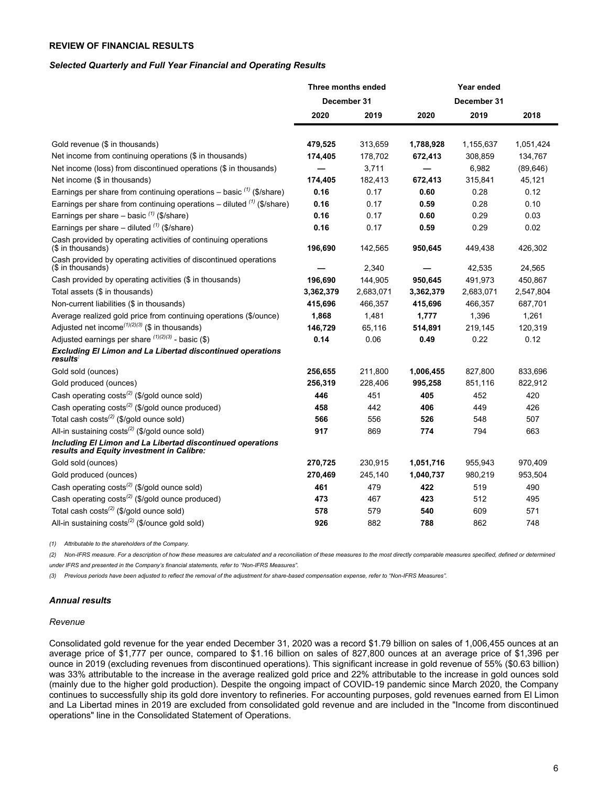## <span id="page-5-0"></span>**REVIEW OF FINANCIAL RESULTS**

#### *Selected Quarterly and Full Year Financial and Operating Results*

|                                                                                                         | Three months ended |           | Year ended |             |           |  |
|---------------------------------------------------------------------------------------------------------|--------------------|-----------|------------|-------------|-----------|--|
|                                                                                                         | December 31        |           |            | December 31 |           |  |
|                                                                                                         | 2020               | 2019      | 2020       | 2019        | 2018      |  |
| Gold revenue (\$ in thousands)                                                                          | 479,525            | 313,659   | 1,788,928  | 1,155,637   | 1,051,424 |  |
| Net income from continuing operations (\$ in thousands)                                                 | 174,405            | 178,702   | 672,413    | 308,859     | 134,767   |  |
| Net income (loss) from discontinued operations (\$ in thousands)                                        |                    | 3,711     |            | 6,982       | (89, 646) |  |
| Net income (\$ in thousands)                                                                            | 174,405            | 182,413   | 672,413    | 315,841     | 45,121    |  |
| Earnings per share from continuing operations - basic $(1)$ (\$/share)                                  | 0.16               | 0.17      | 0.60       | 0.28        | 0.12      |  |
| Earnings per share from continuing operations – diluted $(1)$ (\$/share)                                | 0.16               | 0.17      | 0.59       | 0.28        | 0.10      |  |
| Earnings per share - basic $(1)$ (\$/share)                                                             | 0.16               | 0.17      | 0.60       | 0.29        | 0.03      |  |
| Earnings per share – diluted $(1)$ (\$/share)                                                           | 0.16               | 0.17      | 0.59       | 0.29        | 0.02      |  |
| Cash provided by operating activities of continuing operations<br>(\$ in thousands)                     | 196,690            | 142,565   | 950,645    | 449,438     | 426,302   |  |
| Cash provided by operating activities of discontinued operations<br>(\$ in thousands)                   |                    | 2,340     |            | 42,535      | 24,565    |  |
| Cash provided by operating activities (\$ in thousands)                                                 | 196,690            | 144,905   | 950,645    | 491,973     | 450,867   |  |
| Total assets (\$ in thousands)                                                                          | 3,362,379          | 2,683,071 | 3,362,379  | 2,683,071   | 2,547,804 |  |
| Non-current liabilities (\$ in thousands)                                                               | 415,696            | 466,357   | 415,696    | 466,357     | 687,701   |  |
| Average realized gold price from continuing operations (\$/ounce)                                       | 1,868              | 1,481     | 1,777      | 1,396       | 1,261     |  |
| Adjusted net income <sup><math>(1)(2)(3)</math></sup> (\$ in thousands)                                 | 146,729            | 65,116    | 514,891    | 219,145     | 120,319   |  |
| Adjusted earnings per share $(1)(2)(3)$ - basic (\$)                                                    | 0.14               | 0.06      | 0.49       | 0.22        | 0.12      |  |
| <b>Excluding El Limon and La Libertad discontinued operations</b><br><i>results</i>                     |                    |           |            |             |           |  |
| Gold sold (ounces)                                                                                      | 256,655            | 211,800   | 1,006,455  | 827,800     | 833,696   |  |
| Gold produced (ounces)                                                                                  | 256,319            | 228,406   | 995,258    | 851,116     | 822,912   |  |
| Cash operating costs <sup>(2)</sup> (\$/gold ounce sold)                                                | 446                | 451       | 405        | 452         | 420       |  |
| Cash operating costs <sup>(2)</sup> (\$/gold ounce produced)                                            | 458                | 442       | 406        | 449         | 426       |  |
| Total cash costs <sup>(2)</sup> (\$/gold ounce sold)                                                    | 566                | 556       | 526        | 548         | 507       |  |
| All-in sustaining costs <sup>(2)</sup> (\$/gold ounce sold)                                             | 917                | 869       | 774        | 794         | 663       |  |
| Including El Limon and La Libertad discontinued operations<br>results and Equity investment in Calibre: |                    |           |            |             |           |  |
| Gold sold (ounces)                                                                                      | 270,725            | 230,915   | 1,051,716  | 955,943     | 970,409   |  |
| Gold produced (ounces)                                                                                  | 270,469            | 245,140   | 1,040,737  | 980,219     | 953,504   |  |
| Cash operating costs <sup>(2)</sup> (\$/gold ounce sold)                                                | 461                | 479       | 422        | 519         | 490       |  |
| Cash operating costs <sup>(2)</sup> (\$/gold ounce produced)                                            | 473                | 467       | 423        | 512         | 495       |  |
| Total cash costs <sup>(2)</sup> (\$/gold ounce sold)                                                    | 578                | 579       | 540        | 609         | 571       |  |
| All-in sustaining costs <sup>(2)</sup> (\$/ounce gold sold)                                             | 926                | 882       | 788        | 862         | 748       |  |

*(1) Attributable to the shareholders of the Company.*

*(2) Non-IFRS measure. For a description of how these measures are calculated and a reconciliation of these measures to the most directly comparable measures specified, defined or determined under IFRS and presented in the Company's financial statements, refer to "Non-IFRS Measures".*

*(3) Previous periods have been adjusted to reflect the removal of the adjustment for share-based compensation expense, refer to "Non-IFRS Measures".*

#### *Annual results*

#### *Revenue*

Consolidated gold revenue for the year ended December 31, 2020 was a record \$1.79 billion on sales of 1,006,455 ounces at an average price of \$1,777 per ounce, compared to \$1.16 billion on sales of 827,800 ounces at an average price of \$1,396 per ounce in 2019 (excluding revenues from discontinued operations). This significant increase in gold revenue of 55% (\$0.63 billion) was 33% attributable to the increase in the average realized gold price and 22% attributable to the increase in gold ounces sold (mainly due to the higher gold production). Despite the ongoing impact of COVID-19 pandemic since March 2020, the Company continues to successfully ship its gold dore inventory to refineries. For accounting purposes, gold revenues earned from El Limon and La Libertad mines in 2019 are excluded from consolidated gold revenue and are included in the "Income from discontinued operations" line in the Consolidated Statement of Operations.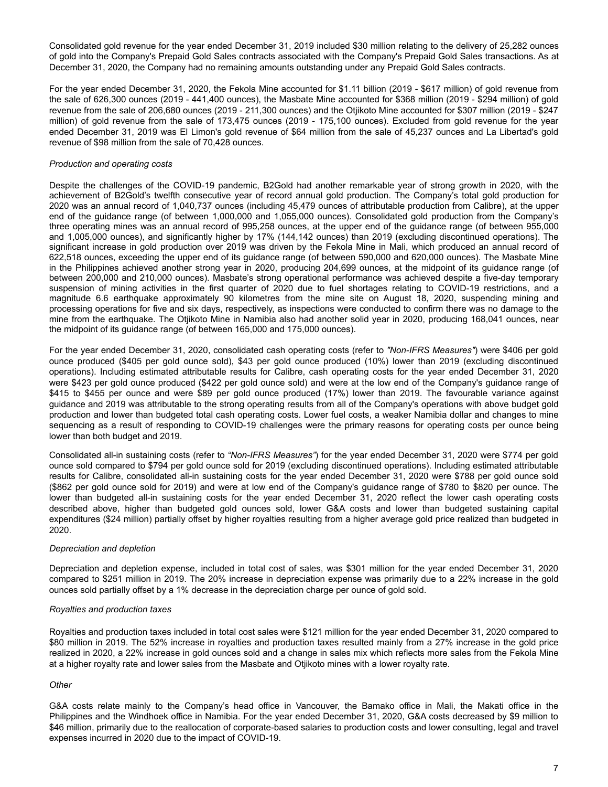Consolidated gold revenue for the year ended December 31, 2019 included \$30 million relating to the delivery of 25,282 ounces of gold into the Company's Prepaid Gold Sales contracts associated with the Company's Prepaid Gold Sales transactions. As at December 31, 2020, the Company had no remaining amounts outstanding under any Prepaid Gold Sales contracts.

For the year ended December 31, 2020, the Fekola Mine accounted for \$1.11 billion (2019 - \$617 million) of gold revenue from the sale of 626,300 ounces (2019 - 441,400 ounces), the Masbate Mine accounted for \$368 million (2019 - \$294 million) of gold revenue from the sale of 206,680 ounces (2019 - 211,300 ounces) and the Otjikoto Mine accounted for \$307 million (2019 - \$247 million) of gold revenue from the sale of 173,475 ounces (2019 - 175,100 ounces). Excluded from gold revenue for the year ended December 31, 2019 was El Limon's gold revenue of \$64 million from the sale of 45,237 ounces and La Libertad's gold revenue of \$98 million from the sale of 70,428 ounces.

### *Production and operating costs*

Despite the challenges of the COVID-19 pandemic, B2Gold had another remarkable year of strong growth in 2020, with the achievement of B2Gold's twelfth consecutive year of record annual gold production. The Company's total gold production for 2020 was an annual record of 1,040,737 ounces (including 45,479 ounces of attributable production from Calibre), at the upper end of the guidance range (of between 1,000,000 and 1,055,000 ounces). Consolidated gold production from the Company's three operating mines was an annual record of 995,258 ounces, at the upper end of the guidance range (of between 955,000 and 1,005,000 ounces), and significantly higher by 17% (144,142 ounces) than 2019 (excluding discontinued operations). The significant increase in gold production over 2019 was driven by the Fekola Mine in Mali, which produced an annual record of 622,518 ounces, exceeding the upper end of its guidance range (of between 590,000 and 620,000 ounces). The Masbate Mine in the Philippines achieved another strong year in 2020, producing 204,699 ounces, at the midpoint of its guidance range (of between 200,000 and 210,000 ounces). Masbate's strong operational performance was achieved despite a five-day temporary suspension of mining activities in the first quarter of 2020 due to fuel shortages relating to COVID-19 restrictions, and a magnitude 6.6 earthquake approximately 90 kilometres from the mine site on August 18, 2020, suspending mining and processing operations for five and six days, respectively, as inspections were conducted to confirm there was no damage to the mine from the earthquake. The Otjikoto Mine in Namibia also had another solid year in 2020, producing 168,041 ounces, near the midpoint of its guidance range (of between 165,000 and 175,000 ounces).

For the year ended December 31, 2020, consolidated cash operating costs (refer to *"Non-IFRS Measures"*) were \$406 per gold ounce produced (\$405 per gold ounce sold), \$43 per gold ounce produced (10%) lower than 2019 (excluding discontinued operations). Including estimated attributable results for Calibre, cash operating costs for the year ended December 31, 2020 were \$423 per gold ounce produced (\$422 per gold ounce sold) and were at the low end of the Company's guidance range of \$415 to \$455 per ounce and were \$89 per gold ounce produced (17%) lower than 2019. The favourable variance against guidance and 2019 was attributable to the strong operating results from all of the Company's operations with above budget gold production and lower than budgeted total cash operating costs. Lower fuel costs, a weaker Namibia dollar and changes to mine sequencing as a result of responding to COVID-19 challenges were the primary reasons for operating costs per ounce being lower than both budget and 2019.

Consolidated all-in sustaining costs (refer to *"Non-IFRS Measures"*) for the year ended December 31, 2020 were \$774 per gold ounce sold compared to \$794 per gold ounce sold for 2019 (excluding discontinued operations). Including estimated attributable results for Calibre, consolidated all-in sustaining costs for the year ended December 31, 2020 were \$788 per gold ounce sold (\$862 per gold ounce sold for 2019) and were at low end of the Company's guidance range of \$780 to \$820 per ounce. The lower than budgeted all-in sustaining costs for the year ended December 31, 2020 reflect the lower cash operating costs described above, higher than budgeted gold ounces sold, lower G&A costs and lower than budgeted sustaining capital expenditures (\$24 million) partially offset by higher royalties resulting from a higher average gold price realized than budgeted in 2020.

### *Depreciation and depletion*

Depreciation and depletion expense, included in total cost of sales, was \$301 million for the year ended December 31, 2020 compared to \$251 million in 2019. The 20% increase in depreciation expense was primarily due to a 22% increase in the gold ounces sold partially offset by a 1% decrease in the depreciation charge per ounce of gold sold.

### *Royalties and production taxes*

Royalties and production taxes included in total cost sales were \$121 million for the year ended December 31, 2020 compared to \$80 million in 2019. The 52% increase in royalties and production taxes resulted mainly from a 27% increase in the gold price realized in 2020, a 22% increase in gold ounces sold and a change in sales mix which reflects more sales from the Fekola Mine at a higher royalty rate and lower sales from the Masbate and Otjikoto mines with a lower royalty rate.

## *Other*

G&A costs relate mainly to the Company's head office in Vancouver, the Bamako office in Mali, the Makati office in the Philippines and the Windhoek office in Namibia. For the year ended December 31, 2020, G&A costs decreased by \$9 million to \$46 million, primarily due to the reallocation of corporate-based salaries to production costs and lower consulting, legal and travel expenses incurred in 2020 due to the impact of COVID-19.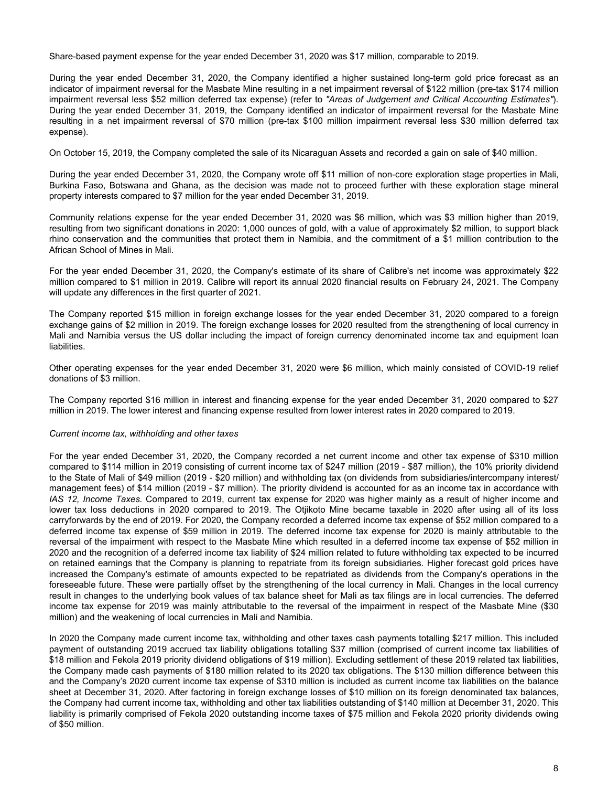Share-based payment expense for the year ended December 31, 2020 was \$17 million, comparable to 2019.

During the year ended December 31, 2020, the Company identified a higher sustained long-term gold price forecast as an indicator of impairment reversal for the Masbate Mine resulting in a net impairment reversal of \$122 million (pre-tax \$174 million impairment reversal less \$52 million deferred tax expense) (refer to *"Areas of Judgement and Critical Accounting Estimates"*). During the year ended December 31, 2019, the Company identified an indicator of impairment reversal for the Masbate Mine resulting in a net impairment reversal of \$70 million (pre-tax \$100 million impairment reversal less \$30 million deferred tax expense).

On October 15, 2019, the Company completed the sale of its Nicaraguan Assets and recorded a gain on sale of \$40 million.

During the year ended December 31, 2020, the Company wrote off \$11 million of non-core exploration stage properties in Mali, Burkina Faso, Botswana and Ghana, as the decision was made not to proceed further with these exploration stage mineral property interests compared to \$7 million for the year ended December 31, 2019.

Community relations expense for the year ended December 31, 2020 was \$6 million, which was \$3 million higher than 2019, resulting from two significant donations in 2020: 1,000 ounces of gold, with a value of approximately \$2 million, to support black rhino conservation and the communities that protect them in Namibia, and the commitment of a \$1 million contribution to the African School of Mines in Mali.

For the year ended December 31, 2020, the Company's estimate of its share of Calibre's net income was approximately \$22 million compared to \$1 million in 2019. Calibre will report its annual 2020 financial results on February 24, 2021. The Company will update any differences in the first quarter of 2021.

The Company reported \$15 million in foreign exchange losses for the year ended December 31, 2020 compared to a foreign exchange gains of \$2 million in 2019. The foreign exchange losses for 2020 resulted from the strengthening of local currency in Mali and Namibia versus the US dollar including the impact of foreign currency denominated income tax and equipment loan liabilities.

Other operating expenses for the year ended December 31, 2020 were \$6 million, which mainly consisted of COVID-19 relief donations of \$3 million.

The Company reported \$16 million in interest and financing expense for the year ended December 31, 2020 compared to \$27 million in 2019. The lower interest and financing expense resulted from lower interest rates in 2020 compared to 2019.

### *Current income tax, withholding and other taxes*

For the year ended December 31, 2020, the Company recorded a net current income and other tax expense of \$310 million compared to \$114 million in 2019 consisting of current income tax of \$247 million (2019 - \$87 million), the 10% priority dividend to the State of Mali of \$49 million (2019 - \$20 million) and withholding tax (on dividends from subsidiaries/intercompany interest/ management fees) of \$14 million (2019 - \$7 million). The priority dividend is accounted for as an income tax in accordance with *IAS 12, Income Taxes.* Compared to 2019, current tax expense for 2020 was higher mainly as a result of higher income and lower tax loss deductions in 2020 compared to 2019. The Otjikoto Mine became taxable in 2020 after using all of its loss carryforwards by the end of 2019. For 2020, the Company recorded a deferred income tax expense of \$52 million compared to a deferred income tax expense of \$59 million in 2019. The deferred income tax expense for 2020 is mainly attributable to the reversal of the impairment with respect to the Masbate Mine which resulted in a deferred income tax expense of \$52 million in 2020 and the recognition of a deferred income tax liability of \$24 million related to future withholding tax expected to be incurred on retained earnings that the Company is planning to repatriate from its foreign subsidiaries. Higher forecast gold prices have increased the Company's estimate of amounts expected to be repatriated as dividends from the Company's operations in the foreseeable future. These were partially offset by the strengthening of the local currency in Mali. Changes in the local currency result in changes to the underlying book values of tax balance sheet for Mali as tax filings are in local currencies. The deferred income tax expense for 2019 was mainly attributable to the reversal of the impairment in respect of the Masbate Mine (\$30 million) and the weakening of local currencies in Mali and Namibia.

In 2020 the Company made current income tax, withholding and other taxes cash payments totalling \$217 million. This included payment of outstanding 2019 accrued tax liability obligations totalling \$37 million (comprised of current income tax liabilities of \$18 million and Fekola 2019 priority dividend obligations of \$19 million). Excluding settlement of these 2019 related tax liabilities, the Company made cash payments of \$180 million related to its 2020 tax obligations. The \$130 million difference between this and the Company's 2020 current income tax expense of \$310 million is included as current income tax liabilities on the balance sheet at December 31, 2020. After factoring in foreign exchange losses of \$10 million on its foreign denominated tax balances, the Company had current income tax, withholding and other tax liabilities outstanding of \$140 million at December 31, 2020. This liability is primarily comprised of Fekola 2020 outstanding income taxes of \$75 million and Fekola 2020 priority dividends owing of \$50 million.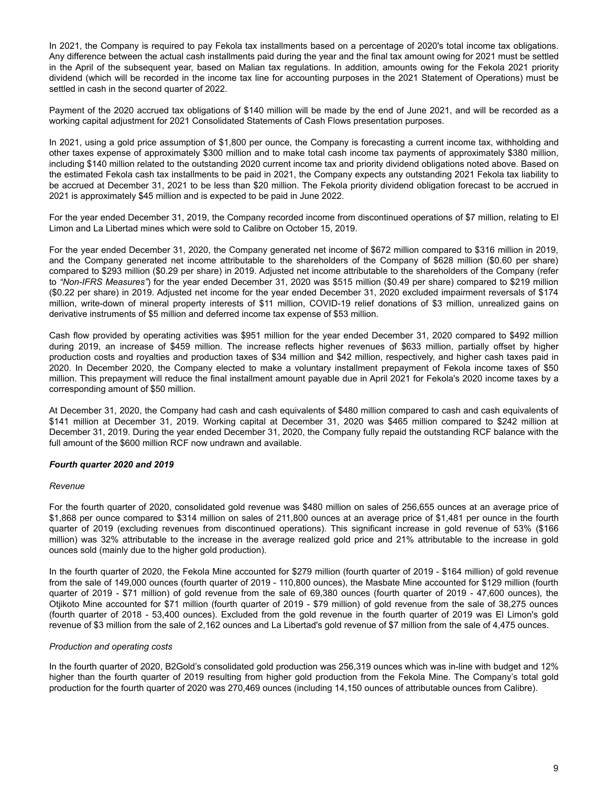In 2021, the Company is required to pay Fekola tax installments based on a percentage of 2020's total income tax obligations. Any difference between the actual cash installments paid during the year and the final tax amount owing for 2021 must be settled in the April of the subsequent year, based on Malian tax regulations. In addition, amounts owing for the Fekola 2021 priority dividend (which will be recorded in the income tax line for accounting purposes in the 2021 Statement of Operations) must be settled in cash in the second quarter of 2022.

Payment of the 2020 accrued tax obligations of \$140 million will be made by the end of June 2021, and will be recorded as a working capital adjustment for 2021 Consolidated Statements of Cash Flows presentation purposes.

In 2021, using a gold price assumption of \$1,800 per ounce, the Company is forecasting a current income tax, withholding and other taxes expense of approximately \$300 million and to make total cash income tax payments of approximately \$380 million, including \$140 million related to the outstanding 2020 current income tax and priority dividend obligations noted above. Based on the estimated Fekola cash tax installments to be paid in 2021, the Company expects any outstanding 2021 Fekola tax liability to be accrued at December 31, 2021 to be less than \$20 million. The Fekola priority dividend obligation forecast to be accrued in 2021 is approximately \$45 million and is expected to be paid in June 2022.

For the year ended December 31, 2019, the Company recorded income from discontinued operations of \$7 million, relating to El Limon and La Libertad mines which were sold to Calibre on October 15, 2019.

For the year ended December 31, 2020, the Company generated net income of \$672 million compared to \$316 million in 2019, and the Company generated net income attributable to the shareholders of the Company of \$628 million (\$0.60 per share) compared to \$293 million (\$0.29 per share) in 2019. Adjusted net income attributable to the shareholders of the Company (refer to *"Non-IFRS Measures"*) for the year ended December 31, 2020 was \$515 million (\$0.49 per share) compared to \$219 million (\$0.22 per share) in 2019. Adjusted net income for the year ended December 31, 2020 excluded impairment reversals of \$174 million, write-down of mineral property interests of \$11 million, COVID-19 relief donations of \$3 million, unrealized gains on derivative instruments of \$5 million and deferred income tax expense of \$53 million.

Cash flow provided by operating activities was \$951 million for the year ended December 31, 2020 compared to \$492 million during 2019, an increase of \$459 million. The increase reflects higher revenues of \$633 million, partially offset by higher production costs and royalties and production taxes of \$34 million and \$42 million, respectively, and higher cash taxes paid in 2020. In December 2020, the Company elected to make a voluntary installment prepayment of Fekola income taxes of \$50 million. This prepayment will reduce the final installment amount payable due in April 2021 for Fekola's 2020 income taxes by a corresponding amount of \$50 million.

At December 31, 2020, the Company had cash and cash equivalents of \$480 million compared to cash and cash equivalents of \$141 million at December 31, 2019. Working capital at December 31, 2020 was \$465 million compared to \$242 million at December 31, 2019. During the year ended December 31, 2020, the Company fully repaid the outstanding RCF balance with the full amount of the \$600 million RCF now undrawn and available.

# *Fourth quarter 2020 and 2019*

#### *Revenue*

For the fourth quarter of 2020, consolidated gold revenue was \$480 million on sales of 256,655 ounces at an average price of \$1,868 per ounce compared to \$314 million on sales of 211,800 ounces at an average price of \$1,481 per ounce in the fourth quarter of 2019 (excluding revenues from discontinued operations). This significant increase in gold revenue of 53% (\$166 million) was 32% attributable to the increase in the average realized gold price and 21% attributable to the increase in gold ounces sold (mainly due to the higher gold production).

In the fourth quarter of 2020, the Fekola Mine accounted for \$279 million (fourth quarter of 2019 - \$164 million) of gold revenue from the sale of 149,000 ounces (fourth quarter of 2019 - 110,800 ounces), the Masbate Mine accounted for \$129 million (fourth quarter of 2019 - \$71 million) of gold revenue from the sale of 69,380 ounces (fourth quarter of 2019 - 47,600 ounces), the Otjikoto Mine accounted for \$71 million (fourth quarter of 2019 - \$79 million) of gold revenue from the sale of 38,275 ounces (fourth quarter of 2018 - 53,400 ounces). Excluded from the gold revenue in the fourth quarter of 2019 was El Limon's gold revenue of \$3 million from the sale of 2,162 ounces and La Libertad's gold revenue of \$7 million from the sale of 4,475 ounces.

### *Production and operating costs*

In the fourth quarter of 2020, B2Gold's consolidated gold production was 256,319 ounces which was in-line with budget and 12% higher than the fourth quarter of 2019 resulting from higher gold production from the Fekola Mine. The Company's total gold production for the fourth quarter of 2020 was 270,469 ounces (including 14,150 ounces of attributable ounces from Calibre).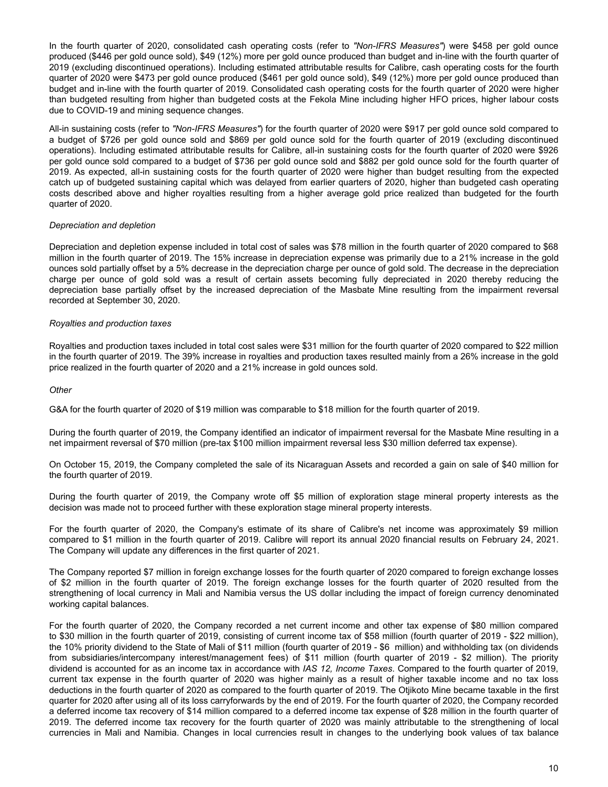In the fourth quarter of 2020, consolidated cash operating costs (refer to *"Non-IFRS Measures"*) were \$458 per gold ounce produced (\$446 per gold ounce sold), \$49 (12%) more per gold ounce produced than budget and in-line with the fourth quarter of 2019 (excluding discontinued operations). Including estimated attributable results for Calibre, cash operating costs for the fourth quarter of 2020 were \$473 per gold ounce produced (\$461 per gold ounce sold), \$49 (12%) more per gold ounce produced than budget and in-line with the fourth quarter of 2019. Consolidated cash operating costs for the fourth quarter of 2020 were higher than budgeted resulting from higher than budgeted costs at the Fekola Mine including higher HFO prices, higher labour costs due to COVID-19 and mining sequence changes.

All-in sustaining costs (refer to *"Non-IFRS Measures"*) for the fourth quarter of 2020 were \$917 per gold ounce sold compared to a budget of \$726 per gold ounce sold and \$869 per gold ounce sold for the fourth quarter of 2019 (excluding discontinued operations). Including estimated attributable results for Calibre, all-in sustaining costs for the fourth quarter of 2020 were \$926 per gold ounce sold compared to a budget of \$736 per gold ounce sold and \$882 per gold ounce sold for the fourth quarter of 2019. As expected, all-in sustaining costs for the fourth quarter of 2020 were higher than budget resulting from the expected catch up of budgeted sustaining capital which was delayed from earlier quarters of 2020, higher than budgeted cash operating costs described above and higher royalties resulting from a higher average gold price realized than budgeted for the fourth quarter of 2020.

### *Depreciation and depletion*

Depreciation and depletion expense included in total cost of sales was \$78 million in the fourth quarter of 2020 compared to \$68 million in the fourth quarter of 2019. The 15% increase in depreciation expense was primarily due to a 21% increase in the gold ounces sold partially offset by a 5% decrease in the depreciation charge per ounce of gold sold. The decrease in the depreciation charge per ounce of gold sold was a result of certain assets becoming fully depreciated in 2020 thereby reducing the depreciation base partially offset by the increased depreciation of the Masbate Mine resulting from the impairment reversal recorded at September 30, 2020.

#### *Royalties and production taxes*

Royalties and production taxes included in total cost sales were \$31 million for the fourth quarter of 2020 compared to \$22 million in the fourth quarter of 2019. The 39% increase in royalties and production taxes resulted mainly from a 26% increase in the gold price realized in the fourth quarter of 2020 and a 21% increase in gold ounces sold.

#### *Other*

G&A for the fourth quarter of 2020 of \$19 million was comparable to \$18 million for the fourth quarter of 2019.

During the fourth quarter of 2019, the Company identified an indicator of impairment reversal for the Masbate Mine resulting in a net impairment reversal of \$70 million (pre-tax \$100 million impairment reversal less \$30 million deferred tax expense).

On October 15, 2019, the Company completed the sale of its Nicaraguan Assets and recorded a gain on sale of \$40 million for the fourth quarter of 2019.

During the fourth quarter of 2019, the Company wrote off \$5 million of exploration stage mineral property interests as the decision was made not to proceed further with these exploration stage mineral property interests.

For the fourth quarter of 2020, the Company's estimate of its share of Calibre's net income was approximately \$9 million compared to \$1 million in the fourth quarter of 2019. Calibre will report its annual 2020 financial results on February 24, 2021. The Company will update any differences in the first quarter of 2021.

The Company reported \$7 million in foreign exchange losses for the fourth quarter of 2020 compared to foreign exchange losses of \$2 million in the fourth quarter of 2019. The foreign exchange losses for the fourth quarter of 2020 resulted from the strengthening of local currency in Mali and Namibia versus the US dollar including the impact of foreign currency denominated working capital balances.

For the fourth quarter of 2020, the Company recorded a net current income and other tax expense of \$80 million compared to \$30 million in the fourth quarter of 2019, consisting of current income tax of \$58 million (fourth quarter of 2019 - \$22 million), the 10% priority dividend to the State of Mali of \$11 million (fourth quarter of 2019 - \$6 million) and withholding tax (on dividends from subsidiaries/intercompany interest/management fees) of \$11 million (fourth quarter of 2019 - \$2 million). The priority dividend is accounted for as an income tax in accordance with *IAS 12, Income Taxes*. Compared to the fourth quarter of 2019, current tax expense in the fourth quarter of 2020 was higher mainly as a result of higher taxable income and no tax loss deductions in the fourth quarter of 2020 as compared to the fourth quarter of 2019. The Otjikoto Mine became taxable in the first quarter for 2020 after using all of its loss carryforwards by the end of 2019. For the fourth quarter of 2020, the Company recorded a deferred income tax recovery of \$14 million compared to a deferred income tax expense of \$28 million in the fourth quarter of 2019. The deferred income tax recovery for the fourth quarter of 2020 was mainly attributable to the strengthening of local currencies in Mali and Namibia. Changes in local currencies result in changes to the underlying book values of tax balance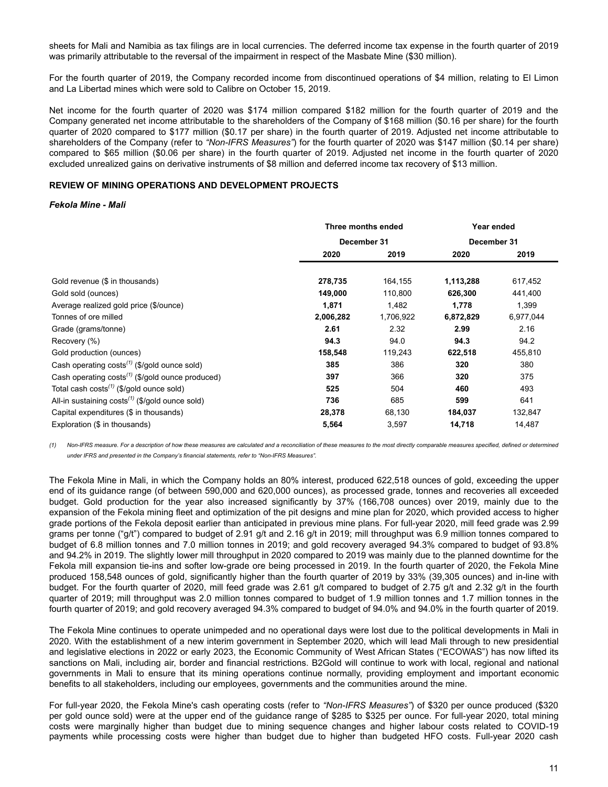<span id="page-10-0"></span>sheets for Mali and Namibia as tax filings are in local currencies. The deferred income tax expense in the fourth quarter of 2019 was primarily attributable to the reversal of the impairment in respect of the Masbate Mine (\$30 million).

For the fourth quarter of 2019, the Company recorded income from discontinued operations of \$4 million, relating to El Limon and La Libertad mines which were sold to Calibre on October 15, 2019.

Net income for the fourth quarter of 2020 was \$174 million compared \$182 million for the fourth quarter of 2019 and the Company generated net income attributable to the shareholders of the Company of \$168 million (\$0.16 per share) for the fourth quarter of 2020 compared to \$177 million (\$0.17 per share) in the fourth quarter of 2019. Adjusted net income attributable to shareholders of the Company (refer to *"Non-IFRS Measures"*) for the fourth quarter of 2020 was \$147 million (\$0.14 per share) compared to \$65 million (\$0.06 per share) in the fourth quarter of 2019. Adjusted net income in the fourth quarter of 2020 excluded unrealized gains on derivative instruments of \$8 million and deferred income tax recovery of \$13 million.

### **REVIEW OF MINING OPERATIONS AND DEVELOPMENT PROJECTS**

#### *Fekola Mine - Mali*

|                                                              | Three months ended |           | Year ended  |           |
|--------------------------------------------------------------|--------------------|-----------|-------------|-----------|
|                                                              | December 31        |           | December 31 |           |
|                                                              | 2020               | 2019      | 2020        | 2019      |
|                                                              |                    |           |             |           |
| Gold revenue (\$ in thousands)                               | 278,735            | 164,155   | 1,113,288   | 617,452   |
| Gold sold (ounces)                                           | 149,000            | 110,800   | 626,300     | 441,400   |
| Average realized gold price (\$/ounce)                       | 1,871              | 1,482     | 1,778       | 1,399     |
| Tonnes of ore milled                                         | 2,006,282          | 1,706,922 | 6,872,829   | 6,977,044 |
| Grade (grams/tonne)                                          | 2.61               | 2.32      | 2.99        | 2.16      |
| Recovery (%)                                                 | 94.3               | 94.0      | 94.3        | 94.2      |
| Gold production (ounces)                                     | 158,548            | 119,243   | 622,518     | 455,810   |
| Cash operating $costs^{(1)}$ (\$/gold ounce sold)            | 385                | 386       | 320         | 380       |
| Cash operating costs <sup>(1)</sup> (\$/gold ounce produced) | 397                | 366       | 320         | 375       |
| Total cash costs <sup>(1)</sup> (\$/gold ounce sold)         | 525                | 504       | 460         | 493       |
| All-in sustaining $costs^{(1)}$ (\$/gold ounce sold)         | 736                | 685       | 599         | 641       |
| Capital expenditures (\$ in thousands)                       | 28,378             | 68,130    | 184,037     | 132,847   |
| Exploration (\$ in thousands)                                | 5,564              | 3,597     | 14.718      | 14.487    |

*(1) Non-IFRS measure. For a description of how these measures are calculated and a reconciliation of these measures to the most directly comparable measures specified, defined or determined under IFRS and presented in the Company's financial statements, refer to "Non-IFRS Measures".*

The Fekola Mine in Mali, in which the Company holds an 80% interest, produced 622,518 ounces of gold, exceeding the upper end of its guidance range (of between 590,000 and 620,000 ounces), as processed grade, tonnes and recoveries all exceeded budget. Gold production for the year also increased significantly by 37% (166,708 ounces) over 2019, mainly due to the expansion of the Fekola mining fleet and optimization of the pit designs and mine plan for 2020, which provided access to higher grade portions of the Fekola deposit earlier than anticipated in previous mine plans. For full-year 2020, mill feed grade was 2.99 grams per tonne ("g/t") compared to budget of 2.91 g/t and 2.16 g/t in 2019; mill throughput was 6.9 million tonnes compared to budget of 6.8 million tonnes and 7.0 million tonnes in 2019; and gold recovery averaged 94.3% compared to budget of 93.8% and 94.2% in 2019. The slightly lower mill throughput in 2020 compared to 2019 was mainly due to the planned downtime for the Fekola mill expansion tie-ins and softer low-grade ore being processed in 2019. In the fourth quarter of 2020, the Fekola Mine produced 158,548 ounces of gold, significantly higher than the fourth quarter of 2019 by 33% (39,305 ounces) and in-line with budget. For the fourth quarter of 2020, mill feed grade was 2.61 g/t compared to budget of 2.75 g/t and 2.32 g/t in the fourth quarter of 2019; mill throughput was 2.0 million tonnes compared to budget of 1.9 million tonnes and 1.7 million tonnes in the fourth quarter of 2019; and gold recovery averaged 94.3% compared to budget of 94.0% and 94.0% in the fourth quarter of 2019.

The Fekola Mine continues to operate unimpeded and no operational days were lost due to the political developments in Mali in 2020. With the establishment of a new interim government in September 2020, which will lead Mali through to new presidential and legislative elections in 2022 or early 2023, the Economic Community of West African States ("ECOWAS") has now lifted its sanctions on Mali, including air, border and financial restrictions. B2Gold will continue to work with local, regional and national governments in Mali to ensure that its mining operations continue normally, providing employment and important economic benefits to all stakeholders, including our employees, governments and the communities around the mine.

For full-year 2020, the Fekola Mine's cash operating costs (refer to *"Non-IFRS Measures"*) of \$320 per ounce produced (\$320 per gold ounce sold) were at the upper end of the guidance range of \$285 to \$325 per ounce. For full-year 2020, total mining costs were marginally higher than budget due to mining sequence changes and higher labour costs related to COVID-19 payments while processing costs were higher than budget due to higher than budgeted HFO costs. Full-year 2020 cash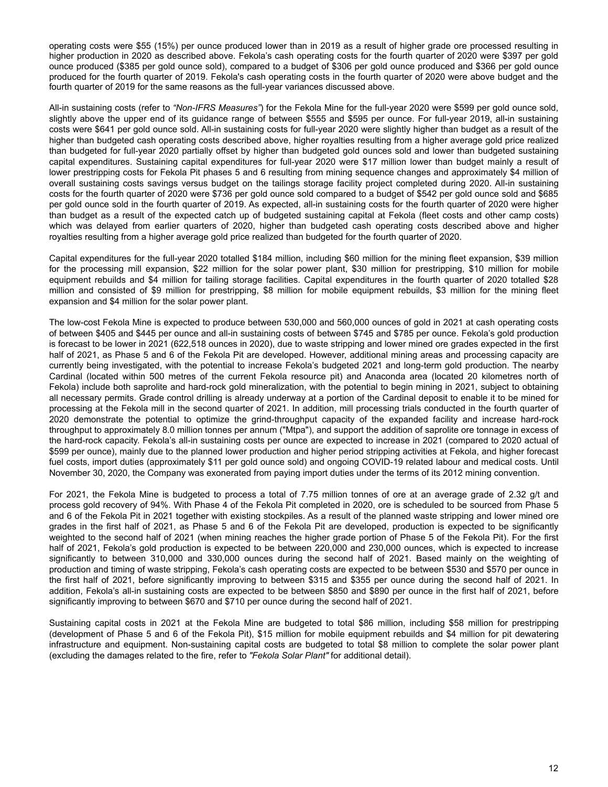operating costs were \$55 (15%) per ounce produced lower than in 2019 as a result of higher grade ore processed resulting in higher production in 2020 as described above. Fekola's cash operating costs for the fourth quarter of 2020 were \$397 per gold ounce produced (\$385 per gold ounce sold), compared to a budget of \$306 per gold ounce produced and \$366 per gold ounce produced for the fourth quarter of 2019. Fekola's cash operating costs in the fourth quarter of 2020 were above budget and the fourth quarter of 2019 for the same reasons as the full-year variances discussed above.

All-in sustaining costs (refer to *"Non-IFRS Measures"*) for the Fekola Mine for the full-year 2020 were \$599 per gold ounce sold, slightly above the upper end of its guidance range of between \$555 and \$595 per ounce. For full-year 2019, all-in sustaining costs were \$641 per gold ounce sold. All-in sustaining costs for full-year 2020 were slightly higher than budget as a result of the higher than budgeted cash operating costs described above, higher royalties resulting from a higher average gold price realized than budgeted for full-year 2020 partially offset by higher than budgeted gold ounces sold and lower than budgeted sustaining capital expenditures. Sustaining capital expenditures for full-year 2020 were \$17 million lower than budget mainly a result of lower prestripping costs for Fekola Pit phases 5 and 6 resulting from mining sequence changes and approximately \$4 million of overall sustaining costs savings versus budget on the tailings storage facility project completed during 2020. All-in sustaining costs for the fourth quarter of 2020 were \$736 per gold ounce sold compared to a budget of \$542 per gold ounce sold and \$685 per gold ounce sold in the fourth quarter of 2019. As expected, all-in sustaining costs for the fourth quarter of 2020 were higher than budget as a result of the expected catch up of budgeted sustaining capital at Fekola (fleet costs and other camp costs) which was delayed from earlier quarters of 2020, higher than budgeted cash operating costs described above and higher royalties resulting from a higher average gold price realized than budgeted for the fourth quarter of 2020.

Capital expenditures for the full-year 2020 totalled \$184 million, including \$60 million for the mining fleet expansion, \$39 million for the processing mill expansion, \$22 million for the solar power plant, \$30 million for prestripping, \$10 million for mobile equipment rebuilds and \$4 million for tailing storage facilities. Capital expenditures in the fourth quarter of 2020 totalled \$28 million and consisted of \$9 million for prestripping, \$8 million for mobile equipment rebuilds, \$3 million for the mining fleet expansion and \$4 million for the solar power plant.

The low-cost Fekola Mine is expected to produce between 530,000 and 560,000 ounces of gold in 2021 at cash operating costs of between \$405 and \$445 per ounce and all-in sustaining costs of between \$745 and \$785 per ounce. Fekola's gold production is forecast to be lower in 2021 (622,518 ounces in 2020), due to waste stripping and lower mined ore grades expected in the first half of 2021, as Phase 5 and 6 of the Fekola Pit are developed. However, additional mining areas and processing capacity are currently being investigated, with the potential to increase Fekola's budgeted 2021 and long-term gold production. The nearby Cardinal (located within 500 metres of the current Fekola resource pit) and Anaconda area (located 20 kilometres north of Fekola) include both saprolite and hard-rock gold mineralization, with the potential to begin mining in 2021, subject to obtaining all necessary permits. Grade control drilling is already underway at a portion of the Cardinal deposit to enable it to be mined for processing at the Fekola mill in the second quarter of 2021. In addition, mill processing trials conducted in the fourth quarter of 2020 demonstrate the potential to optimize the grind-throughput capacity of the expanded facility and increase hard-rock throughput to approximately 8.0 million tonnes per annum ("Mtpa"), and support the addition of saprolite ore tonnage in excess of the hard-rock capacity. Fekola's all-in sustaining costs per ounce are expected to increase in 2021 (compared to 2020 actual of \$599 per ounce), mainly due to the planned lower production and higher period stripping activities at Fekola, and higher forecast fuel costs, import duties (approximately \$11 per gold ounce sold) and ongoing COVID-19 related labour and medical costs. Until November 30, 2020, the Company was exonerated from paying import duties under the terms of its 2012 mining convention.

For 2021, the Fekola Mine is budgeted to process a total of 7.75 million tonnes of ore at an average grade of 2.32 g/t and process gold recovery of 94%. With Phase 4 of the Fekola Pit completed in 2020, ore is scheduled to be sourced from Phase 5 and 6 of the Fekola Pit in 2021 together with existing stockpiles. As a result of the planned waste stripping and lower mined ore grades in the first half of 2021, as Phase 5 and 6 of the Fekola Pit are developed, production is expected to be significantly weighted to the second half of 2021 (when mining reaches the higher grade portion of Phase 5 of the Fekola Pit). For the first half of 2021, Fekola's gold production is expected to be between 220,000 and 230,000 ounces, which is expected to increase significantly to between 310,000 and 330,000 ounces during the second half of 2021. Based mainly on the weighting of production and timing of waste stripping, Fekola's cash operating costs are expected to be between \$530 and \$570 per ounce in the first half of 2021, before significantly improving to between \$315 and \$355 per ounce during the second half of 2021. In addition, Fekola's all-in sustaining costs are expected to be between \$850 and \$890 per ounce in the first half of 2021, before significantly improving to between \$670 and \$710 per ounce during the second half of 2021.

Sustaining capital costs in 2021 at the Fekola Mine are budgeted to total \$86 million, including \$58 million for prestripping (development of Phase 5 and 6 of the Fekola Pit), \$15 million for mobile equipment rebuilds and \$4 million for pit dewatering infrastructure and equipment. Non-sustaining capital costs are budgeted to total \$8 million to complete the solar power plant (excluding the damages related to the fire, refer to *"Fekola Solar Plant"* for additional detail).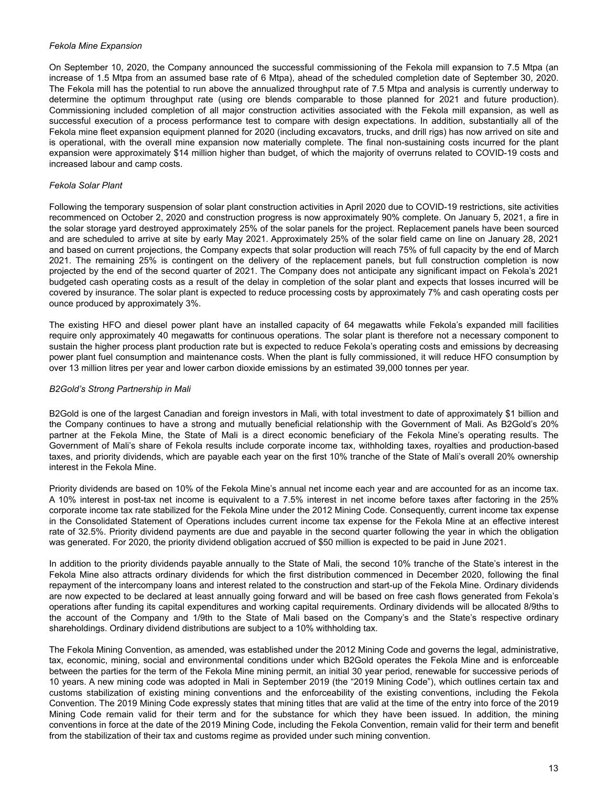#### *Fekola Mine Expansion*

On September 10, 2020, the Company announced the successful commissioning of the Fekola mill expansion to 7.5 Mtpa (an increase of 1.5 Mtpa from an assumed base rate of 6 Mtpa), ahead of the scheduled completion date of September 30, 2020. The Fekola mill has the potential to run above the annualized throughput rate of 7.5 Mtpa and analysis is currently underway to determine the optimum throughput rate (using ore blends comparable to those planned for 2021 and future production). Commissioning included completion of all major construction activities associated with the Fekola mill expansion, as well as successful execution of a process performance test to compare with design expectations. In addition, substantially all of the Fekola mine fleet expansion equipment planned for 2020 (including excavators, trucks, and drill rigs) has now arrived on site and is operational, with the overall mine expansion now materially complete. The final non-sustaining costs incurred for the plant expansion were approximately \$14 million higher than budget, of which the majority of overruns related to COVID-19 costs and increased labour and camp costs.

### *Fekola Solar Plant*

Following the temporary suspension of solar plant construction activities in April 2020 due to COVID-19 restrictions, site activities recommenced on October 2, 2020 and construction progress is now approximately 90% complete. On January 5, 2021, a fire in the solar storage yard destroyed approximately 25% of the solar panels for the project. Replacement panels have been sourced and are scheduled to arrive at site by early May 2021. Approximately 25% of the solar field came on line on January 28, 2021 and based on current projections, the Company expects that solar production will reach 75% of full capacity by the end of March 2021. The remaining 25% is contingent on the delivery of the replacement panels, but full construction completion is now projected by the end of the second quarter of 2021. The Company does not anticipate any significant impact on Fekola's 2021 budgeted cash operating costs as a result of the delay in completion of the solar plant and expects that losses incurred will be covered by insurance. The solar plant is expected to reduce processing costs by approximately 7% and cash operating costs per ounce produced by approximately 3%.

The existing HFO and diesel power plant have an installed capacity of 64 megawatts while Fekola's expanded mill facilities require only approximately 40 megawatts for continuous operations. The solar plant is therefore not a necessary component to sustain the higher process plant production rate but is expected to reduce Fekola's operating costs and emissions by decreasing power plant fuel consumption and maintenance costs. When the plant is fully commissioned, it will reduce HFO consumption by over 13 million litres per year and lower carbon dioxide emissions by an estimated 39,000 tonnes per year.

#### *B2Gold's Strong Partnership in Mali*

B2Gold is one of the largest Canadian and foreign investors in Mali, with total investment to date of approximately \$1 billion and the Company continues to have a strong and mutually beneficial relationship with the Government of Mali. As B2Gold's 20% partner at the Fekola Mine, the State of Mali is a direct economic beneficiary of the Fekola Mine's operating results. The Government of Mali's share of Fekola results include corporate income tax, withholding taxes, royalties and production-based taxes, and priority dividends, which are payable each year on the first 10% tranche of the State of Mali's overall 20% ownership interest in the Fekola Mine.

Priority dividends are based on 10% of the Fekola Mine's annual net income each year and are accounted for as an income tax. A 10% interest in post-tax net income is equivalent to a 7.5% interest in net income before taxes after factoring in the 25% corporate income tax rate stabilized for the Fekola Mine under the 2012 Mining Code. Consequently, current income tax expense in the Consolidated Statement of Operations includes current income tax expense for the Fekola Mine at an effective interest rate of 32.5%. Priority dividend payments are due and payable in the second quarter following the year in which the obligation was generated. For 2020, the priority dividend obligation accrued of \$50 million is expected to be paid in June 2021.

In addition to the priority dividends payable annually to the State of Mali, the second 10% tranche of the State's interest in the Fekola Mine also attracts ordinary dividends for which the first distribution commenced in December 2020, following the final repayment of the intercompany loans and interest related to the construction and start-up of the Fekola Mine. Ordinary dividends are now expected to be declared at least annually going forward and will be based on free cash flows generated from Fekola's operations after funding its capital expenditures and working capital requirements. Ordinary dividends will be allocated 8/9ths to the account of the Company and 1/9th to the State of Mali based on the Company's and the State's respective ordinary shareholdings. Ordinary dividend distributions are subject to a 10% withholding tax.

The Fekola Mining Convention, as amended, was established under the 2012 Mining Code and governs the legal, administrative, tax, economic, mining, social and environmental conditions under which B2Gold operates the Fekola Mine and is enforceable between the parties for the term of the Fekola Mine mining permit, an initial 30 year period, renewable for successive periods of 10 years. A new mining code was adopted in Mali in September 2019 (the "2019 Mining Code"), which outlines certain tax and customs stabilization of existing mining conventions and the enforceability of the existing conventions, including the Fekola Convention. The 2019 Mining Code expressly states that mining titles that are valid at the time of the entry into force of the 2019 Mining Code remain valid for their term and for the substance for which they have been issued. In addition, the mining conventions in force at the date of the 2019 Mining Code, including the Fekola Convention, remain valid for their term and benefit from the stabilization of their tax and customs regime as provided under such mining convention.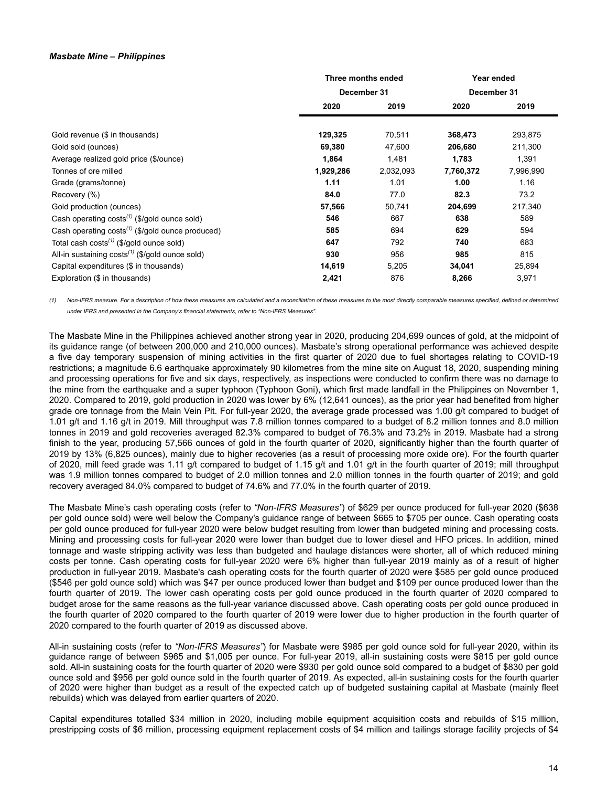#### *Masbate Mine – Philippines*

|                                                                   | Three months ended |           | Year ended  |           |
|-------------------------------------------------------------------|--------------------|-----------|-------------|-----------|
|                                                                   | December 31        |           | December 31 |           |
|                                                                   | 2020               | 2019      | 2020        | 2019      |
| Gold revenue (\$ in thousands)                                    | 129,325            | 70,511    | 368,473     | 293,875   |
| Gold sold (ounces)                                                | 69,380             | 47,600    | 206,680     | 211,300   |
| Average realized gold price (\$/ounce)                            | 1,864              | 1,481     | 1,783       | 1,391     |
| Tonnes of ore milled                                              | 1,929,286          | 2,032,093 | 7,760,372   | 7,996,990 |
| Grade (grams/tonne)                                               | 1.11               | 1.01      | 1.00        | 1.16      |
| Recovery (%)                                                      | 84.0               | 77.0      | 82.3        | 73.2      |
| Gold production (ounces)                                          | 57,566             | 50,741    | 204,699     | 217,340   |
| Cash operating $costs^{(1)}$ (\$/gold ounce sold)                 | 546                | 667       | 638         | 589       |
| Cash operating $costs^{(1)}$ (\$/gold ounce produced)             | 585                | 694       | 629         | 594       |
| Total cash costs <sup><math>(1)</math></sup> (\$/gold ounce sold) | 647                | 792       | 740         | 683       |
| All-in sustaining $costs^{(1)}$ (\$/gold ounce sold)              | 930                | 956       | 985         | 815       |
| Capital expenditures (\$ in thousands)                            | 14,619             | 5,205     | 34,041      | 25,894    |
| Exploration (\$ in thousands)                                     | 2,421              | 876       | 8,266       | 3,971     |

*(1) Non-IFRS measure. For a description of how these measures are calculated and a reconciliation of these measures to the most directly comparable measures specified, defined or determined under IFRS and presented in the Company's financial statements, refer to "Non-IFRS Measures".*

The Masbate Mine in the Philippines achieved another strong year in 2020, producing 204,699 ounces of gold, at the midpoint of its guidance range (of between 200,000 and 210,000 ounces). Masbate's strong operational performance was achieved despite a five day temporary suspension of mining activities in the first quarter of 2020 due to fuel shortages relating to COVID-19 restrictions; a magnitude 6.6 earthquake approximately 90 kilometres from the mine site on August 18, 2020, suspending mining and processing operations for five and six days, respectively, as inspections were conducted to confirm there was no damage to the mine from the earthquake and a super typhoon (Typhoon Goni), which first made landfall in the Philippines on November 1, 2020. Compared to 2019, gold production in 2020 was lower by 6% (12,641 ounces), as the prior year had benefited from higher grade ore tonnage from the Main Vein Pit. For full-year 2020, the average grade processed was 1.00 g/t compared to budget of 1.01 g/t and 1.16 g/t in 2019. Mill throughput was 7.8 million tonnes compared to a budget of 8.2 million tonnes and 8.0 million tonnes in 2019 and gold recoveries averaged 82.3% compared to budget of 76.3% and 73.2% in 2019. Masbate had a strong finish to the year, producing 57,566 ounces of gold in the fourth quarter of 2020, significantly higher than the fourth quarter of 2019 by 13% (6,825 ounces), mainly due to higher recoveries (as a result of processing more oxide ore). For the fourth quarter of 2020, mill feed grade was 1.11 g/t compared to budget of 1.15 g/t and 1.01 g/t in the fourth quarter of 2019; mill throughput was 1.9 million tonnes compared to budget of 2.0 million tonnes and 2.0 million tonnes in the fourth quarter of 2019; and gold recovery averaged 84.0% compared to budget of 74.6% and 77.0% in the fourth quarter of 2019.

The Masbate Mine's cash operating costs (refer to *"Non-IFRS Measures"*) of \$629 per ounce produced for full-year 2020 (\$638 per gold ounce sold) were well below the Company's guidance range of between \$665 to \$705 per ounce. Cash operating costs per gold ounce produced for full-year 2020 were below budget resulting from lower than budgeted mining and processing costs. Mining and processing costs for full-year 2020 were lower than budget due to lower diesel and HFO prices. In addition, mined tonnage and waste stripping activity was less than budgeted and haulage distances were shorter, all of which reduced mining costs per tonne. Cash operating costs for full-year 2020 were 6% higher than full-year 2019 mainly as of a result of higher production in full-year 2019. Masbate's cash operating costs for the fourth quarter of 2020 were \$585 per gold ounce produced (\$546 per gold ounce sold) which was \$47 per ounce produced lower than budget and \$109 per ounce produced lower than the fourth quarter of 2019. The lower cash operating costs per gold ounce produced in the fourth quarter of 2020 compared to budget arose for the same reasons as the full-year variance discussed above. Cash operating costs per gold ounce produced in the fourth quarter of 2020 compared to the fourth quarter of 2019 were lower due to higher production in the fourth quarter of 2020 compared to the fourth quarter of 2019 as discussed above.

All-in sustaining costs (refer to *"Non-IFRS Measures"*) for Masbate were \$985 per gold ounce sold for full-year 2020, within its guidance range of between \$965 and \$1,005 per ounce. For full-year 2019, all-in sustaining costs were \$815 per gold ounce sold. All-in sustaining costs for the fourth quarter of 2020 were \$930 per gold ounce sold compared to a budget of \$830 per gold ounce sold and \$956 per gold ounce sold in the fourth quarter of 2019. As expected, all-in sustaining costs for the fourth quarter of 2020 were higher than budget as a result of the expected catch up of budgeted sustaining capital at Masbate (mainly fleet rebuilds) which was delayed from earlier quarters of 2020.

Capital expenditures totalled \$34 million in 2020, including mobile equipment acquisition costs and rebuilds of \$15 million, prestripping costs of \$6 million, processing equipment replacement costs of \$4 million and tailings storage facility projects of \$4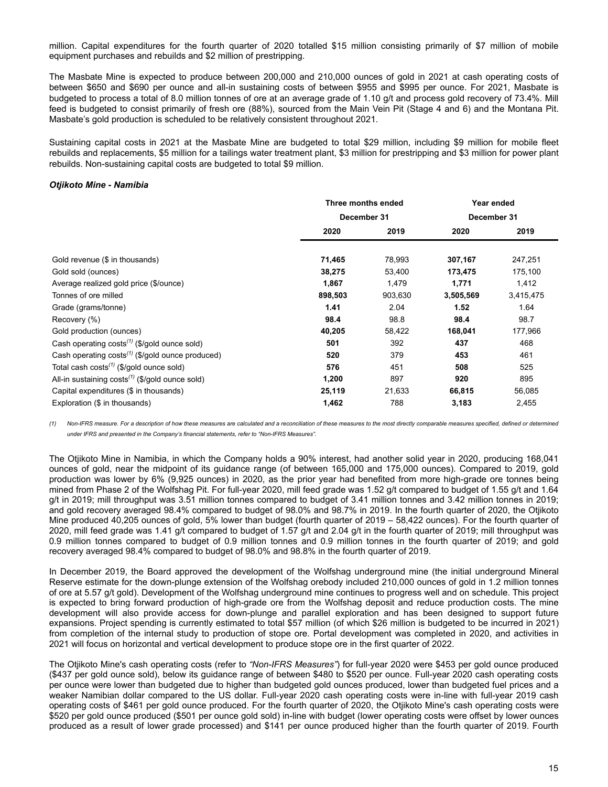million. Capital expenditures for the fourth quarter of 2020 totalled \$15 million consisting primarily of \$7 million of mobile equipment purchases and rebuilds and \$2 million of prestripping.

The Masbate Mine is expected to produce between 200,000 and 210,000 ounces of gold in 2021 at cash operating costs of between \$650 and \$690 per ounce and all-in sustaining costs of between \$955 and \$995 per ounce. For 2021, Masbate is budgeted to process a total of 8.0 million tonnes of ore at an average grade of 1.10 g/t and process gold recovery of 73.4%. Mill feed is budgeted to consist primarily of fresh ore (88%), sourced from the Main Vein Pit (Stage 4 and 6) and the Montana Pit. Masbate's gold production is scheduled to be relatively consistent throughout 2021.

Sustaining capital costs in 2021 at the Masbate Mine are budgeted to total \$29 million, including \$9 million for mobile fleet rebuilds and replacements, \$5 million for a tailings water treatment plant, \$3 million for prestripping and \$3 million for power plant rebuilds. Non-sustaining capital costs are budgeted to total \$9 million.

# *Otjikoto Mine - Namibia*

|                                                          |             | Three months ended | Year ended  |           |
|----------------------------------------------------------|-------------|--------------------|-------------|-----------|
|                                                          | December 31 |                    | December 31 |           |
|                                                          | 2020        | 2019               | 2020        | 2019      |
| Gold revenue (\$ in thousands)                           | 71,465      | 78,993             | 307,167     | 247,251   |
| Gold sold (ounces)                                       | 38,275      | 53,400             | 173,475     | 175,100   |
| Average realized gold price (\$/ounce)                   | 1,867       | 1,479              | 1,771       | 1,412     |
| Tonnes of ore milled                                     | 898,503     | 903,630            | 3,505,569   | 3,415,475 |
| Grade (grams/tonne)                                      | 1.41        | 2.04               | 1.52        | 1.64      |
| Recovery (%)                                             | 98.4        | 98.8               | 98.4        | 98.7      |
| Gold production (ounces)                                 | 40,205      | 58,422             | 168,041     | 177,966   |
| Cash operating costs <sup>(1)</sup> (\$/gold ounce sold) | 501         | 392                | 437         | 468       |
| Cash operating $costs^{(1)}$ (\$/gold ounce produced)    | 520         | 379                | 453         | 461       |
| Total cash $costs^{(1)}$ (\$/gold ounce sold)            | 576         | 451                | 508         | 525       |
| All-in sustaining $costs^{(1)}$ (\$/gold ounce sold)     | 1,200       | 897                | 920         | 895       |
| Capital expenditures (\$ in thousands)                   | 25,119      | 21,633             | 66,815      | 56,085    |
| Exploration (\$ in thousands)                            | 1,462       | 788                | 3,183       | 2,455     |

*(1) Non-IFRS measure. For a description of how these measures are calculated and a reconciliation of these measures to the most directly comparable measures specified, defined or determined under IFRS and presented in the Company's financial statements, refer to "Non-IFRS Measures".*

The Otjikoto Mine in Namibia, in which the Company holds a 90% interest, had another solid year in 2020, producing 168,041 ounces of gold, near the midpoint of its guidance range (of between 165,000 and 175,000 ounces). Compared to 2019, gold production was lower by 6% (9,925 ounces) in 2020, as the prior year had benefited from more high-grade ore tonnes being mined from Phase 2 of the Wolfshag Pit. For full-year 2020, mill feed grade was 1.52 g/t compared to budget of 1.55 g/t and 1.64 g/t in 2019; mill throughput was 3.51 million tonnes compared to budget of 3.41 million tonnes and 3.42 million tonnes in 2019; and gold recovery averaged 98.4% compared to budget of 98.0% and 98.7% in 2019. In the fourth quarter of 2020, the Otjikoto Mine produced 40,205 ounces of gold, 5% lower than budget (fourth quarter of 2019 – 58,422 ounces). For the fourth quarter of 2020, mill feed grade was 1.41 g/t compared to budget of 1.57 g/t and 2.04 g/t in the fourth quarter of 2019; mill throughput was 0.9 million tonnes compared to budget of 0.9 million tonnes and 0.9 million tonnes in the fourth quarter of 2019; and gold recovery averaged 98.4% compared to budget of 98.0% and 98.8% in the fourth quarter of 2019.

In December 2019, the Board approved the development of the Wolfshag underground mine (the initial underground Mineral Reserve estimate for the down-plunge extension of the Wolfshag orebody included 210,000 ounces of gold in 1.2 million tonnes of ore at 5.57 g/t gold). Development of the Wolfshag underground mine continues to progress well and on schedule. This project is expected to bring forward production of high-grade ore from the Wolfshag deposit and reduce production costs. The mine development will also provide access for down-plunge and parallel exploration and has been designed to support future expansions. Project spending is currently estimated to total \$57 million (of which \$26 million is budgeted to be incurred in 2021) from completion of the internal study to production of stope ore. Portal development was completed in 2020, and activities in 2021 will focus on horizontal and vertical development to produce stope ore in the first quarter of 2022.

The Otjikoto Mine's cash operating costs (refer to *"Non-IFRS Measures"*) for full-year 2020 were \$453 per gold ounce produced (\$437 per gold ounce sold), below its guidance range of between \$480 to \$520 per ounce. Full-year 2020 cash operating costs per ounce were lower than budgeted due to higher than budgeted gold ounces produced, lower than budgeted fuel prices and a weaker Namibian dollar compared to the US dollar. Full-year 2020 cash operating costs were in-line with full-year 2019 cash operating costs of \$461 per gold ounce produced. For the fourth quarter of 2020, the Otjikoto Mine's cash operating costs were \$520 per gold ounce produced (\$501 per ounce gold sold) in-line with budget (lower operating costs were offset by lower ounces produced as a result of lower grade processed) and \$141 per ounce produced higher than the fourth quarter of 2019. Fourth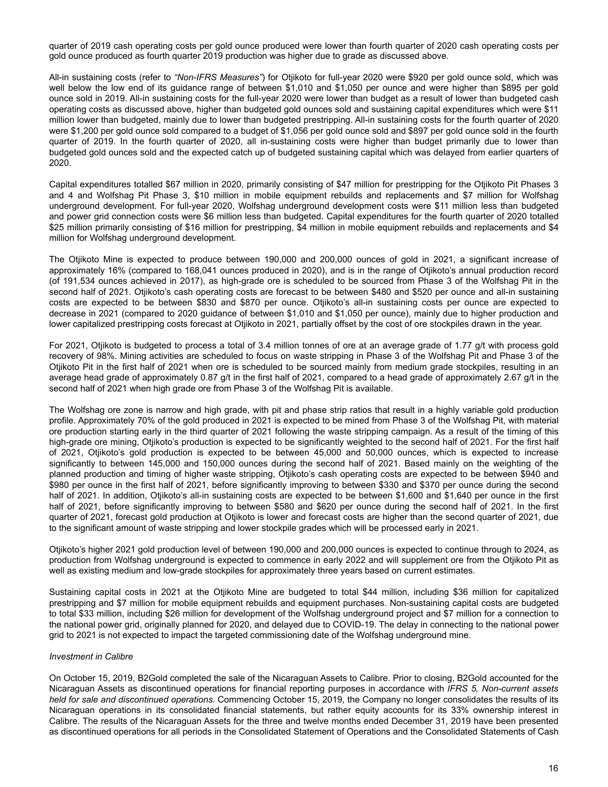quarter of 2019 cash operating costs per gold ounce produced were lower than fourth quarter of 2020 cash operating costs per gold ounce produced as fourth quarter 2019 production was higher due to grade as discussed above.

All-in sustaining costs (refer to *"Non-IFRS Measures"*) for Otjikoto for full-year 2020 were \$920 per gold ounce sold, which was well below the low end of its guidance range of between \$1,010 and \$1,050 per ounce and were higher than \$895 per gold ounce sold in 2019. All-in sustaining costs for the full-year 2020 were lower than budget as a result of lower than budgeted cash operating costs as discussed above, higher than budgeted gold ounces sold and sustaining capital expenditures which were \$11 million lower than budgeted, mainly due to lower than budgeted prestripping. All-in sustaining costs for the fourth quarter of 2020 were \$1,200 per gold ounce sold compared to a budget of \$1,056 per gold ounce sold and \$897 per gold ounce sold in the fourth quarter of 2019. In the fourth quarter of 2020, all in-sustaining costs were higher than budget primarily due to lower than budgeted gold ounces sold and the expected catch up of budgeted sustaining capital which was delayed from earlier quarters of 2020.

Capital expenditures totalled \$67 million in 2020, primarily consisting of \$47 million for prestripping for the Otjikoto Pit Phases 3 and 4 and Wolfshag Pit Phase 3, \$10 million in mobile equipment rebuilds and replacements and \$7 million for Wolfshag underground development. For full-year 2020, Wolfshag underground development costs were \$11 million less than budgeted and power grid connection costs were \$6 million less than budgeted. Capital expenditures for the fourth quarter of 2020 totalled \$25 million primarily consisting of \$16 million for prestripping, \$4 million in mobile equipment rebuilds and replacements and \$4 million for Wolfshag underground development.

The Otjikoto Mine is expected to produce between 190,000 and 200,000 ounces of gold in 2021, a significant increase of approximately 16% (compared to 168,041 ounces produced in 2020), and is in the range of Otjikoto's annual production record (of 191,534 ounces achieved in 2017), as high-grade ore is scheduled to be sourced from Phase 3 of the Wolfshag Pit in the second half of 2021. Otjikoto's cash operating costs are forecast to be between \$480 and \$520 per ounce and all-in sustaining costs are expected to be between \$830 and \$870 per ounce. Otjikoto's all-in sustaining costs per ounce are expected to decrease in 2021 (compared to 2020 guidance of between \$1,010 and \$1,050 per ounce), mainly due to higher production and lower capitalized prestripping costs forecast at Otjikoto in 2021, partially offset by the cost of ore stockpiles drawn in the year.

For 2021, Otjikoto is budgeted to process a total of 3.4 million tonnes of ore at an average grade of 1.77 g/t with process gold recovery of 98%. Mining activities are scheduled to focus on waste stripping in Phase 3 of the Wolfshag Pit and Phase 3 of the Otjikoto Pit in the first half of 2021 when ore is scheduled to be sourced mainly from medium grade stockpiles, resulting in an average head grade of approximately 0.87 g/t in the first half of 2021, compared to a head grade of approximately 2.67 g/t in the second half of 2021 when high grade ore from Phase 3 of the Wolfshag Pit is available.

The Wolfshag ore zone is narrow and high grade, with pit and phase strip ratios that result in a highly variable gold production profile. Approximately 70% of the gold produced in 2021 is expected to be mined from Phase 3 of the Wolfshag Pit, with material ore production starting early in the third quarter of 2021 following the waste stripping campaign. As a result of the timing of this high-grade ore mining, Otjikoto's production is expected to be significantly weighted to the second half of 2021. For the first half of 2021, Otjikoto's gold production is expected to be between 45,000 and 50,000 ounces, which is expected to increase significantly to between 145,000 and 150,000 ounces during the second half of 2021. Based mainly on the weighting of the planned production and timing of higher waste stripping, Otjikoto's cash operating costs are expected to be between \$940 and \$980 per ounce in the first half of 2021, before significantly improving to between \$330 and \$370 per ounce during the second half of 2021. In addition, Otjikoto's all-in sustaining costs are expected to be between \$1,600 and \$1,640 per ounce in the first half of 2021, before significantly improving to between \$580 and \$620 per ounce during the second half of 2021. In the first quarter of 2021, forecast gold production at Otjikoto is lower and forecast costs are higher than the second quarter of 2021, due to the significant amount of waste stripping and lower stockpile grades which will be processed early in 2021.

Otjikoto's higher 2021 gold production level of between 190,000 and 200,000 ounces is expected to continue through to 2024, as production from Wolfshag underground is expected to commence in early 2022 and will supplement ore from the Otjikoto Pit as well as existing medium and low-grade stockpiles for approximately three years based on current estimates.

Sustaining capital costs in 2021 at the Otjikoto Mine are budgeted to total \$44 million, including \$36 million for capitalized prestripping and \$7 million for mobile equipment rebuilds and equipment purchases. Non-sustaining capital costs are budgeted to total \$33 million, including \$26 million for development of the Wolfshag underground project and \$7 million for a connection to the national power grid, originally planned for 2020, and delayed due to COVID-19. The delay in connecting to the national power grid to 2021 is not expected to impact the targeted commissioning date of the Wolfshag underground mine.

### *Investment in Calibre*

On October 15, 2019, B2Gold completed the sale of the Nicaraguan Assets to Calibre. Prior to closing, B2Gold accounted for the Nicaraguan Assets as discontinued operations for financial reporting purposes in accordance with *IFRS 5, Non-current assets held for sale and discontinued operations*. Commencing October 15, 2019, the Company no longer consolidates the results of its Nicaraguan operations in its consolidated financial statements, but rather equity accounts for its 33% ownership interest in Calibre. The results of the Nicaraguan Assets for the three and twelve months ended December 31, 2019 have been presented as discontinued operations for all periods in the Consolidated Statement of Operations and the Consolidated Statements of Cash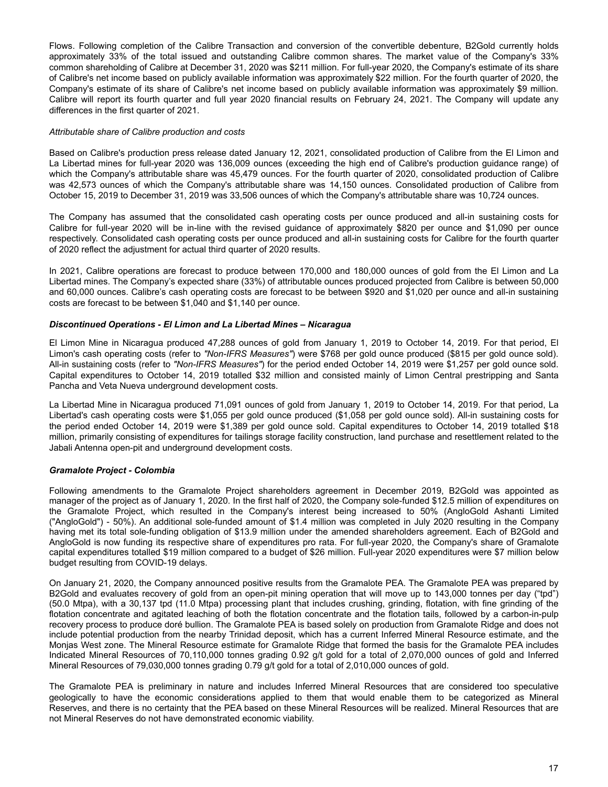Flows. Following completion of the Calibre Transaction and conversion of the convertible debenture, B2Gold currently holds approximately 33% of the total issued and outstanding Calibre common shares. The market value of the Company's 33% common shareholding of Calibre at December 31, 2020 was \$211 million. For full-year 2020, the Company's estimate of its share of Calibre's net income based on publicly available information was approximately \$22 million. For the fourth quarter of 2020, the Company's estimate of its share of Calibre's net income based on publicly available information was approximately \$9 million. Calibre will report its fourth quarter and full year 2020 financial results on February 24, 2021. The Company will update any differences in the first quarter of 2021.

### *Attributable share of Calibre production and costs*

Based on Calibre's production press release dated January 12, 2021, consolidated production of Calibre from the El Limon and La Libertad mines for full-year 2020 was 136,009 ounces (exceeding the high end of Calibre's production guidance range) of which the Company's attributable share was 45,479 ounces. For the fourth quarter of 2020, consolidated production of Calibre was 42,573 ounces of which the Company's attributable share was 14,150 ounces. Consolidated production of Calibre from October 15, 2019 to December 31, 2019 was 33,506 ounces of which the Company's attributable share was 10,724 ounces.

The Company has assumed that the consolidated cash operating costs per ounce produced and all-in sustaining costs for Calibre for full-year 2020 will be in-line with the revised guidance of approximately \$820 per ounce and \$1,090 per ounce respectively. Consolidated cash operating costs per ounce produced and all-in sustaining costs for Calibre for the fourth quarter of 2020 reflect the adjustment for actual third quarter of 2020 results.

In 2021, Calibre operations are forecast to produce between 170,000 and 180,000 ounces of gold from the El Limon and La Libertad mines. The Company's expected share (33%) of attributable ounces produced projected from Calibre is between 50,000 and 60,000 ounces. Calibre's cash operating costs are forecast to be between \$920 and \$1,020 per ounce and all-in sustaining costs are forecast to be between \$1,040 and \$1,140 per ounce.

# *Discontinued Operations - El Limon and La Libertad Mines – Nicaragua*

El Limon Mine in Nicaragua produced 47,288 ounces of gold from January 1, 2019 to October 14, 2019. For that period, El Limon's cash operating costs (refer to *"Non-IFRS Measures"*) were \$768 per gold ounce produced (\$815 per gold ounce sold). All-in sustaining costs (refer to *"Non-IFRS Measures"*) for the period ended October 14, 2019 were \$1,257 per gold ounce sold. Capital expenditures to October 14, 2019 totalled \$32 million and consisted mainly of Limon Central prestripping and Santa Pancha and Veta Nueva underground development costs.

La Libertad Mine in Nicaragua produced 71,091 ounces of gold from January 1, 2019 to October 14, 2019. For that period, La Libertad's cash operating costs were \$1,055 per gold ounce produced (\$1,058 per gold ounce sold). All-in sustaining costs for the period ended October 14, 2019 were \$1,389 per gold ounce sold. Capital expenditures to October 14, 2019 totalled \$18 million, primarily consisting of expenditures for tailings storage facility construction, land purchase and resettlement related to the Jabali Antenna open-pit and underground development costs.

# *Gramalote Project - Colombia*

Following amendments to the Gramalote Project shareholders agreement in December 2019, B2Gold was appointed as manager of the project as of January 1, 2020. In the first half of 2020, the Company sole-funded \$12.5 million of expenditures on the Gramalote Project, which resulted in the Company's interest being increased to 50% (AngloGold Ashanti Limited ("AngloGold") - 50%). An additional sole-funded amount of \$1.4 million was completed in July 2020 resulting in the Company having met its total sole-funding obligation of \$13.9 million under the amended shareholders agreement. Each of B2Gold and AngloGold is now funding its respective share of expenditures pro rata. For full-year 2020, the Company's share of Gramalote capital expenditures totalled \$19 million compared to a budget of \$26 million. Full-year 2020 expenditures were \$7 million below budget resulting from COVID-19 delays.

On January 21, 2020, the Company announced positive results from the Gramalote PEA. The Gramalote PEA was prepared by B2Gold and evaluates recovery of gold from an open-pit mining operation that will move up to 143,000 tonnes per day ("tpd") (50.0 Mtpa), with a 30,137 tpd (11.0 Mtpa) processing plant that includes crushing, grinding, flotation, with fine grinding of the flotation concentrate and agitated leaching of both the flotation concentrate and the flotation tails, followed by a carbon-in-pulp recovery process to produce doré bullion. The Gramalote PEA is based solely on production from Gramalote Ridge and does not include potential production from the nearby Trinidad deposit, which has a current Inferred Mineral Resource estimate, and the Monjas West zone. The Mineral Resource estimate for Gramalote Ridge that formed the basis for the Gramalote PEA includes Indicated Mineral Resources of 70,110,000 tonnes grading 0.92 g/t gold for a total of 2,070,000 ounces of gold and Inferred Mineral Resources of 79,030,000 tonnes grading 0.79 g/t gold for a total of 2,010,000 ounces of gold.

The Gramalote PEA is preliminary in nature and includes Inferred Mineral Resources that are considered too speculative geologically to have the economic considerations applied to them that would enable them to be categorized as Mineral Reserves, and there is no certainty that the PEA based on these Mineral Resources will be realized. Mineral Resources that are not Mineral Reserves do not have demonstrated economic viability.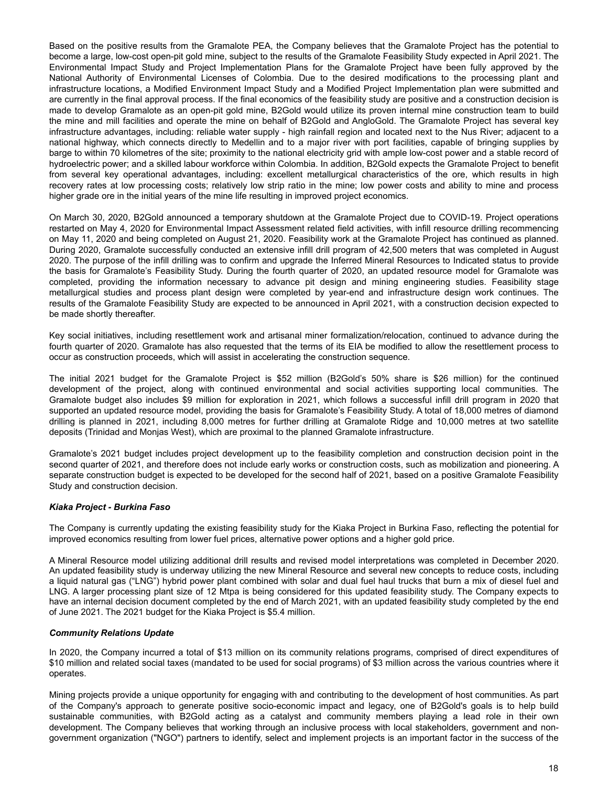Based on the positive results from the Gramalote PEA, the Company believes that the Gramalote Project has the potential to become a large, low-cost open-pit gold mine, subject to the results of the Gramalote Feasibility Study expected in April 2021. The Environmental Impact Study and Project Implementation Plans for the Gramalote Project have been fully approved by the National Authority of Environmental Licenses of Colombia. Due to the desired modifications to the processing plant and infrastructure locations, a Modified Environment Impact Study and a Modified Project Implementation plan were submitted and are currently in the final approval process. If the final economics of the feasibility study are positive and a construction decision is made to develop Gramalote as an open-pit gold mine, B2Gold would utilize its proven internal mine construction team to build the mine and mill facilities and operate the mine on behalf of B2Gold and AngloGold. The Gramalote Project has several key infrastructure advantages, including: reliable water supply - high rainfall region and located next to the Nus River; adjacent to a national highway, which connects directly to Medellin and to a major river with port facilities, capable of bringing supplies by barge to within 70 kilometres of the site; proximity to the national electricity grid with ample low-cost power and a stable record of hydroelectric power; and a skilled labour workforce within Colombia. In addition, B2Gold expects the Gramalote Project to benefit from several key operational advantages, including: excellent metallurgical characteristics of the ore, which results in high recovery rates at low processing costs; relatively low strip ratio in the mine; low power costs and ability to mine and process higher grade ore in the initial years of the mine life resulting in improved project economics.

On March 30, 2020, B2Gold announced a temporary shutdown at the Gramalote Project due to COVID-19. Project operations restarted on May 4, 2020 for Environmental Impact Assessment related field activities, with infill resource drilling recommencing on May 11, 2020 and being completed on August 21, 2020. Feasibility work at the Gramalote Project has continued as planned. During 2020, Gramalote successfully conducted an extensive infill drill program of 42,500 meters that was completed in August 2020. The purpose of the infill drilling was to confirm and upgrade the Inferred Mineral Resources to Indicated status to provide the basis for Gramalote's Feasibility Study. During the fourth quarter of 2020, an updated resource model for Gramalote was completed, providing the information necessary to advance pit design and mining engineering studies. Feasibility stage metallurgical studies and process plant design were completed by year-end and infrastructure design work continues. The results of the Gramalote Feasibility Study are expected to be announced in April 2021, with a construction decision expected to be made shortly thereafter.

Key social initiatives, including resettlement work and artisanal miner formalization/relocation, continued to advance during the fourth quarter of 2020. Gramalote has also requested that the terms of its EIA be modified to allow the resettlement process to occur as construction proceeds, which will assist in accelerating the construction sequence.

The initial 2021 budget for the Gramalote Project is \$52 million (B2Gold's 50% share is \$26 million) for the continued development of the project, along with continued environmental and social activities supporting local communities. The Gramalote budget also includes \$9 million for exploration in 2021, which follows a successful infill drill program in 2020 that supported an updated resource model, providing the basis for Gramalote's Feasibility Study. A total of 18,000 metres of diamond drilling is planned in 2021, including 8,000 metres for further drilling at Gramalote Ridge and 10,000 metres at two satellite deposits (Trinidad and Monjas West), which are proximal to the planned Gramalote infrastructure.

Gramalote's 2021 budget includes project development up to the feasibility completion and construction decision point in the second quarter of 2021, and therefore does not include early works or construction costs, such as mobilization and pioneering. A separate construction budget is expected to be developed for the second half of 2021, based on a positive Gramalote Feasibility Study and construction decision.

# *Kiaka Project - Burkina Faso*

The Company is currently updating the existing feasibility study for the Kiaka Project in Burkina Faso, reflecting the potential for improved economics resulting from lower fuel prices, alternative power options and a higher gold price.

A Mineral Resource model utilizing additional drill results and revised model interpretations was completed in December 2020. An updated feasibility study is underway utilizing the new Mineral Resource and several new concepts to reduce costs, including a liquid natural gas ("LNG") hybrid power plant combined with solar and dual fuel haul trucks that burn a mix of diesel fuel and LNG. A larger processing plant size of 12 Mtpa is being considered for this updated feasibility study. The Company expects to have an internal decision document completed by the end of March 2021, with an updated feasibility study completed by the end of June 2021. The 2021 budget for the Kiaka Project is \$5.4 million.

### *Community Relations Update*

In 2020, the Company incurred a total of \$13 million on its community relations programs, comprised of direct expenditures of \$10 million and related social taxes (mandated to be used for social programs) of \$3 million across the various countries where it operates.

Mining projects provide a unique opportunity for engaging with and contributing to the development of host communities. As part of the Company's approach to generate positive socio-economic impact and legacy, one of B2Gold's goals is to help build sustainable communities, with B2Gold acting as a catalyst and community members playing a lead role in their own development. The Company believes that working through an inclusive process with local stakeholders, government and nongovernment organization ("NGO") partners to identify, select and implement projects is an important factor in the success of the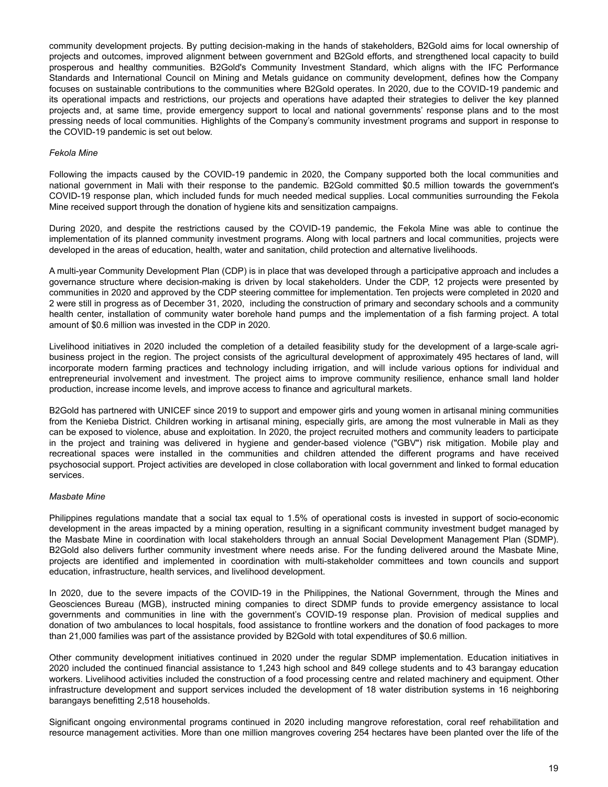community development projects. By putting decision-making in the hands of stakeholders, B2Gold aims for local ownership of projects and outcomes, improved alignment between government and B2Gold efforts, and strengthened local capacity to build prosperous and healthy communities. B2Gold's Community Investment Standard, which aligns with the IFC Performance Standards and International Council on Mining and Metals guidance on community development, defines how the Company focuses on sustainable contributions to the communities where B2Gold operates. In 2020, due to the COVID-19 pandemic and its operational impacts and restrictions, our projects and operations have adapted their strategies to deliver the key planned projects and, at same time, provide emergency support to local and national governments' response plans and to the most pressing needs of local communities. Highlights of the Company's community investment programs and support in response to the COVID-19 pandemic is set out below.

### *Fekola Mine*

Following the impacts caused by the COVID-19 pandemic in 2020, the Company supported both the local communities and national government in Mali with their response to the pandemic. B2Gold committed \$0.5 million towards the government's COVID-19 response plan, which included funds for much needed medical supplies. Local communities surrounding the Fekola Mine received support through the donation of hygiene kits and sensitization campaigns.

During 2020, and despite the restrictions caused by the COVID-19 pandemic, the Fekola Mine was able to continue the implementation of its planned community investment programs. Along with local partners and local communities, projects were developed in the areas of education, health, water and sanitation, child protection and alternative livelihoods.

A multi-year Community Development Plan (CDP) is in place that was developed through a participative approach and includes a governance structure where decision-making is driven by local stakeholders. Under the CDP, 12 projects were presented by communities in 2020 and approved by the CDP steering committee for implementation. Ten projects were completed in 2020 and 2 were still in progress as of December 31, 2020, including the construction of primary and secondary schools and a community health center, installation of community water borehole hand pumps and the implementation of a fish farming project. A total amount of \$0.6 million was invested in the CDP in 2020.

Livelihood initiatives in 2020 included the completion of a detailed feasibility study for the development of a large-scale agribusiness project in the region. The project consists of the agricultural development of approximately 495 hectares of land, will incorporate modern farming practices and technology including irrigation, and will include various options for individual and entrepreneurial involvement and investment. The project aims to improve community resilience, enhance small land holder production, increase income levels, and improve access to finance and agricultural markets.

B2Gold has partnered with UNICEF since 2019 to support and empower girls and young women in artisanal mining communities from the Kenieba District. Children working in artisanal mining, especially girls, are among the most vulnerable in Mali as they can be exposed to violence, abuse and exploitation. In 2020, the project recruited mothers and community leaders to participate in the project and training was delivered in hygiene and gender-based violence ("GBV") risk mitigation. Mobile play and recreational spaces were installed in the communities and children attended the different programs and have received psychosocial support. Project activities are developed in close collaboration with local government and linked to formal education services.

### *Masbate Mine*

Philippines regulations mandate that a social tax equal to 1.5% of operational costs is invested in support of socio-economic development in the areas impacted by a mining operation, resulting in a significant community investment budget managed by the Masbate Mine in coordination with local stakeholders through an annual Social Development Management Plan (SDMP). B2Gold also delivers further community investment where needs arise. For the funding delivered around the Masbate Mine, projects are identified and implemented in coordination with multi-stakeholder committees and town councils and support education, infrastructure, health services, and livelihood development.

In 2020, due to the severe impacts of the COVID-19 in the Philippines, the National Government, through the Mines and Geosciences Bureau (MGB), instructed mining companies to direct SDMP funds to provide emergency assistance to local governments and communities in line with the government's COVID-19 response plan. Provision of medical supplies and donation of two ambulances to local hospitals, food assistance to frontline workers and the donation of food packages to more than 21,000 families was part of the assistance provided by B2Gold with total expenditures of \$0.6 million.

Other community development initiatives continued in 2020 under the regular SDMP implementation. Education initiatives in 2020 included the continued financial assistance to 1,243 high school and 849 college students and to 43 barangay education workers. Livelihood activities included the construction of a food processing centre and related machinery and equipment. Other infrastructure development and support services included the development of 18 water distribution systems in 16 neighboring barangays benefitting 2,518 households.

Significant ongoing environmental programs continued in 2020 including mangrove reforestation, coral reef rehabilitation and resource management activities. More than one million mangroves covering 254 hectares have been planted over the life of the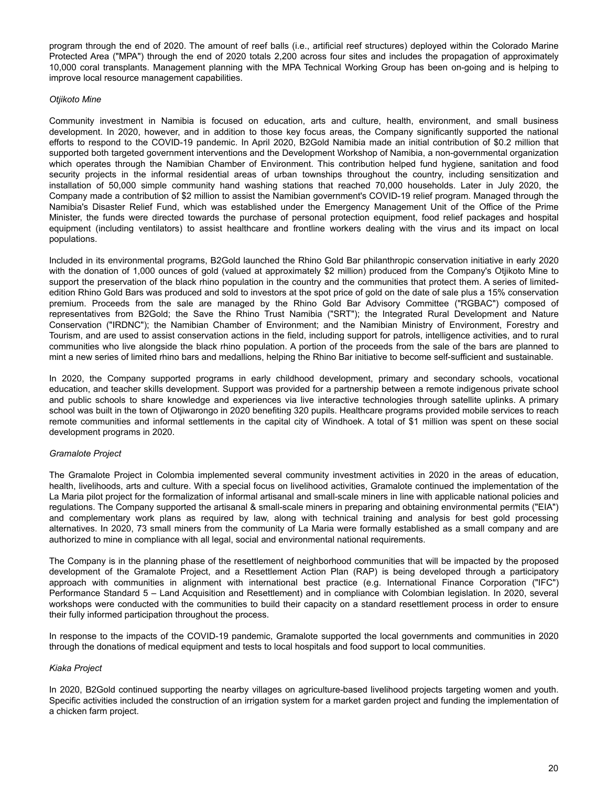program through the end of 2020. The amount of reef balls (i.e., artificial reef structures) deployed within the Colorado Marine Protected Area ("MPA") through the end of 2020 totals 2,200 across four sites and includes the propagation of approximately 10,000 coral transplants. Management planning with the MPA Technical Working Group has been on-going and is helping to improve local resource management capabilities.

### *Otjikoto Mine*

Community investment in Namibia is focused on education, arts and culture, health, environment, and small business development. In 2020, however, and in addition to those key focus areas, the Company significantly supported the national efforts to respond to the COVID-19 pandemic. In April 2020, B2Gold Namibia made an initial contribution of \$0.2 million that supported both targeted government interventions and the Development Workshop of Namibia, a non-governmental organization which operates through the Namibian Chamber of Environment. This contribution helped fund hygiene, sanitation and food security projects in the informal residential areas of urban townships throughout the country, including sensitization and installation of 50,000 simple community hand washing stations that reached 70,000 households. Later in July 2020, the Company made a contribution of \$2 million to assist the Namibian government's COVID-19 relief program. Managed through the Namibia's Disaster Relief Fund, which was established under the Emergency Management Unit of the Office of the Prime Minister, the funds were directed towards the purchase of personal protection equipment, food relief packages and hospital equipment (including ventilators) to assist healthcare and frontline workers dealing with the virus and its impact on local populations.

Included in its environmental programs, B2Gold launched the Rhino Gold Bar philanthropic conservation initiative in early 2020 with the donation of 1,000 ounces of gold (valued at approximately \$2 million) produced from the Company's Otjikoto Mine to support the preservation of the black rhino population in the country and the communities that protect them. A series of limitededition Rhino Gold Bars was produced and sold to investors at the spot price of gold on the date of sale plus a 15% conservation premium. Proceeds from the sale are managed by the Rhino Gold Bar Advisory Committee ("RGBAC") composed of representatives from B2Gold; the Save the Rhino Trust Namibia ("SRT"); the Integrated Rural Development and Nature Conservation ("IRDNC"); the Namibian Chamber of Environment; and the Namibian Ministry of Environment, Forestry and Tourism, and are used to assist conservation actions in the field, including support for patrols, intelligence activities, and to rural communities who live alongside the black rhino population. A portion of the proceeds from the sale of the bars are planned to mint a new series of limited rhino bars and medallions, helping the Rhino Bar initiative to become self-sufficient and sustainable.

In 2020, the Company supported programs in early childhood development, primary and secondary schools, vocational education, and teacher skills development. Support was provided for a partnership between a remote indigenous private school and public schools to share knowledge and experiences via live interactive technologies through satellite uplinks. A primary school was built in the town of Otjiwarongo in 2020 benefiting 320 pupils. Healthcare programs provided mobile services to reach remote communities and informal settlements in the capital city of Windhoek. A total of \$1 million was spent on these social development programs in 2020.

# *Gramalote Project*

The Gramalote Project in Colombia implemented several community investment activities in 2020 in the areas of education, health, livelihoods, arts and culture. With a special focus on livelihood activities, Gramalote continued the implementation of the La Maria pilot project for the formalization of informal artisanal and small-scale miners in line with applicable national policies and regulations. The Company supported the artisanal & small-scale miners in preparing and obtaining environmental permits ("EIA") and complementary work plans as required by law, along with technical training and analysis for best gold processing alternatives. In 2020, 73 small miners from the community of La Maria were formally established as a small company and are authorized to mine in compliance with all legal, social and environmental national requirements.

The Company is in the planning phase of the resettlement of neighborhood communities that will be impacted by the proposed development of the Gramalote Project, and a Resettlement Action Plan (RAP) is being developed through a participatory approach with communities in alignment with international best practice (e.g. International Finance Corporation ("IFC") Performance Standard 5 – Land Acquisition and Resettlement) and in compliance with Colombian legislation. In 2020, several workshops were conducted with the communities to build their capacity on a standard resettlement process in order to ensure their fully informed participation throughout the process.

In response to the impacts of the COVID-19 pandemic, Gramalote supported the local governments and communities in 2020 through the donations of medical equipment and tests to local hospitals and food support to local communities.

### *Kiaka Project*

In 2020, B2Gold continued supporting the nearby villages on agriculture-based livelihood projects targeting women and youth. Specific activities included the construction of an irrigation system for a market garden project and funding the implementation of a chicken farm project.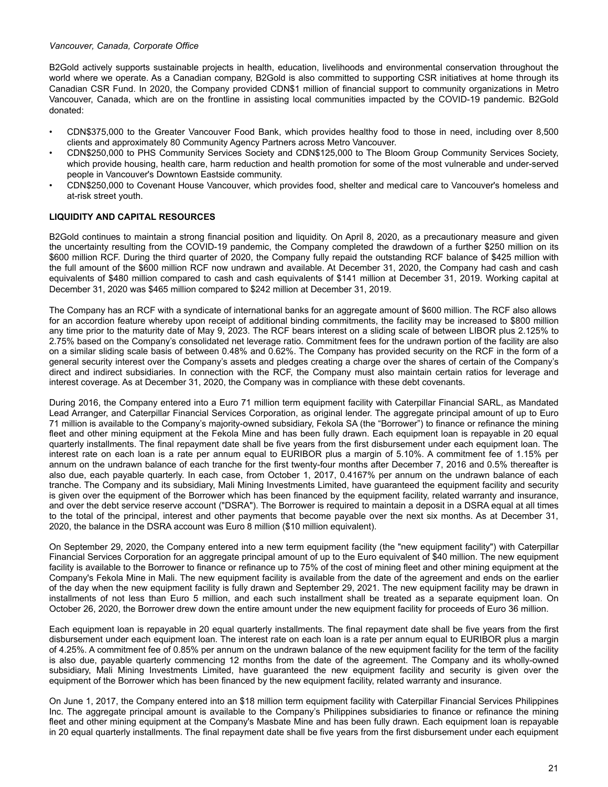### <span id="page-20-0"></span>*Vancouver, Canada, Corporate Office*

B2Gold actively supports sustainable projects in health, education, livelihoods and environmental conservation throughout the world where we operate. As a Canadian company, B2Gold is also committed to supporting CSR initiatives at home through its Canadian CSR Fund. In 2020, the Company provided CDN\$1 million of financial support to community organizations in Metro Vancouver, Canada, which are on the frontline in assisting local communities impacted by the COVID-19 pandemic. B2Gold donated:

- CDN\$375,000 to the Greater Vancouver Food Bank, which provides healthy food to those in need, including over 8,500 clients and approximately 80 Community Agency Partners across Metro Vancouver.
- CDN\$250,000 to PHS Community Services Society and CDN\$125,000 to The Bloom Group Community Services Society, which provide housing, health care, harm reduction and health promotion for some of the most vulnerable and under-served people in Vancouver's Downtown Eastside community.
- CDN\$250,000 to Covenant House Vancouver, which provides food, shelter and medical care to Vancouver's homeless and at-risk street youth.

# **LIQUIDITY AND CAPITAL RESOURCES**

B2Gold continues to maintain a strong financial position and liquidity. On April 8, 2020, as a precautionary measure and given the uncertainty resulting from the COVID-19 pandemic, the Company completed the drawdown of a further \$250 million on its \$600 million RCF. During the third quarter of 2020, the Company fully repaid the outstanding RCF balance of \$425 million with the full amount of the \$600 million RCF now undrawn and available. At December 31, 2020, the Company had cash and cash equivalents of \$480 million compared to cash and cash equivalents of \$141 million at December 31, 2019. Working capital at December 31, 2020 was \$465 million compared to \$242 million at December 31, 2019.

The Company has an RCF with a syndicate of international banks for an aggregate amount of \$600 million. The RCF also allows for an accordion feature whereby upon receipt of additional binding commitments, the facility may be increased to \$800 million any time prior to the maturity date of May 9, 2023. The RCF bears interest on a sliding scale of between LIBOR plus 2.125% to 2.75% based on the Company's consolidated net leverage ratio. Commitment fees for the undrawn portion of the facility are also on a similar sliding scale basis of between 0.48% and 0.62%. The Company has provided security on the RCF in the form of a general security interest over the Company's assets and pledges creating a charge over the shares of certain of the Company's direct and indirect subsidiaries. In connection with the RCF, the Company must also maintain certain ratios for leverage and interest coverage. As at December 31, 2020, the Company was in compliance with these debt covenants.

During 2016, the Company entered into a Euro 71 million term equipment facility with Caterpillar Financial SARL, as Mandated Lead Arranger, and Caterpillar Financial Services Corporation, as original lender. The aggregate principal amount of up to Euro 71 million is available to the Company's majority-owned subsidiary, Fekola SA (the "Borrower") to finance or refinance the mining fleet and other mining equipment at the Fekola Mine and has been fully drawn. Each equipment loan is repayable in 20 equal quarterly installments. The final repayment date shall be five years from the first disbursement under each equipment loan. The interest rate on each loan is a rate per annum equal to EURIBOR plus a margin of 5.10%. A commitment fee of 1.15% per annum on the undrawn balance of each tranche for the first twenty-four months after December 7, 2016 and 0.5% thereafter is also due, each payable quarterly. In each case, from October 1, 2017, 0.4167% per annum on the undrawn balance of each tranche. The Company and its subsidiary, Mali Mining Investments Limited, have guaranteed the equipment facility and security is given over the equipment of the Borrower which has been financed by the equipment facility, related warranty and insurance, and over the debt service reserve account ("DSRA"). The Borrower is required to maintain a deposit in a DSRA equal at all times to the total of the principal, interest and other payments that become payable over the next six months. As at December 31, 2020, the balance in the DSRA account was Euro 8 million (\$10 million equivalent).

On September 29, 2020, the Company entered into a new term equipment facility (the "new equipment facility") with Caterpillar Financial Services Corporation for an aggregate principal amount of up to the Euro equivalent of \$40 million. The new equipment facility is available to the Borrower to finance or refinance up to 75% of the cost of mining fleet and other mining equipment at the Company's Fekola Mine in Mali. The new equipment facility is available from the date of the agreement and ends on the earlier of the day when the new equipment facility is fully drawn and September 29, 2021. The new equipment facility may be drawn in installments of not less than Euro 5 million, and each such installment shall be treated as a separate equipment loan. On October 26, 2020, the Borrower drew down the entire amount under the new equipment facility for proceeds of Euro 36 million.

Each equipment loan is repayable in 20 equal quarterly installments. The final repayment date shall be five years from the first disbursement under each equipment loan. The interest rate on each loan is a rate per annum equal to EURIBOR plus a margin of 4.25%. A commitment fee of 0.85% per annum on the undrawn balance of the new equipment facility for the term of the facility is also due, payable quarterly commencing 12 months from the date of the agreement. The Company and its wholly-owned subsidiary, Mali Mining Investments Limited, have guaranteed the new equipment facility and security is given over the equipment of the Borrower which has been financed by the new equipment facility, related warranty and insurance.

On June 1, 2017, the Company entered into an \$18 million term equipment facility with Caterpillar Financial Services Philippines Inc. The aggregate principal amount is available to the Company's Philippines subsidiaries to finance or refinance the mining fleet and other mining equipment at the Company's Masbate Mine and has been fully drawn. Each equipment loan is repayable in 20 equal quarterly installments. The final repayment date shall be five years from the first disbursement under each equipment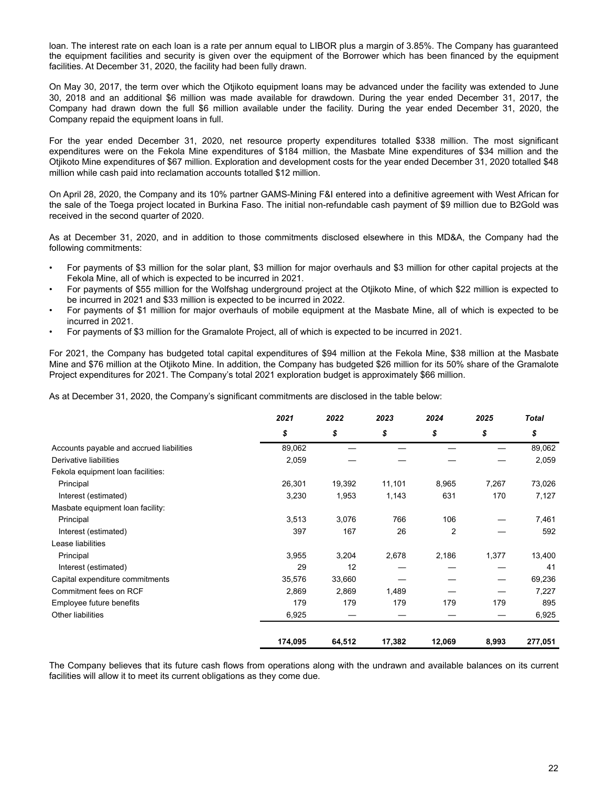loan. The interest rate on each loan is a rate per annum equal to LIBOR plus a margin of 3.85%. The Company has guaranteed the equipment facilities and security is given over the equipment of the Borrower which has been financed by the equipment facilities. At December 31, 2020, the facility had been fully drawn.

On May 30, 2017, the term over which the Otjikoto equipment loans may be advanced under the facility was extended to June 30, 2018 and an additional \$6 million was made available for drawdown. During the year ended December 31, 2017, the Company had drawn down the full \$6 million available under the facility. During the year ended December 31, 2020, the Company repaid the equipment loans in full.

For the year ended December 31, 2020, net resource property expenditures totalled \$338 million. The most significant expenditures were on the Fekola Mine expenditures of \$184 million, the Masbate Mine expenditures of \$34 million and the Otjikoto Mine expenditures of \$67 million. Exploration and development costs for the year ended December 31, 2020 totalled \$48 million while cash paid into reclamation accounts totalled \$12 million.

On April 28, 2020, the Company and its 10% partner GAMS-Mining F&I entered into a definitive agreement with West African for the sale of the Toega project located in Burkina Faso. The initial non-refundable cash payment of \$9 million due to B2Gold was received in the second quarter of 2020.

As at December 31, 2020, and in addition to those commitments disclosed elsewhere in this MD&A, the Company had the following commitments:

- For payments of \$3 million for the solar plant, \$3 million for major overhauls and \$3 million for other capital projects at the Fekola Mine, all of which is expected to be incurred in 2021.
- For payments of \$55 million for the Wolfshag underground project at the Otjikoto Mine, of which \$22 million is expected to be incurred in 2021 and \$33 million is expected to be incurred in 2022.
- For payments of \$1 million for major overhauls of mobile equipment at the Masbate Mine, all of which is expected to be incurred in 2021.
- For payments of \$3 million for the Gramalote Project, all of which is expected to be incurred in 2021.

For 2021, the Company has budgeted total capital expenditures of \$94 million at the Fekola Mine, \$38 million at the Masbate Mine and \$76 million at the Otjikoto Mine. In addition, the Company has budgeted \$26 million for its 50% share of the Gramalote Project expenditures for 2021. The Company's total 2021 exploration budget is approximately \$66 million.

As at December 31, 2020, the Company's significant commitments are disclosed in the table below:

|                                          | 2021    | 2022   | 2023   | 2024   | 2025  | <b>Total</b> |
|------------------------------------------|---------|--------|--------|--------|-------|--------------|
|                                          | \$      | \$     | \$     | \$     | \$    | \$           |
| Accounts payable and accrued liabilities | 89,062  |        |        |        |       | 89,062       |
| Derivative liabilities                   | 2,059   |        |        |        |       | 2,059        |
| Fekola equipment loan facilities:        |         |        |        |        |       |              |
| Principal                                | 26,301  | 19,392 | 11,101 | 8,965  | 7,267 | 73,026       |
| Interest (estimated)                     | 3,230   | 1,953  | 1,143  | 631    | 170   | 7,127        |
| Masbate equipment loan facility:         |         |        |        |        |       |              |
| Principal                                | 3,513   | 3,076  | 766    | 106    |       | 7,461        |
| Interest (estimated)                     | 397     | 167    | 26     | 2      |       | 592          |
| Lease liabilities                        |         |        |        |        |       |              |
| Principal                                | 3,955   | 3,204  | 2,678  | 2,186  | 1,377 | 13,400       |
| Interest (estimated)                     | 29      | 12     |        |        |       | 41           |
| Capital expenditure commitments          | 35,576  | 33,660 |        |        |       | 69,236       |
| Commitment fees on RCF                   | 2,869   | 2,869  | 1,489  |        |       | 7,227        |
| Employee future benefits                 | 179     | 179    | 179    | 179    | 179   | 895          |
| <b>Other liabilities</b>                 | 6,925   |        |        |        |       | 6,925        |
|                                          | 174,095 | 64,512 | 17,382 | 12,069 | 8,993 | 277,051      |

The Company believes that its future cash flows from operations along with the undrawn and available balances on its current facilities will allow it to meet its current obligations as they come due.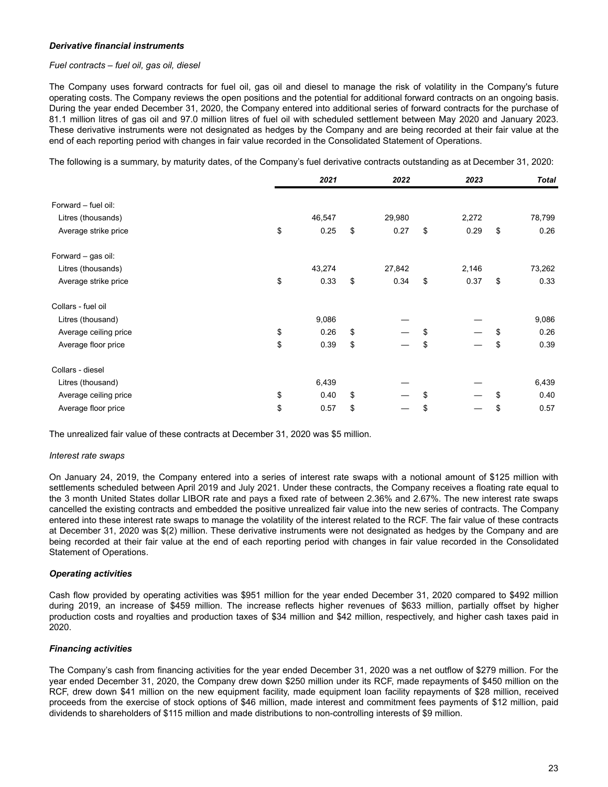### *Derivative financial instruments*

## *Fuel contracts – fuel oil, gas oil, diesel*

The Company uses forward contracts for fuel oil, gas oil and diesel to manage the risk of volatility in the Company's future operating costs. The Company reviews the open positions and the potential for additional forward contracts on an ongoing basis. During the year ended December 31, 2020, the Company entered into additional series of forward contracts for the purchase of 81.1 million litres of gas oil and 97.0 million litres of fuel oil with scheduled settlement between May 2020 and January 2023. These derivative instruments were not designated as hedges by the Company and are being recorded at their fair value at the end of each reporting period with changes in fair value recorded in the Consolidated Statement of Operations.

The following is a summary, by maturity dates, of the Company's fuel derivative contracts outstanding as at December 31, 2020:

|                       | 2021       | 2022       | 2023       | <b>Total</b> |
|-----------------------|------------|------------|------------|--------------|
| Forward - fuel oil:   |            |            |            |              |
| Litres (thousands)    | 46,547     | 29,980     | 2,272      | 78,799       |
| Average strike price  | \$<br>0.25 | \$<br>0.27 | \$<br>0.29 | \$<br>0.26   |
| Forward - gas oil:    |            |            |            |              |
| Litres (thousands)    | 43,274     | 27,842     | 2,146      | 73,262       |
| Average strike price  | \$<br>0.33 | \$<br>0.34 | \$<br>0.37 | \$<br>0.33   |
| Collars - fuel oil    |            |            |            |              |
| Litres (thousand)     | 9,086      |            |            | 9,086        |
| Average ceiling price | \$<br>0.26 | \$         | \$         | \$<br>0.26   |
| Average floor price   | \$<br>0.39 | \$         | \$         | \$<br>0.39   |
| Collars - diesel      |            |            |            |              |
| Litres (thousand)     | 6,439      |            |            | 6,439        |
| Average ceiling price | \$<br>0.40 | \$         | \$         | \$<br>0.40   |
| Average floor price   | \$<br>0.57 | \$         | \$         | \$<br>0.57   |

The unrealized fair value of these contracts at December 31, 2020 was \$5 million.

### *Interest rate swaps*

On January 24, 2019, the Company entered into a series of interest rate swaps with a notional amount of \$125 million with settlements scheduled between April 2019 and July 2021. Under these contracts, the Company receives a floating rate equal to the 3 month United States dollar LIBOR rate and pays a fixed rate of between 2.36% and 2.67%. The new interest rate swaps cancelled the existing contracts and embedded the positive unrealized fair value into the new series of contracts. The Company entered into these interest rate swaps to manage the volatility of the interest related to the RCF. The fair value of these contracts at December 31, 2020 was \$(2) million. These derivative instruments were not designated as hedges by the Company and are being recorded at their fair value at the end of each reporting period with changes in fair value recorded in the Consolidated Statement of Operations.

### *Operating activities*

Cash flow provided by operating activities was \$951 million for the year ended December 31, 2020 compared to \$492 million during 2019, an increase of \$459 million. The increase reflects higher revenues of \$633 million, partially offset by higher production costs and royalties and production taxes of \$34 million and \$42 million, respectively, and higher cash taxes paid in 2020.

### *Financing activities*

The Company's cash from financing activities for the year ended December 31, 2020 was a net outflow of \$279 million. For the year ended December 31, 2020, the Company drew down \$250 million under its RCF, made repayments of \$450 million on the RCF, drew down \$41 million on the new equipment facility, made equipment loan facility repayments of \$28 million, received proceeds from the exercise of stock options of \$46 million, made interest and commitment fees payments of \$12 million, paid dividends to shareholders of \$115 million and made distributions to non-controlling interests of \$9 million.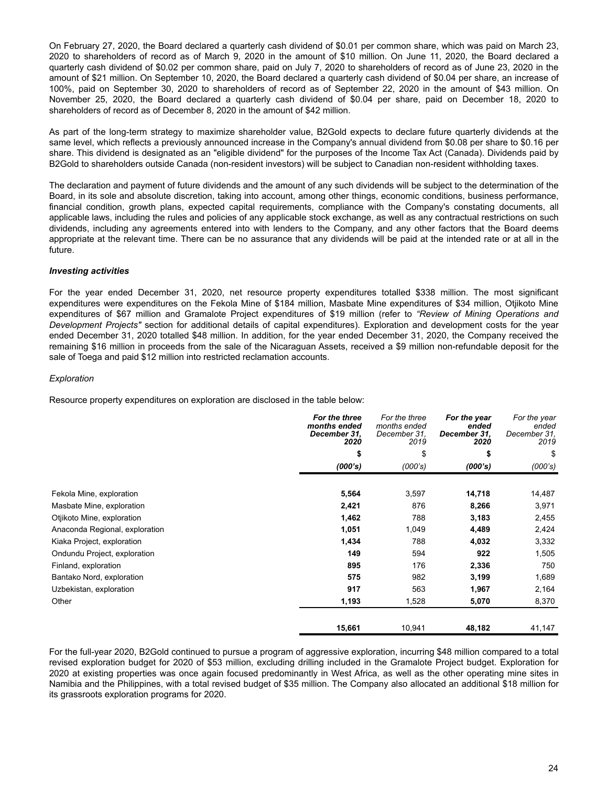On February 27, 2020, the Board declared a quarterly cash dividend of \$0.01 per common share, which was paid on March 23, 2020 to shareholders of record as of March 9, 2020 in the amount of \$10 million. On June 11, 2020, the Board declared a quarterly cash dividend of \$0.02 per common share, paid on July 7, 2020 to shareholders of record as of June 23, 2020 in the amount of \$21 million. On September 10, 2020, the Board declared a quarterly cash dividend of \$0.04 per share, an increase of 100%, paid on September 30, 2020 to shareholders of record as of September 22, 2020 in the amount of \$43 million. On November 25, 2020, the Board declared a quarterly cash dividend of \$0.04 per share, paid on December 18, 2020 to shareholders of record as of December 8, 2020 in the amount of \$42 million.

As part of the long-term strategy to maximize shareholder value, B2Gold expects to declare future quarterly dividends at the same level, which reflects a previously announced increase in the Company's annual dividend from \$0.08 per share to \$0.16 per share. This dividend is designated as an "eligible dividend" for the purposes of the Income Tax Act (Canada). Dividends paid by B2Gold to shareholders outside Canada (non-resident investors) will be subject to Canadian non-resident withholding taxes.

The declaration and payment of future dividends and the amount of any such dividends will be subject to the determination of the Board, in its sole and absolute discretion, taking into account, among other things, economic conditions, business performance, financial condition, growth plans, expected capital requirements, compliance with the Company's constating documents, all applicable laws, including the rules and policies of any applicable stock exchange, as well as any contractual restrictions on such dividends, including any agreements entered into with lenders to the Company, and any other factors that the Board deems appropriate at the relevant time. There can be no assurance that any dividends will be paid at the intended rate or at all in the future.

# *Investing activities*

For the year ended December 31, 2020, net resource property expenditures totalled \$338 million. The most significant expenditures were expenditures on the Fekola Mine of \$184 million, Masbate Mine expenditures of \$34 million, Otjikoto Mine expenditures of \$67 million and Gramalote Project expenditures of \$19 million (refer to *"Review of Mining Operations and Development Projects"* section for additional details of capital expenditures). Exploration and development costs for the year ended December 31, 2020 totalled \$48 million. In addition, for the year ended December 31, 2020, the Company received the remaining \$16 million in proceeds from the sale of the Nicaraguan Assets, received a \$9 million non-refundable deposit for the sale of Toega and paid \$12 million into restricted reclamation accounts.

# *Exploration*

Resource property expenditures on exploration are disclosed in the table below:

|                                | For the three<br>months ended<br>December 31.<br>2020 | For the three<br>months ended<br>December 31,<br>2019 | For the year<br>ended<br>December 31,<br>2020 | For the year<br>ended<br>December 31.<br>2019 |
|--------------------------------|-------------------------------------------------------|-------------------------------------------------------|-----------------------------------------------|-----------------------------------------------|
|                                | \$                                                    | \$                                                    | \$                                            | \$                                            |
|                                | (000's)                                               | (000's)                                               | (000's)                                       | (000's)                                       |
|                                |                                                       |                                                       |                                               |                                               |
| Fekola Mine, exploration       | 5,564                                                 | 3,597                                                 | 14,718                                        | 14,487                                        |
| Masbate Mine, exploration      | 2,421                                                 | 876                                                   | 8,266                                         | 3,971                                         |
| Otjikoto Mine, exploration     | 1,462                                                 | 788                                                   | 3,183                                         | 2,455                                         |
| Anaconda Regional, exploration | 1,051                                                 | 1,049                                                 | 4,489                                         | 2,424                                         |
| Kiaka Project, exploration     | 1,434                                                 | 788                                                   | 4,032                                         | 3,332                                         |
| Ondundu Project, exploration   | 149                                                   | 594                                                   | 922                                           | 1,505                                         |
| Finland, exploration           | 895                                                   | 176                                                   | 2,336                                         | 750                                           |
| Bantako Nord, exploration      | 575                                                   | 982                                                   | 3,199                                         | 1,689                                         |
| Uzbekistan, exploration        | 917                                                   | 563                                                   | 1,967                                         | 2,164                                         |
| Other                          | 1,193                                                 | 1,528                                                 | 5,070                                         | 8,370                                         |
|                                | 15,661                                                | 10,941                                                | 48,182                                        | 41,147                                        |

For the full-year 2020, B2Gold continued to pursue a program of aggressive exploration, incurring \$48 million compared to a total revised exploration budget for 2020 of \$53 million, excluding drilling included in the Gramalote Project budget. Exploration for 2020 at existing properties was once again focused predominantly in West Africa, as well as the other operating mine sites in Namibia and the Philippines, with a total revised budget of \$35 million. The Company also allocated an additional \$18 million for its grassroots exploration programs for 2020.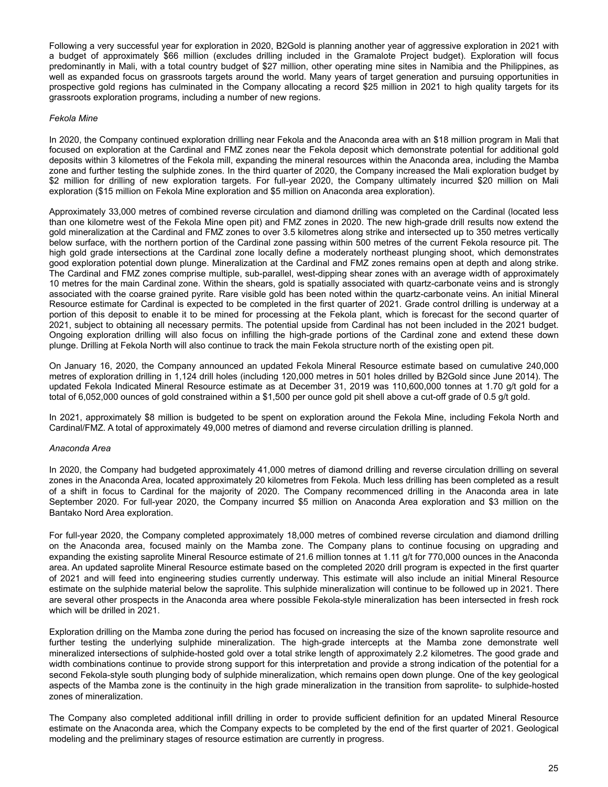Following a very successful year for exploration in 2020, B2Gold is planning another year of aggressive exploration in 2021 with a budget of approximately \$66 million (excludes drilling included in the Gramalote Project budget). Exploration will focus predominantly in Mali, with a total country budget of \$27 million, other operating mine sites in Namibia and the Philippines, as well as expanded focus on grassroots targets around the world. Many years of target generation and pursuing opportunities in prospective gold regions has culminated in the Company allocating a record \$25 million in 2021 to high quality targets for its grassroots exploration programs, including a number of new regions.

### *Fekola Mine*

In 2020, the Company continued exploration drilling near Fekola and the Anaconda area with an \$18 million program in Mali that focused on exploration at the Cardinal and FMZ zones near the Fekola deposit which demonstrate potential for additional gold deposits within 3 kilometres of the Fekola mill, expanding the mineral resources within the Anaconda area, including the Mamba zone and further testing the sulphide zones. In the third quarter of 2020, the Company increased the Mali exploration budget by \$2 million for drilling of new exploration targets. For full-year 2020, the Company ultimately incurred \$20 million on Mali exploration (\$15 million on Fekola Mine exploration and \$5 million on Anaconda area exploration).

Approximately 33,000 metres of combined reverse circulation and diamond drilling was completed on the Cardinal (located less than one kilometre west of the Fekola Mine open pit) and FMZ zones in 2020. The new high-grade drill results now extend the gold mineralization at the Cardinal and FMZ zones to over 3.5 kilometres along strike and intersected up to 350 metres vertically below surface, with the northern portion of the Cardinal zone passing within 500 metres of the current Fekola resource pit. The high gold grade intersections at the Cardinal zone locally define a moderately northeast plunging shoot, which demonstrates good exploration potential down plunge. Mineralization at the Cardinal and FMZ zones remains open at depth and along strike. The Cardinal and FMZ zones comprise multiple, sub-parallel, west-dipping shear zones with an average width of approximately 10 metres for the main Cardinal zone. Within the shears, gold is spatially associated with quartz-carbonate veins and is strongly associated with the coarse grained pyrite. Rare visible gold has been noted within the quartz-carbonate veins. An initial Mineral Resource estimate for Cardinal is expected to be completed in the first quarter of 2021. Grade control drilling is underway at a portion of this deposit to enable it to be mined for processing at the Fekola plant, which is forecast for the second quarter of 2021, subject to obtaining all necessary permits. The potential upside from Cardinal has not been included in the 2021 budget. Ongoing exploration drilling will also focus on infilling the high-grade portions of the Cardinal zone and extend these down plunge. Drilling at Fekola North will also continue to track the main Fekola structure north of the existing open pit.

On January 16, 2020, the Company announced an updated Fekola Mineral Resource estimate based on cumulative 240,000 metres of exploration drilling in 1,124 drill holes (including 120,000 metres in 501 holes drilled by B2Gold since June 2014). The updated Fekola Indicated Mineral Resource estimate as at December 31, 2019 was 110,600,000 tonnes at 1.70 g/t gold for a total of 6,052,000 ounces of gold constrained within a \$1,500 per ounce gold pit shell above a cut-off grade of 0.5 g/t gold.

In 2021, approximately \$8 million is budgeted to be spent on exploration around the Fekola Mine, including Fekola North and Cardinal/FMZ. A total of approximately 49,000 metres of diamond and reverse circulation drilling is planned.

### *Anaconda Area*

In 2020, the Company had budgeted approximately 41,000 metres of diamond drilling and reverse circulation drilling on several zones in the Anaconda Area, located approximately 20 kilometres from Fekola. Much less drilling has been completed as a result of a shift in focus to Cardinal for the majority of 2020. The Company recommenced drilling in the Anaconda area in late September 2020. For full-year 2020, the Company incurred \$5 million on Anaconda Area exploration and \$3 million on the Bantako Nord Area exploration.

For full-year 2020, the Company completed approximately 18,000 metres of combined reverse circulation and diamond drilling on the Anaconda area, focused mainly on the Mamba zone. The Company plans to continue focusing on upgrading and expanding the existing saprolite Mineral Resource estimate of 21.6 million tonnes at 1.11 g/t for 770,000 ounces in the Anaconda area. An updated saprolite Mineral Resource estimate based on the completed 2020 drill program is expected in the first quarter of 2021 and will feed into engineering studies currently underway. This estimate will also include an initial Mineral Resource estimate on the sulphide material below the saprolite. This sulphide mineralization will continue to be followed up in 2021. There are several other prospects in the Anaconda area where possible Fekola-style mineralization has been intersected in fresh rock which will be drilled in 2021.

Exploration drilling on the Mamba zone during the period has focused on increasing the size of the known saprolite resource and further testing the underlying sulphide mineralization. The high-grade intercepts at the Mamba zone demonstrate well mineralized intersections of sulphide-hosted gold over a total strike length of approximately 2.2 kilometres. The good grade and width combinations continue to provide strong support for this interpretation and provide a strong indication of the potential for a second Fekola-style south plunging body of sulphide mineralization, which remains open down plunge. One of the key geological aspects of the Mamba zone is the continuity in the high grade mineralization in the transition from saprolite- to sulphide-hosted zones of mineralization.

The Company also completed additional infill drilling in order to provide sufficient definition for an updated Mineral Resource estimate on the Anaconda area, which the Company expects to be completed by the end of the first quarter of 2021. Geological modeling and the preliminary stages of resource estimation are currently in progress.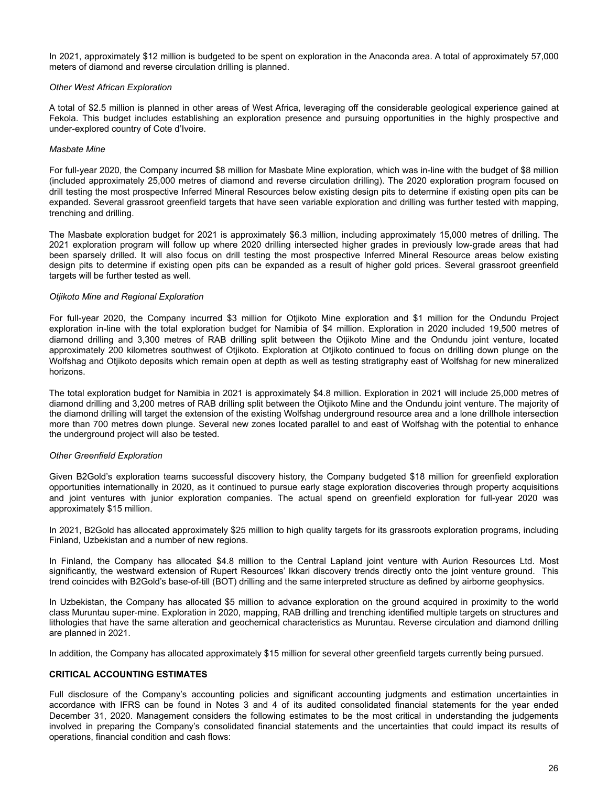<span id="page-25-0"></span>In 2021, approximately \$12 million is budgeted to be spent on exploration in the Anaconda area. A total of approximately 57,000 meters of diamond and reverse circulation drilling is planned.

### *Other West African Exploration*

A total of \$2.5 million is planned in other areas of West Africa, leveraging off the considerable geological experience gained at Fekola. This budget includes establishing an exploration presence and pursuing opportunities in the highly prospective and under-explored country of Cote d'Ivoire.

#### *Masbate Mine*

For full-year 2020, the Company incurred \$8 million for Masbate Mine exploration, which was in-line with the budget of \$8 million (included approximately 25,000 metres of diamond and reverse circulation drilling). The 2020 exploration program focused on drill testing the most prospective Inferred Mineral Resources below existing design pits to determine if existing open pits can be expanded. Several grassroot greenfield targets that have seen variable exploration and drilling was further tested with mapping, trenching and drilling.

The Masbate exploration budget for 2021 is approximately \$6.3 million, including approximately 15,000 metres of drilling. The 2021 exploration program will follow up where 2020 drilling intersected higher grades in previously low-grade areas that had been sparsely drilled. It will also focus on drill testing the most prospective Inferred Mineral Resource areas below existing design pits to determine if existing open pits can be expanded as a result of higher gold prices. Several grassroot greenfield targets will be further tested as well.

#### *Otjikoto Mine and Regional Exploration*

For full-year 2020, the Company incurred \$3 million for Otjikoto Mine exploration and \$1 million for the Ondundu Project exploration in-line with the total exploration budget for Namibia of \$4 million. Exploration in 2020 included 19,500 metres of diamond drilling and 3,300 metres of RAB drilling split between the Otjikoto Mine and the Ondundu joint venture, located approximately 200 kilometres southwest of Otjikoto. Exploration at Otjikoto continued to focus on drilling down plunge on the Wolfshag and Otjikoto deposits which remain open at depth as well as testing stratigraphy east of Wolfshag for new mineralized horizons.

The total exploration budget for Namibia in 2021 is approximately \$4.8 million. Exploration in 2021 will include 25,000 metres of diamond drilling and 3,200 metres of RAB drilling split between the Otjikoto Mine and the Ondundu joint venture. The majority of the diamond drilling will target the extension of the existing Wolfshag underground resource area and a lone drillhole intersection more than 700 metres down plunge. Several new zones located parallel to and east of Wolfshag with the potential to enhance the underground project will also be tested.

### *Other Greenfield Exploration*

Given B2Gold's exploration teams successful discovery history, the Company budgeted \$18 million for greenfield exploration opportunities internationally in 2020, as it continued to pursue early stage exploration discoveries through property acquisitions and joint ventures with junior exploration companies. The actual spend on greenfield exploration for full-year 2020 was approximately \$15 million.

In 2021, B2Gold has allocated approximately \$25 million to high quality targets for its grassroots exploration programs, including Finland, Uzbekistan and a number of new regions.

In Finland, the Company has allocated \$4.8 million to the Central Lapland joint venture with Aurion Resources Ltd. Most significantly, the westward extension of Rupert Resources' Ikkari discovery trends directly onto the joint venture ground. This trend coincides with B2Gold's base-of-till (BOT) drilling and the same interpreted structure as defined by airborne geophysics.

In Uzbekistan, the Company has allocated \$5 million to advance exploration on the ground acquired in proximity to the world class Muruntau super-mine. Exploration in 2020, mapping, RAB drilling and trenching identified multiple targets on structures and lithologies that have the same alteration and geochemical characteristics as Muruntau. Reverse circulation and diamond drilling are planned in 2021.

In addition, the Company has allocated approximately \$15 million for several other greenfield targets currently being pursued.

### **CRITICAL ACCOUNTING ESTIMATES**

Full disclosure of the Company's accounting policies and significant accounting judgments and estimation uncertainties in accordance with IFRS can be found in Notes 3 and 4 of its audited consolidated financial statements for the year ended December 31, 2020. Management considers the following estimates to be the most critical in understanding the judgements involved in preparing the Company's consolidated financial statements and the uncertainties that could impact its results of operations, financial condition and cash flows: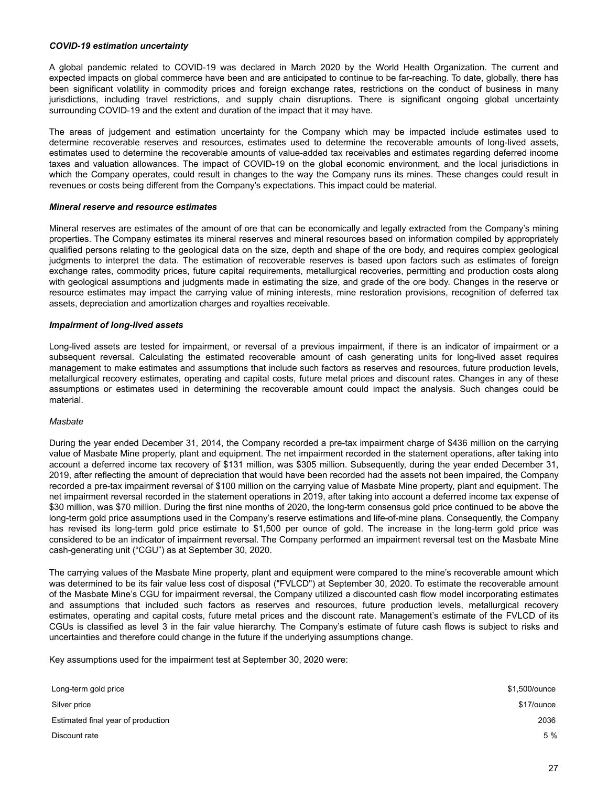#### *COVID-19 estimation uncertainty*

A global pandemic related to COVID-19 was declared in March 2020 by the World Health Organization. The current and expected impacts on global commerce have been and are anticipated to continue to be far-reaching. To date, globally, there has been significant volatility in commodity prices and foreign exchange rates, restrictions on the conduct of business in many jurisdictions, including travel restrictions, and supply chain disruptions. There is significant ongoing global uncertainty surrounding COVID-19 and the extent and duration of the impact that it may have.

The areas of judgement and estimation uncertainty for the Company which may be impacted include estimates used to determine recoverable reserves and resources, estimates used to determine the recoverable amounts of long-lived assets, estimates used to determine the recoverable amounts of value-added tax receivables and estimates regarding deferred income taxes and valuation allowances. The impact of COVID-19 on the global economic environment, and the local jurisdictions in which the Company operates, could result in changes to the way the Company runs its mines. These changes could result in revenues or costs being different from the Company's expectations. This impact could be material.

#### *Mineral reserve and resource estimates*

Mineral reserves are estimates of the amount of ore that can be economically and legally extracted from the Company's mining properties. The Company estimates its mineral reserves and mineral resources based on information compiled by appropriately qualified persons relating to the geological data on the size, depth and shape of the ore body, and requires complex geological judgments to interpret the data. The estimation of recoverable reserves is based upon factors such as estimates of foreign exchange rates, commodity prices, future capital requirements, metallurgical recoveries, permitting and production costs along with geological assumptions and judgments made in estimating the size, and grade of the ore body. Changes in the reserve or resource estimates may impact the carrying value of mining interests, mine restoration provisions, recognition of deferred tax assets, depreciation and amortization charges and royalties receivable.

#### *Impairment of long-lived assets*

Long-lived assets are tested for impairment, or reversal of a previous impairment, if there is an indicator of impairment or a subsequent reversal. Calculating the estimated recoverable amount of cash generating units for long-lived asset requires management to make estimates and assumptions that include such factors as reserves and resources, future production levels, metallurgical recovery estimates, operating and capital costs, future metal prices and discount rates. Changes in any of these assumptions or estimates used in determining the recoverable amount could impact the analysis. Such changes could be material.

#### *Masbate*

During the year ended December 31, 2014, the Company recorded a pre-tax impairment charge of \$436 million on the carrying value of Masbate Mine property, plant and equipment. The net impairment recorded in the statement operations, after taking into account a deferred income tax recovery of \$131 million, was \$305 million. Subsequently, during the year ended December 31, 2019, after reflecting the amount of depreciation that would have been recorded had the assets not been impaired, the Company recorded a pre-tax impairment reversal of \$100 million on the carrying value of Masbate Mine property, plant and equipment. The net impairment reversal recorded in the statement operations in 2019, after taking into account a deferred income tax expense of \$30 million, was \$70 million. During the first nine months of 2020, the long-term consensus gold price continued to be above the long-term gold price assumptions used in the Company's reserve estimations and life-of-mine plans. Consequently, the Company has revised its long-term gold price estimate to \$1,500 per ounce of gold. The increase in the long-term gold price was considered to be an indicator of impairment reversal. The Company performed an impairment reversal test on the Masbate Mine cash-generating unit ("CGU") as at September 30, 2020.

The carrying values of the Masbate Mine property, plant and equipment were compared to the mine's recoverable amount which was determined to be its fair value less cost of disposal ("FVLCD") at September 30, 2020. To estimate the recoverable amount of the Masbate Mine's CGU for impairment reversal, the Company utilized a discounted cash flow model incorporating estimates and assumptions that included such factors as reserves and resources, future production levels, metallurgical recovery estimates, operating and capital costs, future metal prices and the discount rate. Management's estimate of the FVLCD of its CGUs is classified as level 3 in the fair value hierarchy. The Company's estimate of future cash flows is subject to risks and uncertainties and therefore could change in the future if the underlying assumptions change.

Key assumptions used for the impairment test at September 30, 2020 were:

| Long-term gold price               | \$1,500/ounce |
|------------------------------------|---------------|
| Silver price                       | \$17/ounce    |
| Estimated final year of production | 2036          |
| Discount rate                      | 5 %           |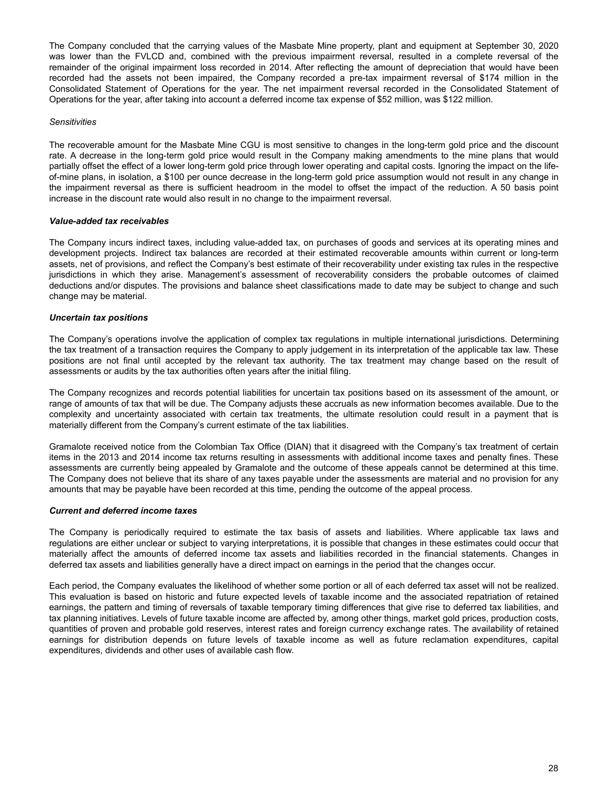The Company concluded that the carrying values of the Masbate Mine property, plant and equipment at September 30, 2020 was lower than the FVLCD and, combined with the previous impairment reversal, resulted in a complete reversal of the remainder of the original impairment loss recorded in 2014. After reflecting the amount of depreciation that would have been recorded had the assets not been impaired, the Company recorded a pre-tax impairment reversal of \$174 million in the Consolidated Statement of Operations for the year. The net impairment reversal recorded in the Consolidated Statement of Operations for the year, after taking into account a deferred income tax expense of \$52 million, was \$122 million.

#### *Sensitivities*

The recoverable amount for the Masbate Mine CGU is most sensitive to changes in the long-term gold price and the discount rate. A decrease in the long-term gold price would result in the Company making amendments to the mine plans that would partially offset the effect of a lower long-term gold price through lower operating and capital costs. Ignoring the impact on the lifeof-mine plans, in isolation, a \$100 per ounce decrease in the long-term gold price assumption would not result in any change in the impairment reversal as there is sufficient headroom in the model to offset the impact of the reduction. A 50 basis point increase in the discount rate would also result in no change to the impairment reversal.

#### *Value-added tax receivables*

The Company incurs indirect taxes, including value-added tax, on purchases of goods and services at its operating mines and development projects. Indirect tax balances are recorded at their estimated recoverable amounts within current or long-term assets, net of provisions, and reflect the Company's best estimate of their recoverability under existing tax rules in the respective jurisdictions in which they arise. Management's assessment of recoverability considers the probable outcomes of claimed deductions and/or disputes. The provisions and balance sheet classifications made to date may be subject to change and such change may be material.

### *Uncertain tax positions*

The Company's operations involve the application of complex tax regulations in multiple international jurisdictions. Determining the tax treatment of a transaction requires the Company to apply judgement in its interpretation of the applicable tax law. These positions are not final until accepted by the relevant tax authority. The tax treatment may change based on the result of assessments or audits by the tax authorities often years after the initial filing.

The Company recognizes and records potential liabilities for uncertain tax positions based on its assessment of the amount, or range of amounts of tax that will be due. The Company adjusts these accruals as new information becomes available. Due to the complexity and uncertainty associated with certain tax treatments, the ultimate resolution could result in a payment that is materially different from the Company's current estimate of the tax liabilities.

Gramalote received notice from the Colombian Tax Office (DIAN) that it disagreed with the Company's tax treatment of certain items in the 2013 and 2014 income tax returns resulting in assessments with additional income taxes and penalty fines. These assessments are currently being appealed by Gramalote and the outcome of these appeals cannot be determined at this time. The Company does not believe that its share of any taxes payable under the assessments are material and no provision for any amounts that may be payable have been recorded at this time, pending the outcome of the appeal process.

#### *Current and deferred income taxes*

The Company is periodically required to estimate the tax basis of assets and liabilities. Where applicable tax laws and regulations are either unclear or subject to varying interpretations, it is possible that changes in these estimates could occur that materially affect the amounts of deferred income tax assets and liabilities recorded in the financial statements. Changes in deferred tax assets and liabilities generally have a direct impact on earnings in the period that the changes occur.

Each period, the Company evaluates the likelihood of whether some portion or all of each deferred tax asset will not be realized. This evaluation is based on historic and future expected levels of taxable income and the associated repatriation of retained earnings, the pattern and timing of reversals of taxable temporary timing differences that give rise to deferred tax liabilities, and tax planning initiatives. Levels of future taxable income are affected by, among other things, market gold prices, production costs, quantities of proven and probable gold reserves, interest rates and foreign currency exchange rates. The availability of retained earnings for distribution depends on future levels of taxable income as well as future reclamation expenditures, capital expenditures, dividends and other uses of available cash flow.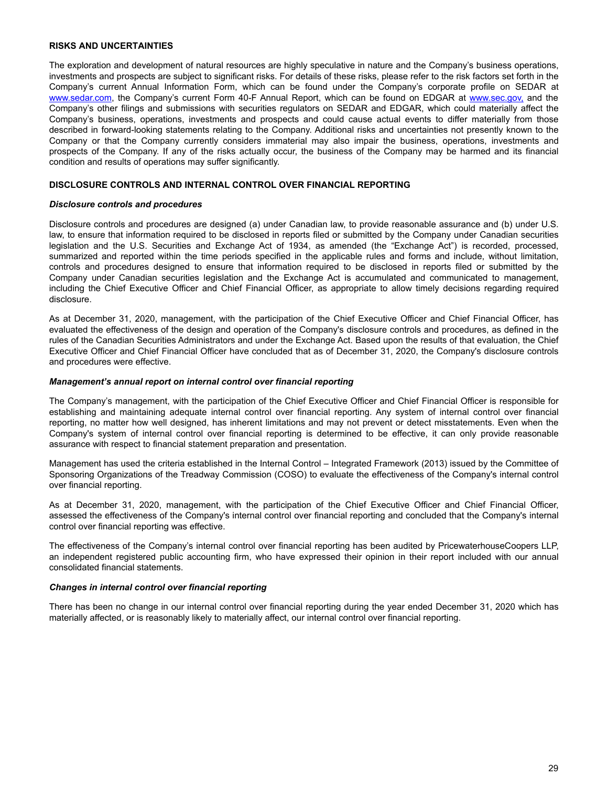### <span id="page-28-0"></span>**RISKS AND UNCERTAINTIES**

The exploration and development of natural resources are highly speculative in nature and the Company's business operations, investments and prospects are subject to significant risks. For details of these risks, please refer to the risk factors set forth in the Company's current Annual Information Form, which can be found under the Company's corporate profile on SEDAR at www.sedar.com, the Company's current Form 40-F Annual Report, which can be found on EDGAR at www.sec.gov, and the Company's other filings and submissions with securities regulators on SEDAR and EDGAR, which could materially affect the Company's business, operations, investments and prospects and could cause actual events to differ materially from those described in forward-looking statements relating to the Company. Additional risks and uncertainties not presently known to the Company or that the Company currently considers immaterial may also impair the business, operations, investments and prospects of the Company. If any of the risks actually occur, the business of the Company may be harmed and its financial condition and results of operations may suffer significantly.

### **DISCLOSURE CONTROLS AND INTERNAL CONTROL OVER FINANCIAL REPORTING**

#### *Disclosure controls and procedures*

Disclosure controls and procedures are designed (a) under Canadian law, to provide reasonable assurance and (b) under U.S. law, to ensure that information required to be disclosed in reports filed or submitted by the Company under Canadian securities legislation and the U.S. Securities and Exchange Act of 1934, as amended (the "Exchange Act") is recorded, processed, summarized and reported within the time periods specified in the applicable rules and forms and include, without limitation, controls and procedures designed to ensure that information required to be disclosed in reports filed or submitted by the Company under Canadian securities legislation and the Exchange Act is accumulated and communicated to management, including the Chief Executive Officer and Chief Financial Officer, as appropriate to allow timely decisions regarding required disclosure.

As at December 31, 2020, management, with the participation of the Chief Executive Officer and Chief Financial Officer, has evaluated the effectiveness of the design and operation of the Company's disclosure controls and procedures, as defined in the rules of the Canadian Securities Administrators and under the Exchange Act. Based upon the results of that evaluation, the Chief Executive Officer and Chief Financial Officer have concluded that as of December 31, 2020, the Company's disclosure controls and procedures were effective.

#### *Management's annual report on internal control over financial reporting*

The Company's management, with the participation of the Chief Executive Officer and Chief Financial Officer is responsible for establishing and maintaining adequate internal control over financial reporting. Any system of internal control over financial reporting, no matter how well designed, has inherent limitations and may not prevent or detect misstatements. Even when the Company's system of internal control over financial reporting is determined to be effective, it can only provide reasonable assurance with respect to financial statement preparation and presentation.

Management has used the criteria established in the Internal Control – Integrated Framework (2013) issued by the Committee of Sponsoring Organizations of the Treadway Commission (COSO) to evaluate the effectiveness of the Company's internal control over financial reporting.

As at December 31, 2020, management, with the participation of the Chief Executive Officer and Chief Financial Officer, assessed the effectiveness of the Company's internal control over financial reporting and concluded that the Company's internal control over financial reporting was effective.

The effectiveness of the Company's internal control over financial reporting has been audited by PricewaterhouseCoopers LLP, an independent registered public accounting firm, who have expressed their opinion in their report included with our annual consolidated financial statements.

### *Changes in internal control over financial reporting*

There has been no change in our internal control over financial reporting during the year ended December 31, 2020 which has materially affected, or is reasonably likely to materially affect, our internal control over financial reporting.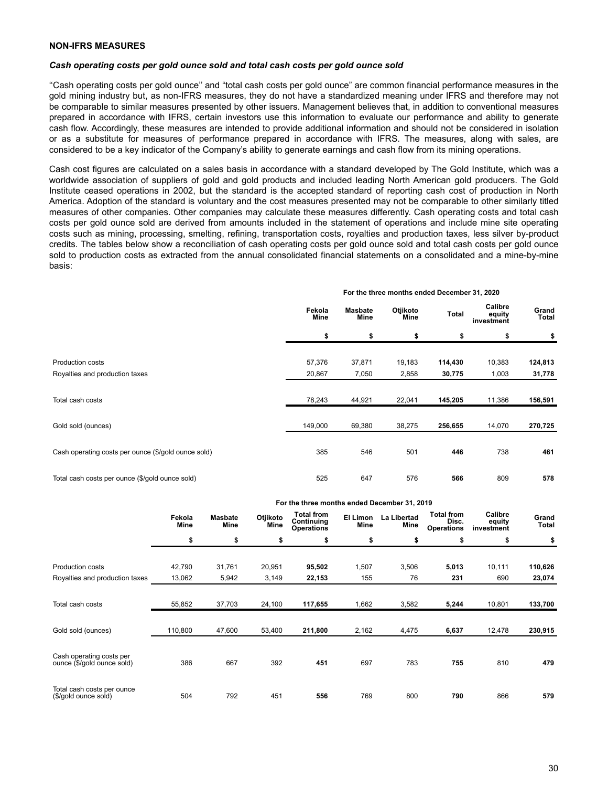#### <span id="page-29-0"></span>*Cash operating costs per gold ounce sold and total cash costs per gold ounce sold*

''Cash operating costs per gold ounce'' and "total cash costs per gold ounce" are common financial performance measures in the gold mining industry but, as non-IFRS measures, they do not have a standardized meaning under IFRS and therefore may not be comparable to similar measures presented by other issuers. Management believes that, in addition to conventional measures prepared in accordance with IFRS, certain investors use this information to evaluate our performance and ability to generate cash flow. Accordingly, these measures are intended to provide additional information and should not be considered in isolation or as a substitute for measures of performance prepared in accordance with IFRS. The measures, along with sales, are considered to be a key indicator of the Company's ability to generate earnings and cash flow from its mining operations.

Cash cost figures are calculated on a sales basis in accordance with a standard developed by The Gold Institute, which was a worldwide association of suppliers of gold and gold products and included leading North American gold producers. The Gold Institute ceased operations in 2002, but the standard is the accepted standard of reporting cash cost of production in North America. Adoption of the standard is voluntary and the cost measures presented may not be comparable to other similarly titled measures of other companies. Other companies may calculate these measures differently. Cash operating costs and total cash costs per gold ounce sold are derived from amounts included in the statement of operations and include mine site operating costs such as mining, processing, smelting, refining, transportation costs, royalties and production taxes, less silver by-product credits. The tables below show a reconciliation of cash operating costs per gold ounce sold and total cash costs per gold ounce sold to production costs as extracted from the annual consolidated financial statements on a consolidated and a mine-by-mine basis:

|                                                     | For the three months ended becember 31, 2020 |                               |                  |         |                                 |                |  |
|-----------------------------------------------------|----------------------------------------------|-------------------------------|------------------|---------|---------------------------------|----------------|--|
|                                                     | Fekola<br>Mine                               | <b>Masbate</b><br><b>Mine</b> | Otjikoto<br>Mine | Total   | Calibre<br>equity<br>investment | Grand<br>Total |  |
|                                                     | \$                                           | \$                            | \$               | \$      | \$                              | \$             |  |
| Production costs                                    | 57,376                                       | 37,871                        | 19,183           | 114,430 | 10,383                          | 124,813        |  |
| Royalties and production taxes                      | 20,867                                       | 7,050                         | 2,858            | 30,775  | 1,003                           | 31,778         |  |
| Total cash costs                                    | 78,243                                       | 44,921                        | 22,041           | 145,205 | 11,386                          | 156,591        |  |
| Gold sold (ounces)                                  | 149,000                                      | 69,380                        | 38,275           | 256,655 | 14,070                          | 270,725        |  |
| Cash operating costs per ounce (\$/gold ounce sold) | 385                                          | 546                           | 501              | 446     | 738                             | 461            |  |
| Total cash costs per ounce (\$/gold ounce sold)     | 525                                          | 647                           | 576              | 566     | 809                             | 578            |  |

|                                |                |                        |                  | For the three months ended December 31, 2019         |                  |                     |                                                 |                                 |                |
|--------------------------------|----------------|------------------------|------------------|------------------------------------------------------|------------------|---------------------|-------------------------------------------------|---------------------------------|----------------|
|                                | Fekola<br>Mine | <b>Masbate</b><br>Mine | Otjikoto<br>Mine | <b>Total from</b><br>Continuing<br><b>Operations</b> | El Limon<br>Mine | La Libertad<br>Mine | <b>Total from</b><br>Disc.<br><b>Operations</b> | Calibre<br>equity<br>investment | Grand<br>Total |
|                                | \$             | \$                     | \$               | \$                                                   | \$               | \$                  | \$                                              | \$                              | \$             |
|                                |                |                        |                  |                                                      |                  |                     |                                                 |                                 |                |
| Production costs               | 42,790         | 31,761                 | 20,951           | 95,502                                               | 1,507            | 3,506               | 5,013                                           | 10,111                          | 110,626        |
| Royalties and production taxes | 13,062         | 5,942                  | 3,149            | 22,153                                               | 155              | 76                  | 231                                             | 690                             | 23,074         |
|                                |                |                        |                  |                                                      |                  |                     |                                                 |                                 |                |
| Total cash costs               | 55,852         | 37,703                 | 24,100           | 117,655                                              | 1,662            | 3,582               | 5,244                                           | 10,801                          | 133,700        |
|                                |                |                        |                  |                                                      |                  |                     |                                                 |                                 |                |
| Gold sold (ounces)             | 110,800        | 47,600                 | 53,400           | 211,800                                              | 2,162            | 4,475               | 6,637                                           | 12,478                          | 230,915        |
|                                |                |                        |                  |                                                      |                  |                     |                                                 |                                 |                |
| Cash operating costs per       | 386            | 667                    | 392              | 451                                                  | 697              | 783                 | 755                                             | 810                             | 479            |
| ounce (\$/gold ounce sold)     |                |                        |                  |                                                      |                  |                     |                                                 |                                 |                |
| Total cash costs per ounce     |                |                        |                  |                                                      |                  |                     |                                                 |                                 |                |
| (\$/gold ounce sold)           | 504            | 792                    | 451              | 556                                                  | 769              | 800                 | 790                                             | 866                             | 579            |

#### **For the three months ended December 31, 2020**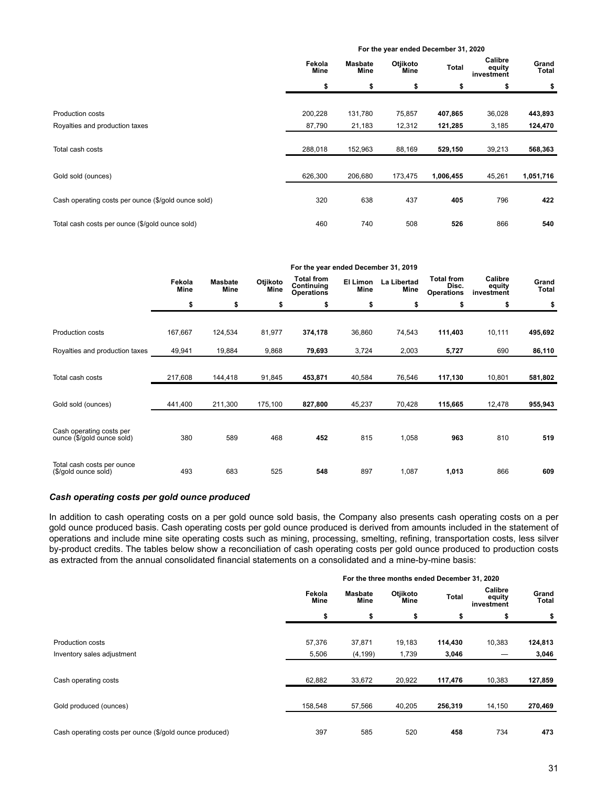|                                                     |                |                        | For the year ended December 31, 2020 |           |                                 |                |
|-----------------------------------------------------|----------------|------------------------|--------------------------------------|-----------|---------------------------------|----------------|
|                                                     | Fekola<br>Mine | <b>Masbate</b><br>Mine | Otjikoto<br>Mine                     | Total     | Calibre<br>equity<br>investment | Grand<br>Total |
|                                                     | \$             | \$                     | \$                                   | \$        | \$                              | \$             |
|                                                     |                |                        |                                      |           |                                 |                |
| Production costs                                    | 200,228        | 131,780                | 75,857                               | 407,865   | 36,028                          | 443,893        |
| Royalties and production taxes                      | 87,790         | 21,183                 | 12,312                               | 121,285   | 3,185                           | 124,470        |
|                                                     |                |                        |                                      |           |                                 |                |
| Total cash costs                                    | 288,018        | 152,963                | 88,169                               | 529,150   | 39,213                          | 568,363        |
|                                                     |                |                        |                                      |           |                                 |                |
| Gold sold (ounces)                                  | 626,300        | 206,680                | 173,475                              | 1,006,455 | 45,261                          | 1,051,716      |
|                                                     |                |                        |                                      |           |                                 |                |
| Cash operating costs per ounce (\$/gold ounce sold) | 320            | 638                    | 437                                  | 405       | 796                             | 422            |
|                                                     |                |                        |                                      |           |                                 |                |
| Total cash costs per ounce (\$/gold ounce sold)     | 460            | 740                    | 508                                  | 526       | 866                             | 540            |

|                                                        |                |                        |                  |                                                      | For the year ended December 31, 2019 |                     |                                                 |                                 |                |
|--------------------------------------------------------|----------------|------------------------|------------------|------------------------------------------------------|--------------------------------------|---------------------|-------------------------------------------------|---------------------------------|----------------|
|                                                        | Fekola<br>Mine | <b>Masbate</b><br>Mine | Otjikoto<br>Mine | <b>Total from</b><br>Continuing<br><b>Operations</b> | El Limon<br><b>Mine</b>              | La Libertad<br>Mine | <b>Total from</b><br>Disc.<br><b>Operations</b> | Calibre<br>equity<br>investment | Grand<br>Total |
|                                                        | \$             | \$                     | \$               | \$                                                   | \$                                   | \$                  | \$                                              | \$                              | \$             |
|                                                        |                |                        |                  |                                                      |                                      |                     |                                                 |                                 |                |
| Production costs                                       | 167,667        | 124,534                | 81,977           | 374,178                                              | 36,860                               | 74,543              | 111,403                                         | 10,111                          | 495,692        |
| Royalties and production taxes                         | 49,941         | 19,884                 | 9,868            | 79,693                                               | 3,724                                | 2,003               | 5,727                                           | 690                             | 86,110         |
| Total cash costs                                       | 217,608        | 144,418                | 91,845           | 453,871                                              | 40,584                               | 76,546              | 117,130                                         | 10,801                          | 581,802        |
| Gold sold (ounces)                                     | 441,400        | 211,300                | 175,100          | 827,800                                              | 45,237                               | 70,428              | 115,665                                         | 12,478                          | 955,943        |
| Cash operating costs per<br>ounce (\$/gold ounce sold) | 380            | 589                    | 468              | 452                                                  | 815                                  | 1,058               | 963                                             | 810                             | 519            |
| Total cash costs per ounce<br>(\$/gold ounce sold)     | 493            | 683                    | 525              | 548                                                  | 897                                  | 1,087               | 1,013                                           | 866                             | 609            |

# *Cash operating costs per gold ounce produced*

In addition to cash operating costs on a per gold ounce sold basis, the Company also presents cash operating costs on a per gold ounce produced basis. Cash operating costs per gold ounce produced is derived from amounts included in the statement of operations and include mine site operating costs such as mining, processing, smelting, refining, transportation costs, less silver by-product credits. The tables below show a reconciliation of cash operating costs per gold ounce produced to production costs as extracted from the annual consolidated financial statements on a consolidated and a mine-by-mine basis:

|                                                         |                |                        | For the three months ended December 31, 2020 |         |                                 |                |
|---------------------------------------------------------|----------------|------------------------|----------------------------------------------|---------|---------------------------------|----------------|
|                                                         | Fekola<br>Mine | <b>Masbate</b><br>Mine | Otjikoto<br>Mine                             | Total   | Calibre<br>equity<br>investment | Grand<br>Total |
|                                                         | \$             | \$                     | \$                                           | \$      |                                 |                |
|                                                         |                |                        |                                              |         |                                 |                |
| Production costs                                        | 57,376         | 37,871                 | 19,183                                       | 114,430 | 10,383                          | 124,813        |
| Inventory sales adjustment                              | 5,506          | (4, 199)               | 1,739                                        | 3,046   |                                 | 3,046          |
| Cash operating costs                                    | 62,882         | 33,672                 | 20,922                                       | 117,476 | 10,383                          | 127,859        |
| Gold produced (ounces)                                  | 158,548        | 57,566                 | 40,205                                       | 256,319 | 14,150                          | 270,469        |
| Cash operating costs per ounce (\$/gold ounce produced) | 397            | 585                    | 520                                          | 458     | 734                             | 473            |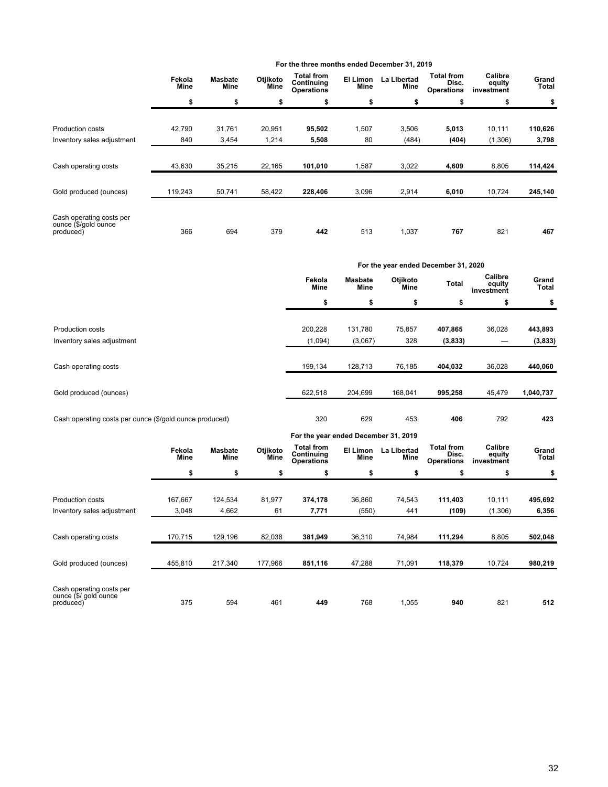|                                                               | Fekola<br><b>Mine</b> | <b>Masbate</b><br>Mine | Otjikoto<br>Mine | <b>Total from</b><br>Continuing<br><b>Operations</b> | El Limon<br>Mine | La Libertad<br>Mine | <b>Total from</b><br>Disc.<br><b>Operations</b> | Calibre<br>equity<br>investment | Grand<br>Total |
|---------------------------------------------------------------|-----------------------|------------------------|------------------|------------------------------------------------------|------------------|---------------------|-------------------------------------------------|---------------------------------|----------------|
|                                                               | \$                    | \$                     | \$               | \$                                                   | \$               | \$                  | \$                                              | \$                              | \$             |
| <b>Production costs</b>                                       | 42,790                | 31,761                 | 20,951           | 95,502                                               | 1,507            | 3,506               | 5,013                                           | 10,111                          | 110,626        |
| Inventory sales adjustment                                    | 840                   | 3,454                  | 1,214            | 5,508                                                | 80               | (484)               | (404)                                           | (1,306)                         | 3,798          |
| Cash operating costs                                          | 43,630                | 35,215                 | 22,165           | 101,010                                              | 1,587            | 3,022               | 4,609                                           | 8,805                           | 114,424        |
| Gold produced (ounces)                                        | 119,243               | 50,741                 | 58,422           | 228,406                                              | 3,096            | 2,914               | 6,010                                           | 10,724                          | 245,140        |
| Cash operating costs per<br>ounce (\$/gold ounce<br>produced) | 366                   | 694                    | 379              | 442                                                  | 513              | 1,037               | 767                                             | 821                             | 467            |

# **For the three months ended December 31, 2019**

|                                                |                    |                               | For the year ended December 31, 2020 |                    |                                 |                       |
|------------------------------------------------|--------------------|-------------------------------|--------------------------------------|--------------------|---------------------------------|-----------------------|
|                                                | Fekola<br>Mine     | <b>Masbate</b><br><b>Mine</b> | Otjikoto<br>Mine                     | <b>Total</b>       | Calibre<br>equity<br>investment | Grand<br><b>Total</b> |
|                                                | \$                 | \$                            | \$                                   | \$                 | \$                              | \$                    |
| Production costs<br>Inventory sales adjustment | 200,228<br>(1,094) | 131,780<br>(3,067)            | 75,857<br>328                        | 407,865<br>(3,833) | 36,028                          | 443,893<br>(3,833)    |
| Cash operating costs                           | 199,134            | 128,713                       | 76,185                               | 404,032            | 36,028                          | 440,060               |
| Gold produced (ounces)                         | 622,518            | 204,699                       | 168,041                              | 995,258            | 45,479                          | 1,040,737             |
|                                                |                    |                               |                                      |                    |                                 |                       |

Cash operating costs per ounce (\$/gold ounce produced) 320 629 453 **406** 792 **423** 

|                                                                |                |                        |                  | For the year ended December 31, 2019                                                            |        |        |                                                 |                                 |                |
|----------------------------------------------------------------|----------------|------------------------|------------------|-------------------------------------------------------------------------------------------------|--------|--------|-------------------------------------------------|---------------------------------|----------------|
|                                                                | Fekola<br>Mine | <b>Masbate</b><br>Mine | Otjikoto<br>Mine | <b>Total from</b><br>El Limon<br>La Libertad<br>Continuing<br>Mine<br>Mine<br><b>Operations</b> |        |        | <b>Total from</b><br>Disc.<br><b>Operations</b> | Calibre<br>equity<br>investment | Grand<br>Total |
|                                                                | \$             | \$                     | \$               | \$                                                                                              | \$     | \$     | \$                                              | \$                              | \$             |
|                                                                |                |                        |                  |                                                                                                 |        |        |                                                 |                                 |                |
| Production costs                                               | 167.667        | 124,534                | 81.977           | 374,178                                                                                         | 36,860 | 74.543 | 111,403                                         | 10,111                          | 495,692        |
| Inventory sales adjustment                                     | 3,048          | 4,662                  | 61               | 7,771                                                                                           | (550)  | 441    | (109)                                           | (1,306)                         | 6,356          |
|                                                                |                |                        |                  |                                                                                                 |        |        |                                                 |                                 |                |
| Cash operating costs                                           | 170,715        | 129,196                | 82,038           | 381,949                                                                                         | 36,310 | 74,984 | 111,294                                         | 8,805                           | 502,048        |
|                                                                |                |                        |                  |                                                                                                 |        |        |                                                 |                                 |                |
| Gold produced (ounces)                                         | 455,810        | 217,340                | 177,966          | 851,116                                                                                         | 47,288 | 71,091 | 118,379                                         | 10,724                          | 980,219        |
| Cash operating costs per<br>ounce (\$/ gold ounce<br>produced) | 375            | 594                    | 461              | 449                                                                                             | 768    | 1,055  | 940                                             | 821                             | 512            |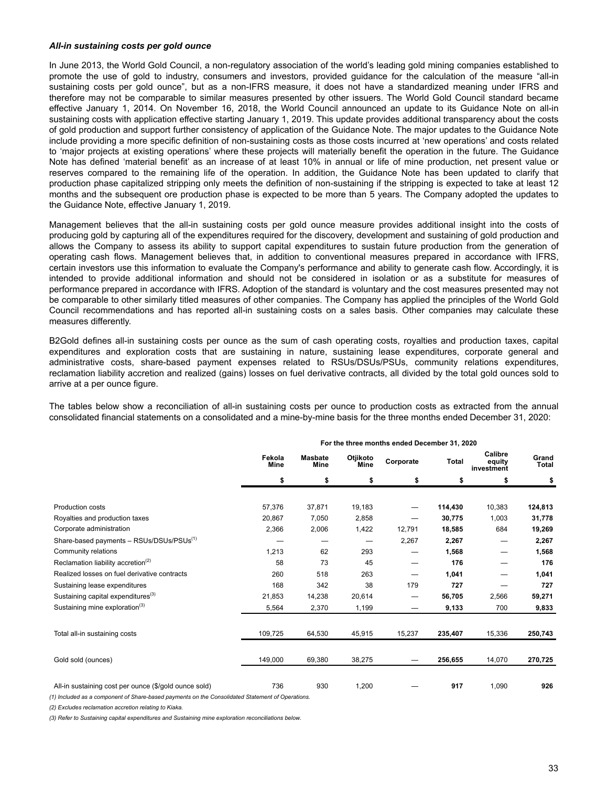#### *All-in sustaining costs per gold ounce*

In June 2013, the World Gold Council, a non-regulatory association of the world's leading gold mining companies established to promote the use of gold to industry, consumers and investors, provided guidance for the calculation of the measure "all-in sustaining costs per gold ounce", but as a non-IFRS measure, it does not have a standardized meaning under IFRS and therefore may not be comparable to similar measures presented by other issuers. The World Gold Council standard became effective January 1, 2014. On November 16, 2018, the World Council announced an update to its Guidance Note on all-in sustaining costs with application effective starting January 1, 2019. This update provides additional transparency about the costs of gold production and support further consistency of application of the Guidance Note. The major updates to the Guidance Note include providing a more specific definition of non-sustaining costs as those costs incurred at 'new operations' and costs related to 'major projects at existing operations' where these projects will materially benefit the operation in the future. The Guidance Note has defined 'material benefit' as an increase of at least 10% in annual or life of mine production, net present value or reserves compared to the remaining life of the operation. In addition, the Guidance Note has been updated to clarify that production phase capitalized stripping only meets the definition of non-sustaining if the stripping is expected to take at least 12 months and the subsequent ore production phase is expected to be more than 5 years. The Company adopted the updates to the Guidance Note, effective January 1, 2019.

Management believes that the all-in sustaining costs per gold ounce measure provides additional insight into the costs of producing gold by capturing all of the expenditures required for the discovery, development and sustaining of gold production and allows the Company to assess its ability to support capital expenditures to sustain future production from the generation of operating cash flows. Management believes that, in addition to conventional measures prepared in accordance with IFRS, certain investors use this information to evaluate the Company's performance and ability to generate cash flow. Accordingly, it is intended to provide additional information and should not be considered in isolation or as a substitute for measures of performance prepared in accordance with IFRS. Adoption of the standard is voluntary and the cost measures presented may not be comparable to other similarly titled measures of other companies. The Company has applied the principles of the World Gold Council recommendations and has reported all-in sustaining costs on a sales basis. Other companies may calculate these measures differently.

B2Gold defines all-in sustaining costs per ounce as the sum of cash operating costs, royalties and production taxes, capital expenditures and exploration costs that are sustaining in nature, sustaining lease expenditures, corporate general and administrative costs, share-based payment expenses related to RSUs/DSUs/PSUs, community relations expenditures, reclamation liability accretion and realized (gains) losses on fuel derivative contracts, all divided by the total gold ounces sold to arrive at a per ounce figure.

The tables below show a reconciliation of all-in sustaining costs per ounce to production costs as extracted from the annual consolidated financial statements on a consolidated and a mine-by-mine basis for the three months ended December 31, 2020:

|                                                       |                |                        |                         | For the three months ended becember 31, 2020 |              |                                 |                |
|-------------------------------------------------------|----------------|------------------------|-------------------------|----------------------------------------------|--------------|---------------------------------|----------------|
|                                                       | Fekola<br>Mine | <b>Masbate</b><br>Mine | Otjikoto<br><b>Mine</b> | Corporate                                    | <b>Total</b> | Calibre<br>equity<br>investment | Grand<br>Total |
|                                                       | \$             | \$                     | \$                      | \$                                           | \$           | \$                              | \$             |
| Production costs                                      | 57,376         | 37,871                 | 19,183                  |                                              | 114,430      | 10,383                          | 124,813        |
| Royalties and production taxes                        | 20,867         | 7,050                  | 2,858                   |                                              | 30,775       | 1,003                           | 31,778         |
| Corporate administration                              | 2,366          | 2,006                  | 1,422                   | 12,791                                       | 18,585       | 684                             | 19,269         |
| Share-based payments - RSUs/DSUs/PSUs <sup>(1)</sup>  |                |                        |                         | 2,267                                        | 2,267        |                                 | 2,267          |
| Community relations                                   | 1,213          | 62                     | 293                     |                                              | 1,568        | —                               | 1,568          |
| Reclamation liability accretion <sup>(2)</sup>        | 58             | 73                     | 45                      |                                              | 176          |                                 | 176            |
| Realized losses on fuel derivative contracts          | 260            | 518                    | 263                     |                                              | 1,041        |                                 | 1,041          |
| Sustaining lease expenditures                         | 168            | 342                    | 38                      | 179                                          | 727          |                                 | 727            |
| Sustaining capital expenditures <sup>(3)</sup>        | 21,853         | 14,238                 | 20,614                  |                                              | 56,705       | 2,566                           | 59,271         |
| Sustaining mine exploration <sup>(3)</sup>            | 5,564          | 2,370                  | 1,199                   |                                              | 9,133        | 700                             | 9,833          |
| Total all-in sustaining costs                         | 109,725        | 64,530                 | 45,915                  | 15,237                                       | 235,407      | 15,336                          | 250,743        |
| Gold sold (ounces)                                    | 149,000        | 69,380                 | 38,275                  |                                              | 256,655      | 14,070                          | 270,725        |
| All-in sustaining cost per ounce (\$/gold ounce sold) | 736            | 930                    | 1,200                   |                                              | 917          | 1,090                           | 926            |

**For the three months ended December 31, 2020**

*(1) Included as a component of Share-based payments on the Consolidated Statement of Operations.* 

*(2) Excludes reclamation accretion relating to Kiaka.* 

*(3) Refer to Sustaining capital expenditures and Sustaining mine exploration reconciliations below.*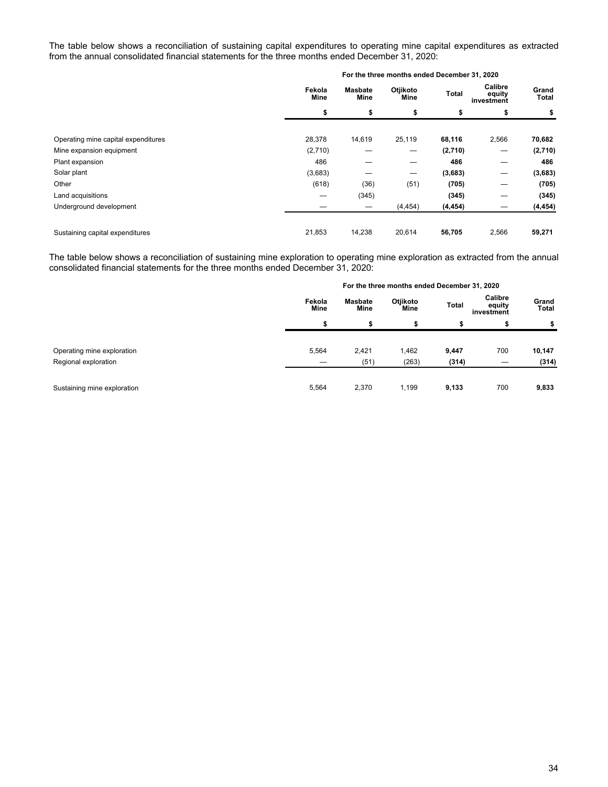The table below shows a reconciliation of sustaining capital expenditures to operating mine capital expenditures as extracted from the annual consolidated financial statements for the three months ended December 31, 2020:

|                                     |                |                               | For the three months ended December 31, 2020 |              |                                 |                |
|-------------------------------------|----------------|-------------------------------|----------------------------------------------|--------------|---------------------------------|----------------|
|                                     | Fekola<br>Mine | <b>Masbate</b><br><b>Mine</b> | Otjikoto<br>Mine                             | <b>Total</b> | Calibre<br>equity<br>investment | Grand<br>Total |
|                                     | \$             | \$                            | \$                                           | \$           | \$                              | \$             |
| Operating mine capital expenditures | 28,378         | 14,619                        | 25,119                                       | 68,116       | 2,566                           | 70,682         |
| Mine expansion equipment            | (2,710)        |                               | —                                            | (2,710)      | —                               | (2,710)        |
| Plant expansion                     | 486            |                               | –                                            | 486          |                                 | 486            |
| Solar plant                         | (3,683)        |                               | $\hspace{0.1mm}-\hspace{0.1mm}$              | (3,683)      | —                               | (3,683)        |
| Other                               | (618)          | (36)                          | (51)                                         | (705)        |                                 | (705)          |
| Land acquisitions                   | –              | (345)                         |                                              | (345)        | –                               | (345)          |
| Underground development             |                |                               | (4, 454)                                     | (4, 454)     |                                 | (4, 454)       |
| Sustaining capital expenditures     | 21,853         | 14,238                        | 20,614                                       | 56,705       | 2,566                           | 59,271         |

The table below shows a reconciliation of sustaining mine exploration to operating mine exploration as extracted from the annual consolidated financial statements for the three months ended December 31, 2020:

|                             |                       |                 | For the three months ended December 31, 2020 |       |                                 |                       |
|-----------------------------|-----------------------|-----------------|----------------------------------------------|-------|---------------------------------|-----------------------|
|                             | Fekola<br><b>Mine</b> | Masbate<br>Mine | Otjikoto<br>Mine                             | Total | Calibre<br>equity<br>investment | Grand<br><b>Total</b> |
|                             | D                     | s               | ъ                                            | \$    | æ                               | \$                    |
| Operating mine exploration  | 5,564                 | 2,421           | 1,462                                        | 9,447 | 700                             | 10,147                |
| Regional exploration        |                       | (51)            | (263)                                        | (314) |                                 | (314)                 |
| Sustaining mine exploration | 5,564                 | 2,370           | 1,199                                        | 9,133 | 700                             | 9,833                 |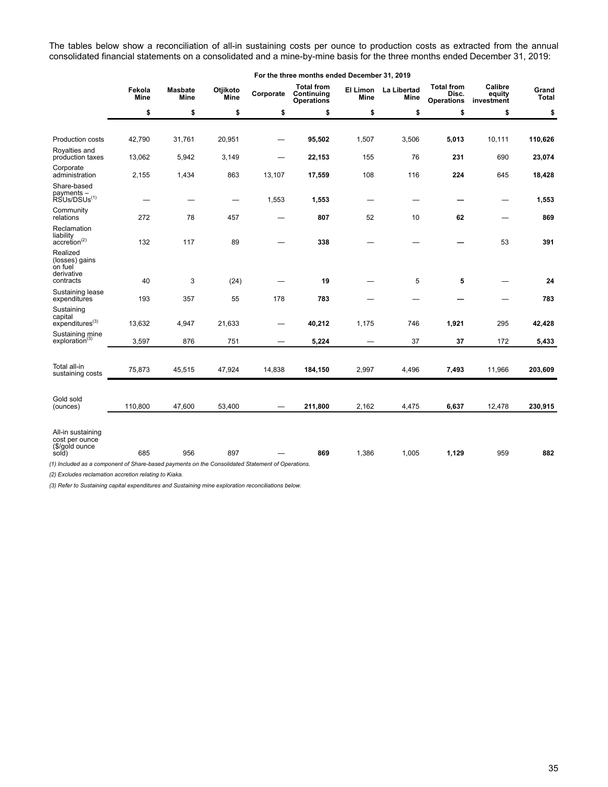The tables below show a reconciliation of all-in sustaining costs per ounce to production costs as extracted from the annual consolidated financial statements on a consolidated and a mine-by-mine basis for the three months ended December 31, 2019:

|                |                        |                  |             | For the three months ended December 31, 2019         |             |       |                                                                                                                                     |                                 |                       |
|----------------|------------------------|------------------|-------------|------------------------------------------------------|-------------|-------|-------------------------------------------------------------------------------------------------------------------------------------|---------------------------------|-----------------------|
| Fekola<br>Mine | <b>Masbate</b><br>Mine | Otjikoto<br>Mine | Corporate   | <b>Total from</b><br>Continuing<br><b>Operations</b> | Mine        | Mine  | <b>Total from</b><br>Disc.<br><b>Operations</b>                                                                                     | Calibre<br>equity<br>investment | Grand<br><b>Total</b> |
| \$             | \$                     | \$               | \$          | \$                                                   | \$          | \$    | \$                                                                                                                                  | \$                              | \$                    |
|                |                        |                  |             |                                                      |             |       |                                                                                                                                     |                                 |                       |
| 42,790         | 31,761                 | 20.951           |             | 95,502                                               | 1.507       | 3,506 | 5,013                                                                                                                               | 10.111                          | 110,626               |
| 13,062         | 5,942                  | 3,149            |             | 22,153                                               | 155         | 76    | 231                                                                                                                                 | 690                             | 23,074                |
| 2,155          | 1,434                  | 863              | 13,107      | 17,559                                               | 108         | 116   | 224                                                                                                                                 | 645                             | 18,428                |
|                |                        | —                | 1,553       | 1,553                                                |             |       | –                                                                                                                                   |                                 | 1,553                 |
| 272            | 78                     | 457              |             | 807                                                  | 52          | 10    | 62                                                                                                                                  |                                 | 869                   |
| 132            | 117                    | 89               |             | 338                                                  |             |       |                                                                                                                                     | 53                              | 391                   |
|                |                        |                  |             |                                                      |             |       |                                                                                                                                     |                                 |                       |
|                |                        |                  |             |                                                      |             |       |                                                                                                                                     |                                 | 24                    |
| 193            | 357                    | 55               | 178         | 783                                                  |             |       |                                                                                                                                     |                                 | 783                   |
| 13,632         | 4,947                  | 21,633           |             | 40,212                                               | 1,175       | 746   | 1,921                                                                                                                               | 295                             | 42,428                |
|                |                        |                  | -           |                                                      |             |       |                                                                                                                                     |                                 | 5,433                 |
|                |                        |                  |             |                                                      |             |       |                                                                                                                                     |                                 |                       |
| 75,873         | 45,515                 | 47,924           | 14,838      | 184,150                                              | 2,997       | 4,496 | 7,493                                                                                                                               | 11,966                          | 203,609               |
|                |                        |                  |             |                                                      |             |       |                                                                                                                                     |                                 |                       |
| 110,800        | 47,600                 | 53,400           |             | 211,800                                              | 2,162       | 4,475 | 6,637                                                                                                                               | 12,478                          | 230,915               |
| 685            | 956                    | 897              |             | 869                                                  | 1,386       | 1,005 | 1,129                                                                                                                               | 959                             | 882                   |
|                | 40<br>3,597            | 3<br>876         | (24)<br>751 |                                                      | 19<br>5,224 |       | El Limon La Libertad<br>5<br>37<br>(1) Included as a component of Share-based payments on the Consolidated Statement of Operations. | 5<br>37                         | 172                   |

*(2) Excludes reclamation accretion relating to Kiaka.* 

*(3) Refer to Sustaining capital expenditures and Sustaining mine exploration reconciliations below.*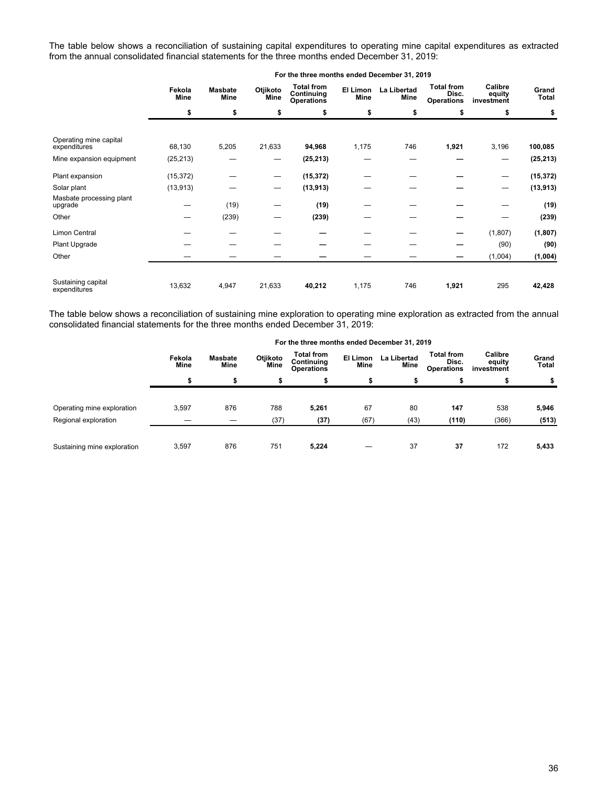The table below shows a reconciliation of sustaining capital expenditures to operating mine capital expenditures as extracted from the annual consolidated financial statements for the three months ended December 31, 2019:

|                                        | Fekola<br><b>Mine</b> | <b>Masbate</b><br>Mine | Otjikoto<br>Mine | <b>Total from</b><br>Continuing<br><b>Operations</b> | El Limon<br>Mine | <b>La Libertad</b><br>Mine | <b>Total from</b><br>Disc.<br><b>Operations</b> | Calibre<br>equity<br>investment | Grand<br>Total |
|----------------------------------------|-----------------------|------------------------|------------------|------------------------------------------------------|------------------|----------------------------|-------------------------------------------------|---------------------------------|----------------|
|                                        | \$                    | \$                     | \$               | \$                                                   | \$               | \$                         | \$                                              | \$                              | \$             |
|                                        |                       |                        |                  |                                                      |                  |                            |                                                 |                                 |                |
| Operating mine capital<br>expenditures | 68,130                | 5,205                  | 21,633           | 94,968                                               | 1,175            | 746                        | 1,921                                           | 3,196                           | 100,085        |
| Mine expansion equipment               | (25, 213)             |                        |                  | (25, 213)                                            |                  |                            |                                                 |                                 | (25, 213)      |
| Plant expansion                        | (15, 372)             |                        |                  | (15, 372)                                            |                  |                            |                                                 |                                 | (15, 372)      |
| Solar plant                            | (13, 913)             |                        | —                | (13, 913)                                            |                  |                            |                                                 |                                 | (13, 913)      |
| Masbate processing plant<br>upgrade    |                       | (19)                   |                  | (19)                                                 |                  |                            |                                                 |                                 | (19)           |
| Other                                  |                       | (239)                  | —                | (239)                                                |                  |                            |                                                 |                                 | (239)          |
| Limon Central                          |                       |                        |                  |                                                      |                  |                            |                                                 | (1,807)                         | (1, 807)       |
| Plant Upgrade                          |                       |                        |                  |                                                      |                  |                            |                                                 | (90)                            | (90)           |
| Other                                  |                       |                        |                  |                                                      |                  |                            |                                                 | (1,004)                         | (1,004)        |
| Sustaining capital<br>expenditures     | 13,632                | 4,947                  | 21,633           | 40,212                                               | 1,175            | 746                        | 1,921                                           | 295                             | 42,428         |

The table below shows a reconciliation of sustaining mine exploration to operating mine exploration as extracted from the annual consolidated financial statements for the three months ended December 31, 2019:

|                             |                |                        |                  | For the three months ended December 31, 2019         |                  |                     |                                                 |                                 |                |    |
|-----------------------------|----------------|------------------------|------------------|------------------------------------------------------|------------------|---------------------|-------------------------------------------------|---------------------------------|----------------|----|
|                             | Fekola<br>Mine | <b>Masbate</b><br>Mine | Otjikoto<br>Mine | <b>Total from</b><br>Continuing<br><b>Operations</b> | El Limon<br>Mine | La Libertad<br>Mine | <b>Total from</b><br>Disc.<br><b>Operations</b> | Calibre<br>equity<br>investment | Grand<br>Total |    |
|                             | \$             |                        | ъ                | \$                                                   |                  | S                   |                                                 |                                 |                | \$ |
| Operating mine exploration  | 3,597          | 876                    | 788              | 5,261                                                | 67               | 80                  | 147                                             | 538                             | 5,946          |    |
| Regional exploration        |                |                        | (37)             | (37)                                                 | (67)             | (43)                | (110)                                           | (366)                           | (513)          |    |
| Sustaining mine exploration | 3.597          | 876                    | 751              | 5.224                                                |                  | 37                  | 37                                              | 172                             | 5,433          |    |

#### **For the three months ended December 31, 2019**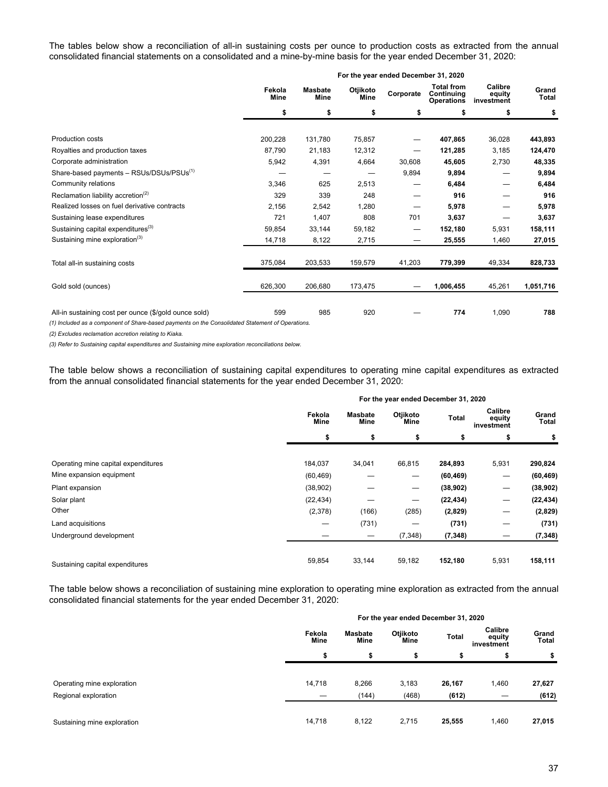The tables below show a reconciliation of all-in sustaining costs per ounce to production costs as extracted from the annual consolidated financial statements on a consolidated and a mine-by-mine basis for the year ended December 31, 2020:

|                                                       |                |                        |                  | For the year ended December 31, 2020 |                                                      |                                 |                |
|-------------------------------------------------------|----------------|------------------------|------------------|--------------------------------------|------------------------------------------------------|---------------------------------|----------------|
|                                                       | Fekola<br>Mine | <b>Masbate</b><br>Mine | Otjikoto<br>Mine | Corporate                            | <b>Total from</b><br>Continuing<br><b>Operations</b> | Calibre<br>equity<br>investment | Grand<br>Total |
|                                                       | \$             | \$                     | \$               | \$                                   | S                                                    | \$                              | \$             |
|                                                       |                |                        |                  |                                      |                                                      |                                 |                |
| Production costs                                      | 200,228        | 131,780                | 75,857           |                                      | 407,865                                              | 36,028                          | 443,893        |
| Royalties and production taxes                        | 87,790         | 21,183                 | 12,312           |                                      | 121,285                                              | 3,185                           | 124,470        |
| Corporate administration                              | 5,942          | 4,391                  | 4,664            | 30,608                               | 45,605                                               | 2,730                           | 48,335         |
| Share-based payments - RSUs/DSUs/PSUs <sup>(1)</sup>  |                |                        |                  | 9,894                                | 9,894                                                |                                 | 9,894          |
| Community relations                                   | 3,346          | 625                    | 2,513            |                                      | 6,484                                                |                                 | 6,484          |
| Reclamation liability accretion <sup>(2)</sup>        | 329            | 339                    | 248              | —                                    | 916                                                  |                                 | 916            |
| Realized losses on fuel derivative contracts          | 2,156          | 2,542                  | 1,280            |                                      | 5,978                                                |                                 | 5,978          |
| Sustaining lease expenditures                         | 721            | 1,407                  | 808              | 701                                  | 3,637                                                |                                 | 3,637          |
| Sustaining capital expenditures <sup>(3)</sup>        | 59,854         | 33,144                 | 59,182           | $\qquad \qquad \longleftarrow$       | 152,180                                              | 5,931                           | 158,111        |
| Sustaining mine exploration <sup>(3)</sup>            | 14,718         | 8,122                  | 2,715            |                                      | 25,555                                               | 1,460                           | 27,015         |
| Total all-in sustaining costs                         | 375,084        | 203,533                | 159,579          | 41,203                               | 779,399                                              | 49,334                          | 828,733        |
| Gold sold (ounces)                                    | 626,300        | 206,680                | 173,475          |                                      | 1,006,455                                            | 45,261                          | 1,051,716      |
| All-in sustaining cost per ounce (\$/gold ounce sold) | 599            | 985                    | 920              |                                      | 774                                                  | 1,090                           | 788            |

*(1) Included as a component of Share-based payments on the Consolidated Statement of Operations.* 

*(2) Excludes reclamation accretion relating to Kiaka.* 

*(3) Refer to Sustaining capital expenditures and Sustaining mine exploration reconciliations below.* 

The table below shows a reconciliation of sustaining capital expenditures to operating mine capital expenditures as extracted from the annual consolidated financial statements for the year ended December 31, 2020:

|                                     | For the year ended December 31, 2020 |                        |                                 |           |                                 |                |  |  |
|-------------------------------------|--------------------------------------|------------------------|---------------------------------|-----------|---------------------------------|----------------|--|--|
|                                     | Fekola<br>Mine                       | <b>Masbate</b><br>Mine | Otjikoto<br>Mine                | Total     | Calibre<br>equity<br>investment | Grand<br>Total |  |  |
|                                     | \$                                   | \$                     | \$                              | \$        | \$                              | \$             |  |  |
|                                     |                                      |                        |                                 |           |                                 |                |  |  |
| Operating mine capital expenditures | 184,037                              | 34,041                 | 66,815                          | 284,893   | 5,931                           | 290,824        |  |  |
| Mine expansion equipment            | (60, 469)                            |                        | $\overline{\phantom{m}}$        | (60, 469) | —                               | (60, 469)      |  |  |
| Plant expansion                     | (38,902)                             |                        | $\hspace{0.1mm}-\hspace{0.1mm}$ | (38, 902) |                                 | (38, 902)      |  |  |
| Solar plant                         | (22, 434)                            |                        |                                 | (22, 434) |                                 | (22, 434)      |  |  |
| Other                               | (2,378)                              | (166)                  | (285)                           | (2,829)   |                                 | (2,829)        |  |  |
| Land acquisitions                   |                                      | (731)                  | —                               | (731)     |                                 | (731)          |  |  |
| Underground development             |                                      |                        | (7, 348)                        | (7, 348)  |                                 | (7, 348)       |  |  |
| Sustaining capital expenditures     | 59,854                               | 33,144                 | 59,182                          | 152,180   | 5,931                           | 158,111        |  |  |

The table below shows a reconciliation of sustaining mine exploration to operating mine exploration as extracted from the annual consolidated financial statements for the year ended December 31, 2020:

|                             | For the year ended December 31, 2020 |                 |                  |        |                                 |                       |  |  |
|-----------------------------|--------------------------------------|-----------------|------------------|--------|---------------------------------|-----------------------|--|--|
|                             | Fekola<br>Mine                       | Masbate<br>Mine | Otjikoto<br>Mine | Total  | Calibre<br>equity<br>investment | Grand<br><b>Total</b> |  |  |
|                             | ъ                                    | S               |                  | э      |                                 | \$                    |  |  |
|                             |                                      |                 |                  |        |                                 |                       |  |  |
| Operating mine exploration  | 14,718                               | 8,266           | 3,183            | 26,167 | 1,460                           | 27,627                |  |  |
| Regional exploration        |                                      | (144)           | (468)            | (612)  |                                 | (612)                 |  |  |
|                             |                                      |                 |                  |        |                                 |                       |  |  |
| Sustaining mine exploration | 14,718                               | 8,122           | 2,715            | 25,555 | 1,460                           | 27,015                |  |  |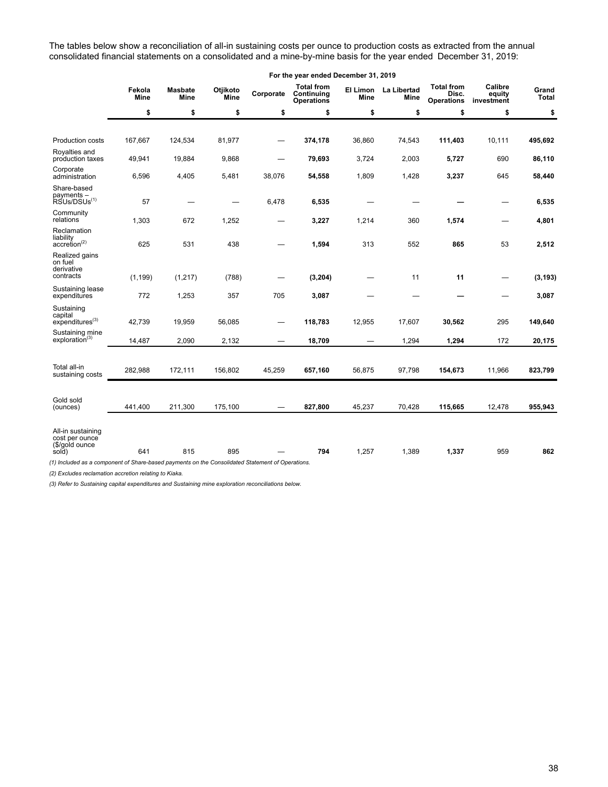The tables below show a reconciliation of all-in sustaining costs per ounce to production costs as extracted from the annual consolidated financial statements on a consolidated and a mine-by-mine basis for the year ended December 31, 2019:

|                                                                                                                                                                    | For the year ended December 31, 2019 |                        |                  |                 |                                                      |        |                              |                                                 |                                 |                |  |  |
|--------------------------------------------------------------------------------------------------------------------------------------------------------------------|--------------------------------------|------------------------|------------------|-----------------|------------------------------------------------------|--------|------------------------------|-------------------------------------------------|---------------------------------|----------------|--|--|
|                                                                                                                                                                    | Fekola<br>Mine                       | <b>Masbate</b><br>Mine | Otjikoto<br>Mine | Corporate       | <b>Total from</b><br>Continuing<br><b>Operations</b> | Mine   | El Limon La Libertad<br>Mine | <b>Total from</b><br>Disc.<br><b>Operations</b> | Calibre<br>equity<br>investment | Grand<br>Total |  |  |
|                                                                                                                                                                    | \$                                   | \$                     | \$               | \$              | \$                                                   | \$     | \$                           | \$                                              | \$                              | \$             |  |  |
|                                                                                                                                                                    |                                      |                        |                  |                 |                                                      |        |                              |                                                 |                                 |                |  |  |
| Production costs                                                                                                                                                   | 167.667                              | 124,534                | 81.977           |                 | 374,178                                              | 36.860 | 74,543                       | 111,403                                         | 10.111                          | 495,692        |  |  |
| Royalties and<br>production taxes                                                                                                                                  | 49,941                               | 19,884                 | 9,868            | —               | 79,693                                               | 3,724  | 2,003                        | 5,727                                           | 690                             | 86,110         |  |  |
| Corporate<br>administration                                                                                                                                        | 6,596                                | 4,405                  | 5,481            | 38,076          | 54,558                                               | 1,809  | 1,428                        | 3,237                                           | 645                             | 58,440         |  |  |
| Share-based<br>payments –<br>RSUs/DSUs <sup>(1)</sup>                                                                                                              | 57                                   |                        |                  | 6,478           | 6,535                                                |        |                              |                                                 |                                 | 6,535          |  |  |
| Community<br>relations                                                                                                                                             | 1,303                                | 672                    | 1,252            |                 | 3,227                                                | 1,214  | 360                          | 1,574                                           |                                 | 4,801          |  |  |
| Reclamation<br>liability<br>$accretion^{(2)}$                                                                                                                      | 625                                  | 531                    | 438              |                 | 1,594                                                | 313    | 552                          | 865                                             | 53                              | 2,512          |  |  |
| Realized gains<br>on fuel<br>derivative<br>contracts                                                                                                               | (1, 199)                             | (1, 217)               | (788)            |                 | (3, 204)                                             |        | 11                           | 11                                              |                                 | (3, 193)       |  |  |
| Sustaining lease<br>expenditures                                                                                                                                   | 772                                  | 1,253                  | 357              | 705             | 3,087                                                |        |                              |                                                 |                                 | 3,087          |  |  |
| Sustaining<br>capital<br>expenditures <sup>(3)</sup>                                                                                                               | 42,739                               | 19,959                 | 56,085           | $\qquad \qquad$ | 118,783                                              | 12,955 | 17,607                       | 30,562                                          | 295                             | 149,640        |  |  |
| Sustaining mine<br>exploration <sup>(3)</sup>                                                                                                                      | 14,487                               | 2,090                  | 2,132            |                 | 18,709                                               |        | 1,294                        | 1,294                                           | 172                             | 20,175         |  |  |
|                                                                                                                                                                    |                                      |                        |                  |                 |                                                      |        |                              |                                                 |                                 |                |  |  |
| Total all-in<br>sustaining costs                                                                                                                                   | 282,988                              | 172,111                | 156,802          | 45,259          | 657,160                                              | 56,875 | 97,798                       | 154,673                                         | 11,966                          | 823,799        |  |  |
| Gold sold                                                                                                                                                          |                                      |                        |                  |                 |                                                      |        |                              |                                                 |                                 |                |  |  |
| (ounces)                                                                                                                                                           | 441,400                              | 211,300                | 175,100          |                 | 827,800                                              | 45,237 | 70,428                       | 115,665                                         | 12,478                          | 955,943        |  |  |
| All-in sustaining<br>cost per ounce<br>(\$/gold ounce<br>sold)<br>(1) Included as a component of Share-based payments on the Consolidated Statement of Operations. | 641                                  | 815                    | 895              |                 | 794                                                  | 1,257  | 1,389                        | 1,337                                           | 959                             | 862            |  |  |

*(2) Excludes reclamation accretion relating to Kiaka.* 

*(3) Refer to Sustaining capital expenditures and Sustaining mine exploration reconciliations below.*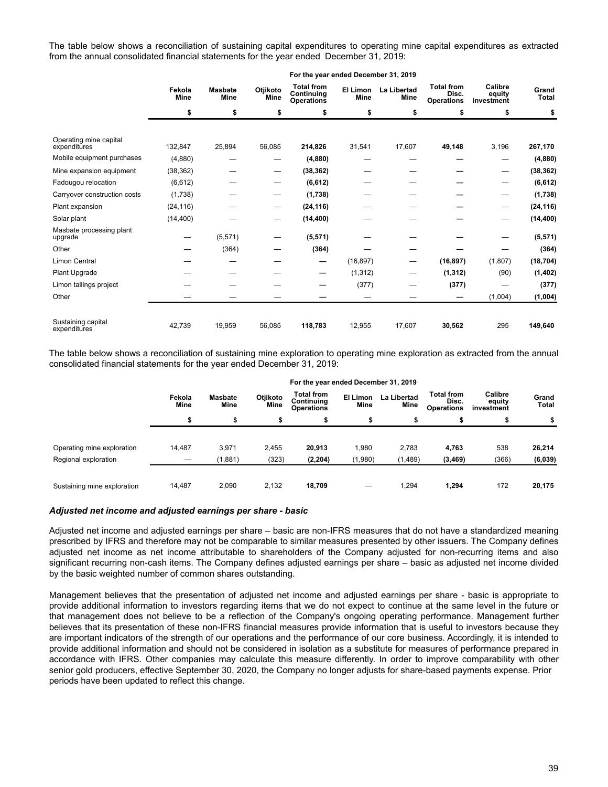The table below shows a reconciliation of sustaining capital expenditures to operating mine capital expenditures as extracted from the annual consolidated financial statements for the year ended December 31, 2019:

|                                        |                       |                               |                  | For the year ended December 31, 2019                 |                         |                            |                                                 |                                 |                |  |
|----------------------------------------|-----------------------|-------------------------------|------------------|------------------------------------------------------|-------------------------|----------------------------|-------------------------------------------------|---------------------------------|----------------|--|
|                                        | Fekola<br><b>Mine</b> | <b>Masbate</b><br><b>Mine</b> | Otjikoto<br>Mine | <b>Total from</b><br>Continuing<br><b>Operations</b> | El Limon<br><b>Mine</b> | La Libertad<br><b>Mine</b> | <b>Total from</b><br>Disc.<br><b>Operations</b> | Calibre<br>equity<br>investment | Grand<br>Total |  |
|                                        | \$                    | \$                            | \$               | \$                                                   | \$                      | \$                         | \$                                              | \$                              | \$             |  |
|                                        |                       |                               |                  |                                                      |                         |                            |                                                 |                                 |                |  |
| Operating mine capital<br>expenditures | 132,847               | 25,894                        | 56,085           | 214,826                                              | 31,541                  | 17,607                     | 49,148                                          | 3,196                           | 267,170        |  |
| Mobile equipment purchases             | (4,880)               |                               |                  | (4,880)                                              |                         |                            |                                                 |                                 | (4,880)        |  |
| Mine expansion equipment               | (38, 362)             |                               | —                | (38, 362)                                            |                         |                            |                                                 |                                 | (38, 362)      |  |
| Fadougou relocation                    | (6, 612)              |                               |                  | (6, 612)                                             |                         |                            |                                                 |                                 | (6, 612)       |  |
| Carryover construction costs           | (1,738)               |                               | —                | (1,738)                                              |                         |                            |                                                 |                                 | (1,738)        |  |
| Plant expansion                        | (24, 116)             |                               | —                | (24, 116)                                            |                         |                            |                                                 |                                 | (24, 116)      |  |
| Solar plant                            | (14, 400)             |                               | —                | (14, 400)                                            |                         |                            |                                                 |                                 | (14, 400)      |  |
| Masbate processing plant<br>upgrade    |                       | (5,571)                       | —                | (5, 571)                                             |                         |                            |                                                 |                                 | (5, 571)       |  |
| Other                                  |                       | (364)                         |                  | (364)                                                |                         |                            |                                                 |                                 | (364)          |  |
| Limon Central                          |                       |                               |                  | —                                                    | (16, 897)               | —                          | (16, 897)                                       | (1,807)                         | (18, 704)      |  |
| Plant Upgrade                          |                       |                               |                  |                                                      | (1, 312)                | —                          | (1, 312)                                        | (90)                            | (1, 402)       |  |
| Limon tailings project                 |                       |                               |                  |                                                      | (377)                   |                            | (377)                                           |                                 | (377)          |  |
| Other                                  |                       |                               |                  |                                                      |                         |                            |                                                 | (1,004)                         | (1,004)        |  |
| Sustaining capital<br>expenditures     | 42,739                | 19,959                        | 56,085           | 118,783                                              | 12,955                  | 17,607                     | 30,562                                          | 295                             | 149,640        |  |

The table below shows a reconciliation of sustaining mine exploration to operating mine exploration as extracted from the annual consolidated financial statements for the year ended December 31, 2019:

|                             | For the year ended December 31, 2019 |                        |                  |                                                      |                  |                     |                                                 |                                 |                |  |
|-----------------------------|--------------------------------------|------------------------|------------------|------------------------------------------------------|------------------|---------------------|-------------------------------------------------|---------------------------------|----------------|--|
|                             | Fekola<br>Mine                       | <b>Masbate</b><br>Mine | Otjikoto<br>Mine | <b>Total from</b><br>Continuina<br><b>Operations</b> | El Limon<br>Mine | La Libertad<br>Mine | <b>Total from</b><br>Disc.<br><b>Operations</b> | Calibre<br>equity<br>investment | Grand<br>Total |  |
|                             | ъ                                    | \$                     |                  | ъ                                                    | æ                | \$                  | S                                               | æ                               |                |  |
| Operating mine exploration  | 14,487                               | 3,971                  | 2.455            | 20,913                                               | 1,980            | 2.783               | 4,763                                           | 538                             | 26,214         |  |
| Regional exploration        |                                      | (1,881)                | (323)            | (2, 204)                                             | (1,980)          | (1, 489)            | (3, 469)                                        | (366)                           | (6,039)        |  |
| Sustaining mine exploration | 14.487                               | 2.090                  | 2.132            | 18.709                                               |                  | 1.294               | 1,294                                           | 172                             | 20,175         |  |

### *Adjusted net income and adjusted earnings per share - basic*

Adjusted net income and adjusted earnings per share – basic are non-IFRS measures that do not have a standardized meaning prescribed by IFRS and therefore may not be comparable to similar measures presented by other issuers. The Company defines adjusted net income as net income attributable to shareholders of the Company adjusted for non-recurring items and also significant recurring non-cash items. The Company defines adjusted earnings per share – basic as adjusted net income divided by the basic weighted number of common shares outstanding.

Management believes that the presentation of adjusted net income and adjusted earnings per share - basic is appropriate to provide additional information to investors regarding items that we do not expect to continue at the same level in the future or that management does not believe to be a reflection of the Company's ongoing operating performance. Management further believes that its presentation of these non-IFRS financial measures provide information that is useful to investors because they are important indicators of the strength of our operations and the performance of our core business. Accordingly, it is intended to provide additional information and should not be considered in isolation as a substitute for measures of performance prepared in accordance with IFRS. Other companies may calculate this measure differently. In order to improve comparability with other senior gold producers, effective September 30, 2020, the Company no longer adjusts for share-based payments expense. Prior periods have been updated to reflect this change.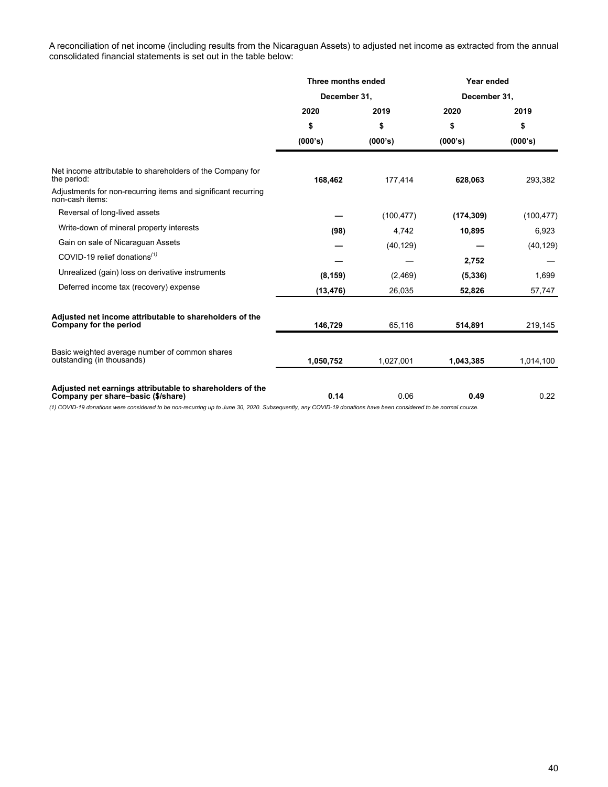A reconciliation of net income (including results from the Nicaraguan Assets) to adjusted net income as extracted from the annual consolidated financial statements is set out in the table below:

|                                                                                                                                                                | Three months ended |            | Year ended   |            |
|----------------------------------------------------------------------------------------------------------------------------------------------------------------|--------------------|------------|--------------|------------|
|                                                                                                                                                                | December 31.       |            | December 31. |            |
|                                                                                                                                                                | 2020               | 2019       | 2020         | 2019       |
|                                                                                                                                                                | \$                 | \$         | \$           | \$         |
|                                                                                                                                                                | (000's)            | (000's)    | (000's)      | (000's)    |
| Net income attributable to shareholders of the Company for<br>the period:                                                                                      | 168,462            | 177.414    | 628,063      | 293,382    |
| Adjustments for non-recurring items and significant recurring<br>non-cash items:                                                                               |                    |            |              |            |
| Reversal of long-lived assets                                                                                                                                  |                    | (100, 477) | (174, 309)   | (100, 477) |
| Write-down of mineral property interests                                                                                                                       | (98)               | 4,742      | 10,895       | 6,923      |
| Gain on sale of Nicaraguan Assets                                                                                                                              |                    | (40, 129)  |              | (40, 129)  |
| COVID-19 relief donations <sup><math>(1)</math></sup>                                                                                                          |                    |            | 2,752        |            |
| Unrealized (gain) loss on derivative instruments                                                                                                               | (8, 159)           | (2,469)    | (5, 336)     | 1,699      |
| Deferred income tax (recovery) expense                                                                                                                         | (13, 476)          | 26,035     | 52,826       | 57,747     |
| Adjusted net income attributable to shareholders of the<br>Company for the period                                                                              | 146,729            | 65,116     | 514,891      | 219,145    |
| Basic weighted average number of common shares<br>outstanding (in thousands)                                                                                   | 1,050,752          | 1,027,001  | 1,043,385    | 1,014,100  |
| Adjusted net earnings attributable to shareholders of the<br>Company per share-basic (\$/share)                                                                | 0.14               | 0.06       | 0.49         | 0.22       |
| (1) COVID-19 donations were considered to be non-recurring up to June 30, 2020. Subsequently, any COVID-19 donations have been considered to be normal course. |                    |            |              |            |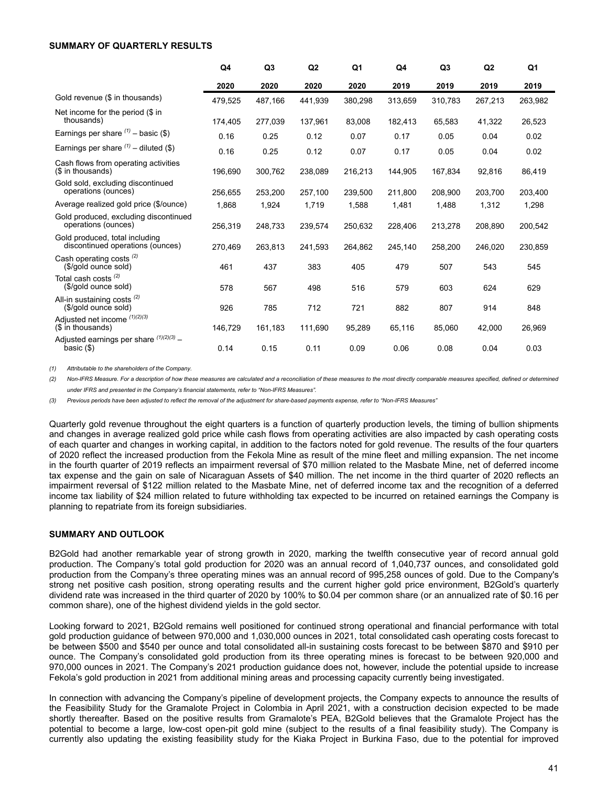#### <span id="page-40-0"></span>**SUMMARY OF QUARTERLY RESULTS**

|                                                                    | Q4      | Q <sub>3</sub> | Q <sub>2</sub> | Q1      | Q4      | Q <sub>3</sub> | Q2      | Q1      |
|--------------------------------------------------------------------|---------|----------------|----------------|---------|---------|----------------|---------|---------|
|                                                                    | 2020    | 2020           | 2020           | 2020    | 2019    | 2019           | 2019    | 2019    |
| Gold revenue (\$ in thousands)                                     | 479.525 | 487,166        | 441,939        | 380,298 | 313.659 | 310.783        | 267,213 | 263,982 |
| Net income for the period (\$ in<br>thousands)                     | 174,405 | 277,039        | 137,961        | 83,008  | 182,413 | 65,583         | 41,322  | 26,523  |
| Earnings per share $(1)$ – basic (\$)                              | 0.16    | 0.25           | 0.12           | 0.07    | 0.17    | 0.05           | 0.04    | 0.02    |
| Earnings per share $(1)$ – diluted (\$)                            | 0.16    | 0.25           | 0.12           | 0.07    | 0.17    | 0.05           | 0.04    | 0.02    |
| Cash flows from operating activities<br>(\$ in thousands)          | 196,690 | 300,762        | 238,089        | 216,213 | 144,905 | 167,834        | 92,816  | 86,419  |
| Gold sold, excluding discontinued<br>operations (ounces)           | 256,655 | 253,200        | 257,100        | 239,500 | 211,800 | 208.900        | 203,700 | 203,400 |
| Average realized gold price (\$/ounce)                             | 1,868   | 1,924          | 1,719          | 1,588   | 1,481   | 1,488          | 1,312   | 1,298   |
| Gold produced, excluding discontinued<br>operations (ounces)       | 256,319 | 248,733        | 239,574        | 250,632 | 228,406 | 213,278        | 208,890 | 200,542 |
| Gold produced, total including<br>discontinued operations (ounces) | 270,469 | 263,813        | 241,593        | 264,862 | 245,140 | 258,200        | 246,020 | 230,859 |
| Cash operating costs <sup>(2)</sup><br>(\$/gold ounce sold)        | 461     | 437            | 383            | 405     | 479     | 507            | 543     | 545     |
| Total cash costs <sup>(2)</sup><br>(\$/gold ounce sold)            | 578     | 567            | 498            | 516     | 579     | 603            | 624     | 629     |
| All-in sustaining costs $(2)$<br>(\$/gold ounce sold)              | 926     | 785            | 712            | 721     | 882     | 807            | 914     | 848     |
| Adjusted net income (1)(2)(3)<br>(\$ in thousands)                 | 146,729 | 161,183        | 111,690        | 95,289  | 65,116  | 85,060         | 42,000  | 26,969  |
| Adjusted earnings per share $(1)(2)(3)$ -<br>basic $(\$)$          | 0.14    | 0.15           | 0.11           | 0.09    | 0.06    | 0.08           | 0.04    | 0.03    |

*(1) Attributable to the shareholders of the Company.*

*(2) Non-IFRS Measure. For a description of how these measures are calculated and a reconciliation of these measures to the most directly comparable measures specified, defined or determined under IFRS and presented in the Company's financial statements, refer to "Non-IFRS Measures".*

*(3) Previous periods have been adjusted to reflect the removal of the adjustment for share-based payments expense, refer to "Non-IFRS Measures"*

Quarterly gold revenue throughout the eight quarters is a function of quarterly production levels, the timing of bullion shipments and changes in average realized gold price while cash flows from operating activities are also impacted by cash operating costs of each quarter and changes in working capital, in addition to the factors noted for gold revenue. The results of the four quarters of 2020 reflect the increased production from the Fekola Mine as result of the mine fleet and milling expansion. The net income in the fourth quarter of 2019 reflects an impairment reversal of \$70 million related to the Masbate Mine, net of deferred income tax expense and the gain on sale of Nicaraguan Assets of \$40 million. The net income in the third quarter of 2020 reflects an impairment reversal of \$122 million related to the Masbate Mine, net of deferred income tax and the recognition of a deferred income tax liability of \$24 million related to future withholding tax expected to be incurred on retained earnings the Company is planning to repatriate from its foreign subsidiaries.

#### **SUMMARY AND OUTLOOK**

B2Gold had another remarkable year of strong growth in 2020, marking the twelfth consecutive year of record annual gold production. The Company's total gold production for 2020 was an annual record of 1,040,737 ounces, and consolidated gold production from the Company's three operating mines was an annual record of 995,258 ounces of gold. Due to the Company's strong net positive cash position, strong operating results and the current higher gold price environment, B2Gold's quarterly dividend rate was increased in the third quarter of 2020 by 100% to \$0.04 per common share (or an annualized rate of \$0.16 per common share), one of the highest dividend yields in the gold sector.

Looking forward to 2021, B2Gold remains well positioned for continued strong operational and financial performance with total gold production guidance of between 970,000 and 1,030,000 ounces in 2021, total consolidated cash operating costs forecast to be between \$500 and \$540 per ounce and total consolidated all-in sustaining costs forecast to be between \$870 and \$910 per ounce. The Company's consolidated gold production from its three operating mines is forecast to be between 920,000 and 970,000 ounces in 2021. The Company's 2021 production guidance does not, however, include the potential upside to increase Fekola's gold production in 2021 from additional mining areas and processing capacity currently being investigated.

In connection with advancing the Company's pipeline of development projects, the Company expects to announce the results of the Feasibility Study for the Gramalote Project in Colombia in April 2021, with a construction decision expected to be made shortly thereafter. Based on the positive results from Gramalote's PEA, B2Gold believes that the Gramalote Project has the potential to become a large, low-cost open-pit gold mine (subject to the results of a final feasibility study). The Company is currently also updating the existing feasibility study for the Kiaka Project in Burkina Faso, due to the potential for improved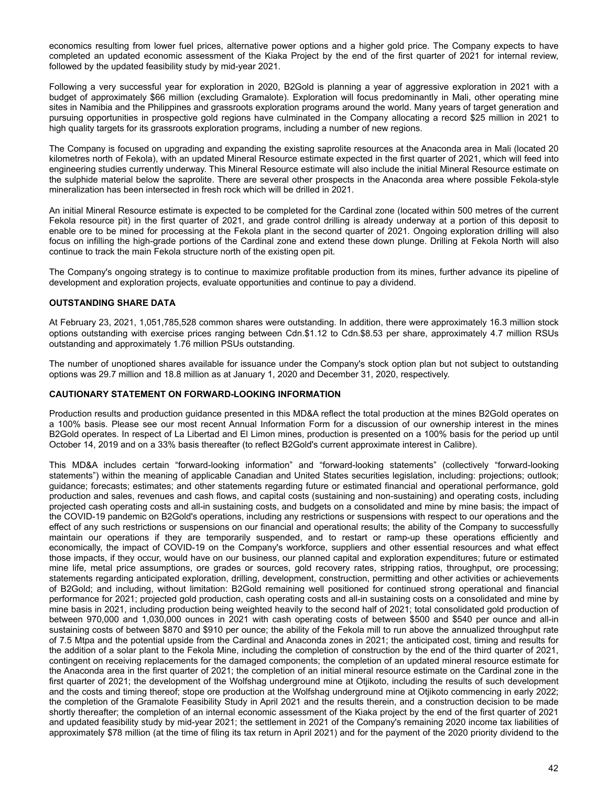<span id="page-41-0"></span>economics resulting from lower fuel prices, alternative power options and a higher gold price. The Company expects to have completed an updated economic assessment of the Kiaka Project by the end of the first quarter of 2021 for internal review, followed by the updated feasibility study by mid-year 2021.

Following a very successful year for exploration in 2020, B2Gold is planning a year of aggressive exploration in 2021 with a budget of approximately \$66 million (excluding Gramalote). Exploration will focus predominantly in Mali, other operating mine sites in Namibia and the Philippines and grassroots exploration programs around the world. Many years of target generation and pursuing opportunities in prospective gold regions have culminated in the Company allocating a record \$25 million in 2021 to high quality targets for its grassroots exploration programs, including a number of new regions.

The Company is focused on upgrading and expanding the existing saprolite resources at the Anaconda area in Mali (located 20 kilometres north of Fekola), with an updated Mineral Resource estimate expected in the first quarter of 2021, which will feed into engineering studies currently underway. This Mineral Resource estimate will also include the initial Mineral Resource estimate on the sulphide material below the saprolite. There are several other prospects in the Anaconda area where possible Fekola-style mineralization has been intersected in fresh rock which will be drilled in 2021.

An initial Mineral Resource estimate is expected to be completed for the Cardinal zone (located within 500 metres of the current Fekola resource pit) in the first quarter of 2021, and grade control drilling is already underway at a portion of this deposit to enable ore to be mined for processing at the Fekola plant in the second quarter of 2021. Ongoing exploration drilling will also focus on infilling the high-grade portions of the Cardinal zone and extend these down plunge. Drilling at Fekola North will also continue to track the main Fekola structure north of the existing open pit.

The Company's ongoing strategy is to continue to maximize profitable production from its mines, further advance its pipeline of development and exploration projects, evaluate opportunities and continue to pay a dividend.

# **OUTSTANDING SHARE DATA**

At February 23, 2021, 1,051,785,528 common shares were outstanding. In addition, there were approximately 16.3 million stock options outstanding with exercise prices ranging between Cdn.\$1.12 to Cdn.\$8.53 per share, approximately 4.7 million RSUs outstanding and approximately 1.76 million PSUs outstanding.

The number of unoptioned shares available for issuance under the Company's stock option plan but not subject to outstanding options was 29.7 million and 18.8 million as at January 1, 2020 and December 31, 2020, respectively.

### **CAUTIONARY STATEMENT ON FORWARD-LOOKING INFORMATION**

Production results and production guidance presented in this MD&A reflect the total production at the mines B2Gold operates on a 100% basis. Please see our most recent Annual Information Form for a discussion of our ownership interest in the mines B2Gold operates. In respect of La Libertad and El Limon mines, production is presented on a 100% basis for the period up until October 14, 2019 and on a 33% basis thereafter (to reflect B2Gold's current approximate interest in Calibre).

This MD&A includes certain "forward-looking information" and "forward-looking statements" (collectively "forward-looking statements") within the meaning of applicable Canadian and United States securities legislation, including: projections; outlook; guidance; forecasts; estimates; and other statements regarding future or estimated financial and operational performance, gold production and sales, revenues and cash flows, and capital costs (sustaining and non-sustaining) and operating costs, including projected cash operating costs and all-in sustaining costs, and budgets on a consolidated and mine by mine basis; the impact of the COVID-19 pandemic on B2Gold's operations, including any restrictions or suspensions with respect to our operations and the effect of any such restrictions or suspensions on our financial and operational results; the ability of the Company to successfully maintain our operations if they are temporarily suspended, and to restart or ramp-up these operations efficiently and economically, the impact of COVID-19 on the Company's workforce, suppliers and other essential resources and what effect those impacts, if they occur, would have on our business, our planned capital and exploration expenditures; future or estimated mine life, metal price assumptions, ore grades or sources, gold recovery rates, stripping ratios, throughput, ore processing; statements regarding anticipated exploration, drilling, development, construction, permitting and other activities or achievements of B2Gold; and including, without limitation: B2Gold remaining well positioned for continued strong operational and financial performance for 2021; projected gold production, cash operating costs and all-in sustaining costs on a consolidated and mine by mine basis in 2021, including production being weighted heavily to the second half of 2021; total consolidated gold production of between 970,000 and 1,030,000 ounces in 2021 with cash operating costs of between \$500 and \$540 per ounce and all-in sustaining costs of between \$870 and \$910 per ounce; the ability of the Fekola mill to run above the annualized throughput rate of 7.5 Mtpa and the potential upside from the Cardinal and Anaconda zones in 2021; the anticipated cost, timing and results for the addition of a solar plant to the Fekola Mine, including the completion of construction by the end of the third quarter of 2021, contingent on receiving replacements for the damaged components; the completion of an updated mineral resource estimate for the Anaconda area in the first quarter of 2021; the completion of an initial mineral resource estimate on the Cardinal zone in the first quarter of 2021; the development of the Wolfshag underground mine at Otjikoto, including the results of such development and the costs and timing thereof; stope ore production at the Wolfshag underground mine at Otjikoto commencing in early 2022; the completion of the Gramalote Feasibility Study in April 2021 and the results therein, and a construction decision to be made shortly thereafter; the completion of an internal economic assessment of the Kiaka project by the end of the first quarter of 2021 and updated feasibility study by mid-year 2021; the settlement in 2021 of the Company's remaining 2020 income tax liabilities of approximately \$78 million (at the time of filing its tax return in April 2021) and for the payment of the 2020 priority dividend to the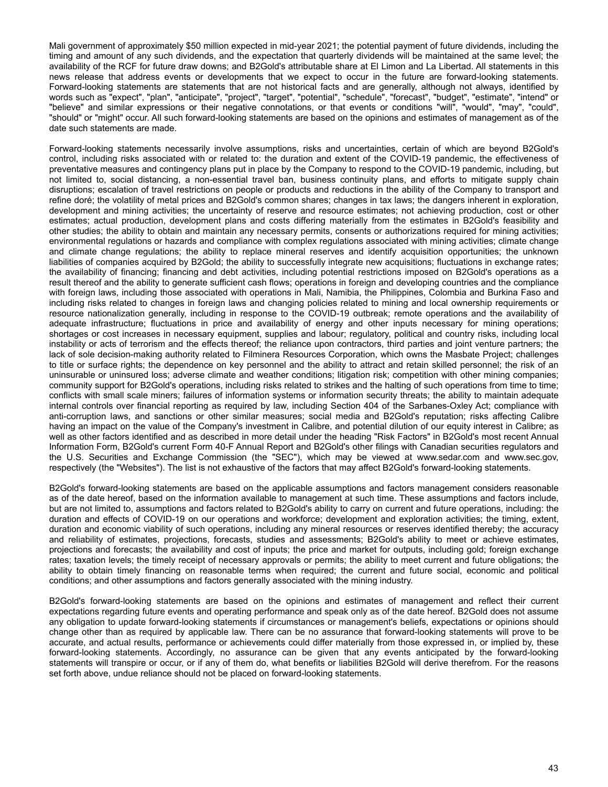Mali government of approximately \$50 million expected in mid-year 2021; the potential payment of future dividends, including the timing and amount of any such dividends, and the expectation that quarterly dividends will be maintained at the same level; the availability of the RCF for future draw downs; and B2Gold's attributable share at El Limon and La Libertad. All statements in this news release that address events or developments that we expect to occur in the future are forward-looking statements. Forward-looking statements are statements that are not historical facts and are generally, although not always, identified by words such as "expect", "plan", "anticipate", "project", "target", "potential", "schedule", "forecast", "budget", "estimate", "intend" or "believe" and similar expressions or their negative connotations, or that events or conditions "will", "would", "may", "could", "should" or "might" occur. All such forward-looking statements are based on the opinions and estimates of management as of the date such statements are made.

Forward-looking statements necessarily involve assumptions, risks and uncertainties, certain of which are beyond B2Gold's control, including risks associated with or related to: the duration and extent of the COVID-19 pandemic, the effectiveness of preventative measures and contingency plans put in place by the Company to respond to the COVID-19 pandemic, including, but not limited to, social distancing, a non-essential travel ban, business continuity plans, and efforts to mitigate supply chain disruptions; escalation of travel restrictions on people or products and reductions in the ability of the Company to transport and refine doré; the volatility of metal prices and B2Gold's common shares; changes in tax laws; the dangers inherent in exploration, development and mining activities; the uncertainty of reserve and resource estimates; not achieving production, cost or other estimates; actual production, development plans and costs differing materially from the estimates in B2Gold's feasibility and other studies; the ability to obtain and maintain any necessary permits, consents or authorizations required for mining activities; environmental regulations or hazards and compliance with complex regulations associated with mining activities; climate change and climate change regulations; the ability to replace mineral reserves and identify acquisition opportunities; the unknown liabilities of companies acquired by B2Gold; the ability to successfully integrate new acquisitions; fluctuations in exchange rates; the availability of financing; financing and debt activities, including potential restrictions imposed on B2Gold's operations as a result thereof and the ability to generate sufficient cash flows; operations in foreign and developing countries and the compliance with foreign laws, including those associated with operations in Mali, Namibia, the Philippines, Colombia and Burkina Faso and including risks related to changes in foreign laws and changing policies related to mining and local ownership requirements or resource nationalization generally, including in response to the COVID-19 outbreak; remote operations and the availability of adequate infrastructure; fluctuations in price and availability of energy and other inputs necessary for mining operations; shortages or cost increases in necessary equipment, supplies and labour; regulatory, political and country risks, including local instability or acts of terrorism and the effects thereof; the reliance upon contractors, third parties and joint venture partners; the lack of sole decision-making authority related to Filminera Resources Corporation, which owns the Masbate Project; challenges to title or surface rights; the dependence on key personnel and the ability to attract and retain skilled personnel; the risk of an uninsurable or uninsured loss; adverse climate and weather conditions; litigation risk; competition with other mining companies; community support for B2Gold's operations, including risks related to strikes and the halting of such operations from time to time; conflicts with small scale miners; failures of information systems or information security threats; the ability to maintain adequate internal controls over financial reporting as required by law, including Section 404 of the Sarbanes-Oxley Act; compliance with anti-corruption laws, and sanctions or other similar measures; social media and B2Gold's reputation; risks affecting Calibre having an impact on the value of the Company's investment in Calibre, and potential dilution of our equity interest in Calibre; as well as other factors identified and as described in more detail under the heading "Risk Factors" in B2Gold's most recent Annual Information Form, B2Gold's current Form 40-F Annual Report and B2Gold's other filings with Canadian securities regulators and the U.S. Securities and Exchange Commission (the "SEC"), which may be viewed at www.sedar.com and www.sec.gov, respectively (the "Websites"). The list is not exhaustive of the factors that may affect B2Gold's forward-looking statements.

B2Gold's forward-looking statements are based on the applicable assumptions and factors management considers reasonable as of the date hereof, based on the information available to management at such time. These assumptions and factors include, but are not limited to, assumptions and factors related to B2Gold's ability to carry on current and future operations, including: the duration and effects of COVID-19 on our operations and workforce; development and exploration activities; the timing, extent, duration and economic viability of such operations, including any mineral resources or reserves identified thereby; the accuracy and reliability of estimates, projections, forecasts, studies and assessments; B2Gold's ability to meet or achieve estimates, projections and forecasts; the availability and cost of inputs; the price and market for outputs, including gold; foreign exchange rates; taxation levels; the timely receipt of necessary approvals or permits; the ability to meet current and future obligations; the ability to obtain timely financing on reasonable terms when required; the current and future social, economic and political conditions; and other assumptions and factors generally associated with the mining industry.

B2Gold's forward-looking statements are based on the opinions and estimates of management and reflect their current expectations regarding future events and operating performance and speak only as of the date hereof. B2Gold does not assume any obligation to update forward-looking statements if circumstances or management's beliefs, expectations or opinions should change other than as required by applicable law. There can be no assurance that forward-looking statements will prove to be accurate, and actual results, performance or achievements could differ materially from those expressed in, or implied by, these forward-looking statements. Accordingly, no assurance can be given that any events anticipated by the forward-looking statements will transpire or occur, or if any of them do, what benefits or liabilities B2Gold will derive therefrom. For the reasons set forth above, undue reliance should not be placed on forward-looking statements.